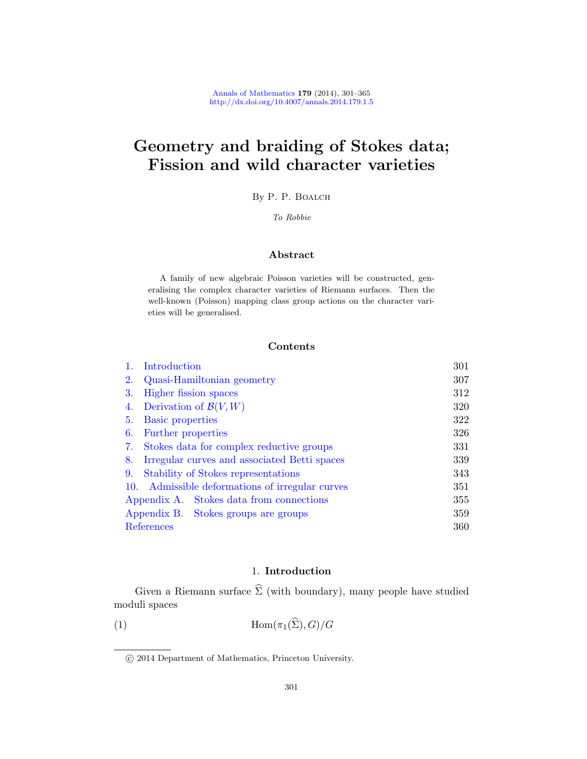# Geometry and braiding of Stokes data; Fission and wild character varieties

By P. P. Boalch

To Robbie

# Abstract

A family of new algebraic Poisson varieties will be constructed, generalising the complex character varieties of Riemann surfaces. Then the [well-kn](#page-6-0)own (Poisson) mapping class group actions on the character varieties will be generalised.

## Contents

|            | Introduction                                 | 301 |
|------------|----------------------------------------------|-----|
| 2.         | Quasi-Hamiltonian geometry                   | 307 |
| 3.         | Higher fission spaces                        | 312 |
| 4.         | Derivation of $\mathcal{B}(V,W)$             | 320 |
| 5.         | <b>Basic properties</b>                      | 322 |
| 6.         | Further properties                           | 326 |
| 7.         | Stokes data for complex reductive groups     | 331 |
| 8.         | Irregular curves and associated Betti spaces | 339 |
| 9.         | Stability of Stokes representations          | 343 |
| 10.        | Admissible deformations of irregular curves  | 351 |
|            | Appendix A. Stokes data from connections     | 355 |
|            | Appendix B. Stokes groups are groups         | 359 |
| References |                                              | 360 |

# 1. Introduction

<span id="page-0-0"></span>Given a Riemann surface  $\widehat{\Sigma}$  (with boundary), many people have studied moduli spaces

(1)  $\text{Hom}(\pi_1(\widehat{\Sigma}), G)/G$ 

c 2014 Department of Mathematics, Princeton University.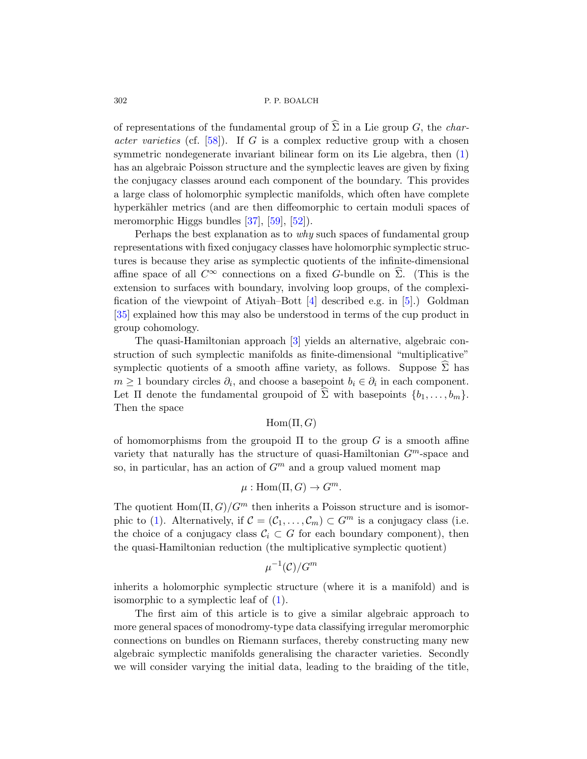of representations of the fundamental group of  $\widehat{\Sigma}$  in a Lie group G, the *char*acter [var](#page-61-0)i[eties](#page-63-0) [\(cf.](#page-62-0)  $[58]$ ). If G is a complex reductive group with a chosen symmetric nondegenerate invariant bilinear form on its Lie algebra, then (1) has an algebraic Poisson structure and the symplectic leaves are given by fixing the conjugacy classes around each component of the boundary. This provides a large class of holomorphic symplectic manifolds, which often have complete hyperkähler metrics (and are then diffeomorphic to certain moduli spaces of meromorphic Higgs [b](#page-59-0)undles [37], [59], [5[2\]](#page-59-1)).

Perhaps the best explanation as to why such spaces of fundamental group representations with fixed conjugacy classes have holomorphic symplectic structures is becaus[e t](#page-59-2)hey arise as symplectic quotients of the infinite-dimensional affine space of all  $C^{\infty}$  connections on a fixed G-bundle on  $\widehat{\Sigma}$ . (This is the extension to surfaces with boundary, involving loop groups, of the complexification of the viewpoint of Atiyah–Bott  $[4]$  described e.g. in [5].) Goldman [35] explained how this may also be understood in terms of the cup product in group cohomology.

The quasi-Hamiltonian approach [3] yields an alternative, algebraic construction of such symplectic manifolds as finite-dimensional "multiplicative" symplectic quotients of a smooth affine variety, as follows. Suppose  $\widehat{\Sigma}$  has  $m \geq 1$  boundary circles  $\partial_i$ , and choose a basepoint  $b_i \in \partial_i$  in each component. Let  $\Pi$  denote the fundamental groupoid of  $\Sigma$  with basepoints  $\{b_1, \ldots, b_m\}$ . Then the space

## $Hom(\Pi, G)$

of homomorphisms from the groupoid  $\Pi$  to the group G is a smooth affine variety that naturally has the structure of quasi-Hamiltonian  $G<sup>m</sup>$ -space and so, in particular, has an action of  $G<sup>m</sup>$  and a group valued moment map

$$
\mu: \mathrm{Hom}(\Pi, G) \to G^m.
$$

The quotient  $\text{Hom}(\Pi, G)/G^m$  then inherits a Poisson structure and is isomor-phic to (1). [A](#page-0-0)lternatively, if  $\mathcal{C} = (\mathcal{C}_1, \ldots, \mathcal{C}_m) \subset G^m$  is a conjugacy class (i.e. the choice of a conjugacy class  $C_i \subset G$  for each boundary component), then the quasi-Hamiltonian reduction (the multiplicative symplectic quotient)

$$
\mu^{-1}(\mathcal{C})/G^m
$$

inherits a holomorphic symplectic structure (where it is a manifold) and is isomorphic to a symplectic leaf of (1).

The first aim of this article is to give a similar algebraic approach to more general spaces of monodromy-type data classifying irregular meromorphic connections on bundles on Riemann surfaces, thereby constructing many new algebraic symplectic manifolds generalising the character varieties. Secondly we will consider varying the initial data, leading to the braiding of the title,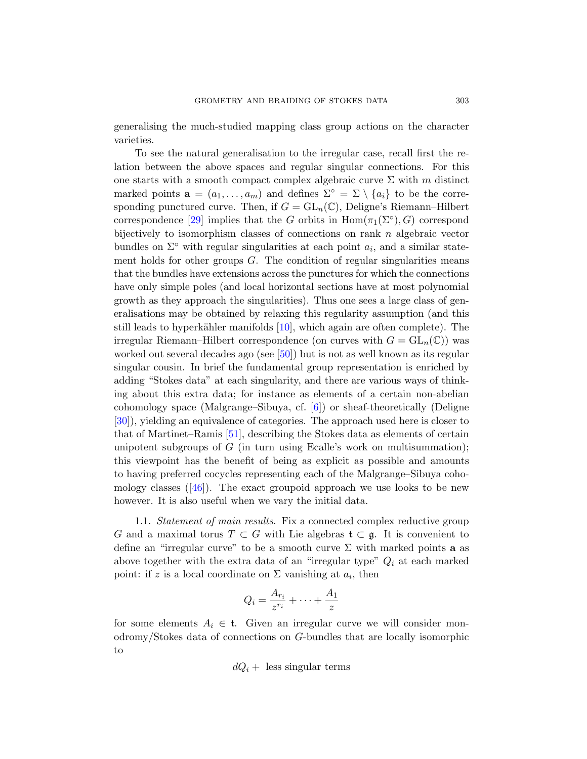generalising the much-studied mapping class group actions on the character varieties.

To see the natural generalisation to the irregular case, recall first the relation between the above spaces and regular singular connections. For this one starts with a smooth compact complex algebraic curve  $\Sigma$  with m distinct marked points  $\mathbf{a} = (a_1, \ldots, a_m)$  and defines  $\Sigma^{\circ} = \Sigma \setminus \{a_i\}$  to be the corresponding punctured curve. Then, if  $G = GL_n(\mathbb{C})$ , Deligne's Riemann–Hilbert correspondence [29] implies that the G orbits in  $\text{Hom}(\pi_1(\Sigma^{\circ}), G)$  correspond bijectively to isomorphism classes of connections on rank  $n$  algebraic vector bundles on  $\Sigma^{\circ}$  with regular singularities at each point  $a_i$ , and a similar statement holds for other groups  $G$ . The condition of regular singularities means that the bun[dles](#page-62-1) have extensions across the punctures for which the connections have only simple poles (and local horizontal sections have at most polynomial growth as they approach the singularities). Thus one sees a large class of generalisations may be obtained by relaxing this regularity assumption (and this still leads to hyperkähler manifolds  $[10]$ , which again are often complete). The irregular Riemann–Hilbert correspondence (on curves with  $G = GL_n(\mathbb{C})$ ) was w[ork](#page-62-2)ed out several decades ago (see [50]) but is not as well known as its regular singular cousin. In brief the fundamental group representation is enriched by adding "Stokes data" at each singularity, and there are various ways of thinking about this extra data; for instance as elements of a certain non-abelian cohomology space (Malgrange–Sibuya, cf. [6]) or sheaf-theoretically (Deligne [30]), yielding an equivalence of categories. The approach used here is closer to that of Martinet–Ramis [51], describing the Stokes data as elements of certain unipotent subgroups of  $G$  (in turn using Ecalle's work on multisummation); this viewpoint has the benefit of being as explicit as possible and amounts to having preferred cocycles representing each of the Malgrange–Sibuya cohomology classes  $([46])$ . The exact groupoid approach we use looks to be new however. It is also useful when we vary the initial data.

1.1. Statement of main results. Fix a connected complex reductive group G and a maximal torus  $T \subset G$  with Lie algebras  $\mathfrak{t} \subset \mathfrak{g}$ . It is convenient to define an "irregular curve" to be a smooth curve  $\Sigma$  with marked points **a** as above together with the extra data of an "irregular type"  $Q_i$  at each marked point: if z is a local coordinate on  $\Sigma$  vanishing at  $a_i$ , then

$$
Q_i = \frac{A_{r_i}}{z^{r_i}} + \dots + \frac{A_1}{z}
$$

for some elements  $A_i \in \mathfrak{t}$ . Given an irregular curve we will consider monodromy/Stokes data of connections on G-bundles that are locally isomorphic to

$$
dQ_i
$$
 + less singular terms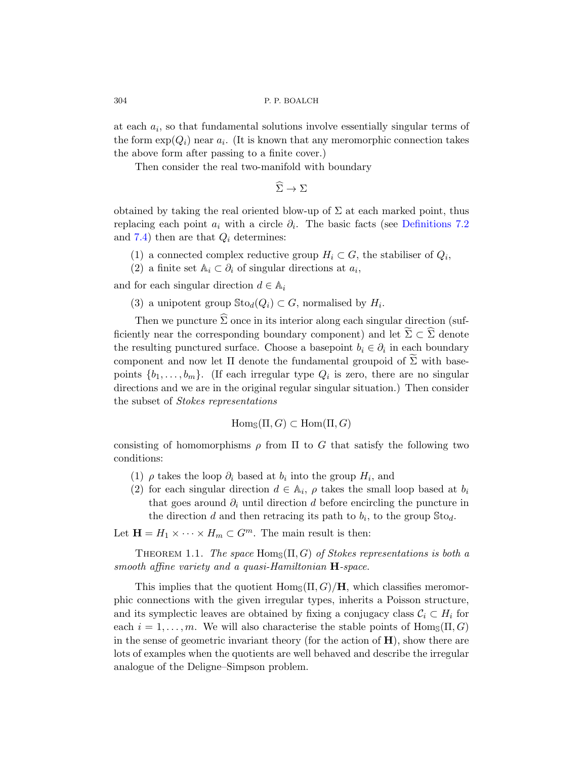at each  $a_i$ , so that fundamental solutions involve essentially singular terms of theform  $\exp(Q_i)$  near  $a_i$ . (It is known t[hat any meromo](#page-31-0)rphic connection takes the above form after passing to a finite cover.)

Then consider the real two-manifold with boundary

 $\widehat{\Sigma} \to \Sigma$ 

obtained by taking the real oriented blow-up of  $\Sigma$  at each marked point, thus replacing each point  $a_i$  with a circle  $\partial_i$ . The basic facts (see Definitions 7.2 and 7.4) then are that  $Q_i$  determines:

- (1) a connected complex reductive group  $H_i \subset G$ , the stabiliser of  $Q_i$ ,
- (2) a finite set  $\mathbb{A}_i \subset \partial_i$  of singular directions at  $a_i$ ,

and for each singular direction  $d \in \mathbb{A}_i$ 

(3) a unipotent group  $\text{Sto}_d(Q_i) \subset G$ , normalised by  $H_i$ .

Then we puncture  $\widehat{\Sigma}$  once in its interior along each singular direction (sufficiently near the corresponding boundary component) and let  $\Sigma \subset \Sigma$  denote the resulting punctured surface. Choose a basepoint  $b_i \in \partial_i$  in each boundary component and now let  $\Pi$  denote the fundamental groupoid of  $\Sigma$  with basepoints  $\{b_1, \ldots, b_m\}$ . (If each irregular type  $Q_i$  is zero, there are no singular directions and we are in the original regular singular situation.) Then consider the subset of Stokes representations

$$
Hom_{\mathbb{S}}(\Pi, G) \subset Hom(\Pi, G)
$$

consisting of homomorphisms  $\rho$  from  $\Pi$  to G that satisfy the following two conditions:

- (1)  $\rho$  takes the loop  $\partial_i$  based at  $b_i$  into the group  $H_i$ , and
- (2) for each singular direction  $d \in \mathbb{A}_i$ ,  $\rho$  takes the small loop based at  $b_i$ that goes around  $\partial_i$  until direction d before encircling the puncture in the direction d and then retracing its path to  $b_i$ , to the group  $\text{Sto}_d$ .

Let  $\mathbf{H} = H_1 \times \cdots \times H_m \subset G^m$ . The main result is then:

THEOREM 1.1. The space  $\text{Hom}_{\mathbb{S}}(\Pi, G)$  of Stokes representations is both a smooth affine variety and a quasi-Hamiltonian **H**-space.

This implies that the quotient  $\text{Hom}_{\mathcal{S}}(\Pi, G)/\mathbf{H}$ , which classifies meromorphic connections with the given irregular types, inherits a Poisson structure, and its symplectic leaves are obtained by fixing a conjugacy class  $C_i \subset H_i$  for each  $i = 1, \ldots, m$ . We will also characterise the stable points of  $\text{Hom}_{\mathbb{S}}(\Pi, G)$ in the sense of geometric invariant theory (for the action of  $H$ ), show there are lots of examples when the quotients are well behaved and describe the irregular analogue of the Deligne–Simpson problem.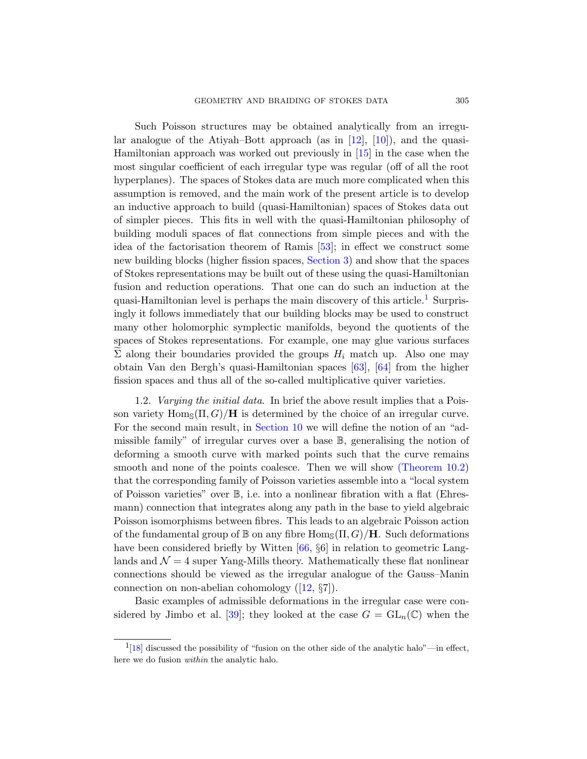Such Poisson structures may be obtained analytically from an irregular analogue of the Atiyah–Bott approach (as in  $[12]$ ,  $[10]$ ), and the quasi-Hamiltonian approach was worked out previously in [15] in the case when the most singular coeffici[ent](#page-62-3) of each irregular type was regular (off of all the root hyperplanes). The [spaces of S](#page-11-0)tokes data are much more complicated when this assumption is removed, and the main work of the present article is to develop an inductive approach to build (quasi-Hamiltonian) spaces of Stokes data out of simpler pieces. This fits in well with the [q](#page-4-0)uasi-Hamiltonian philosophy of building moduli spaces of flat connections from simple pieces and with the idea of the factorisation theorem of Ramis [53]; in effect we construct some new building blocks (higher fission spaces, Section 3) and show that the spaces of Stokes representations may be built out of these using the quasi-Hamiltonian fusion and reduction operati[ons](#page-63-1). [Th](#page-63-2)at one can do such an induction at the quasi-Hamiltonian level is perhaps the main discovery of this article.<sup>1</sup> Surprisingly it follows immediately that our building blocks may be used to construct many other holomorphic symplectic manifolds, beyond the quotients of the spaces [of Stokes re](#page-50-0)presentations. For example, one may glue various surfaces  $\Sigma$  along their boundaries provided the groups  $H_i$  match up. Also one may obtain Van den Bergh's quasi-Hamiltonian spaces [63], [64] from the higher fission spaces and thus all of the so-cal[led multiplicativ](#page-51-0)e quiver varieties.

1.2. Varying the initial data. In brief the above result implies that a Poisson variety  $\text{Hom}_{\mathcal{S}}(\Pi, G)/\mathbf{H}$  is determined by the choice of an irregular curve. For the second main result, in Section 10 we will define the notion of an "admissible family" of irregular curves over a base B, generalising the notion of deforming a smooth curve with marked points such that the curve remains smooth and non[e of](#page-63-3) the points coalesce. Then we will show (Theorem 10.2) that the corresponding family of Poisson varieties assemble into a "local system of Poisson varieties" over B, i.e. into a nonlinear fibration with a flat (Ehresmann) connection [th](#page-59-5)at integrates along any path in the base to yield algebraic Poisson isomorphisms between fibres. This leads to an algebraic Poisson action o[f th](#page-61-1)e fundamental group of  $\mathbb B$  on any fibre  $\text{Hom}_{\mathbb S}(\Pi, G)/\mathbf H$ . Such deformations have been considered briefly by Witten [66,  $\S6$ ] in relation to geometric Langlands and  $\mathcal{N} = 4$  super Yang-Mills theory. Mathematically these flat nonlinear connections should be viewed as the irregular analogue of the Gauss–Manin connection on non-abelian cohomology ([12, §7]).

<span id="page-4-0"></span>Basic examples of admissible deformations in the irregular case were considered by Jimbo et al. [39]; they looked at the case  $G = GL_n(\mathbb{C})$  when the

 $1_{18}$  discussed the possibility of "fusion on the other side of the analytic halo"—in effect, here we do fusion within the analytic halo.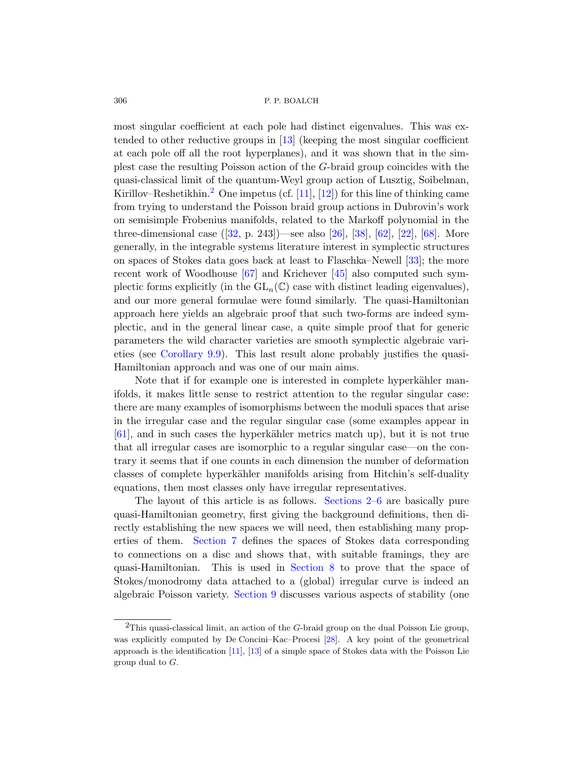most singular coefficient at each pole had distinct eigenvalues. This was extended to other reductive groups in [13] (keeping the most singular coefficient a[t ea](#page-61-2)ch pole off all the [root](#page-60-0) [hyp](#page-61-3)e[rpla](#page-63-4)n[es\),](#page-60-1)a[nd](#page-64-0) it was shown that in the simplest case the resulting Poisson action of the G-braid group coincides with the quasi-classical limit of the quantum-Wey[l gr](#page-61-4)oup action of Lusztig, Soibelman, Kirill[ov–](#page-63-5)Reshetikhin.<sup>2</sup> O[ne i](#page-62-4)mpetus (cf. [11], [12]) for this line of thinking came from trying to understand the Poisson braid group actions in Dubrovin's work on semisimple Frobenius manifolds, related to the Markoff polynomial in the three-dimensional case ([32, p. 243])—see also [26], [38], [62], [22], [68]. More generally, in the integrable systems literature interest in symplectic structures on spaces of Stokes data goes back at least to Flaschka–Newell [33]; the more [r](#page-46-0)ecent work of Woodhouse [67] and Krichever [45] also computed such symplectic forms explicitly (in the  $GL_n(\mathbb{C})$  case with distinct leading eigenvalues), and our more general formulae were found similarly. The quasi-Hamiltonian approach here yields an algebraic proof that such two-forms are indeed symplectic, and in the general linear case, a quite simple proof that for generic parameters the wild character varieties are smooth symplectic algebraic varieties (see Corollary 9.9). This last result alone probably justifies the quasi-Hamiltonian approach and was one of our main aims.

Note that if for example one is interested in complete hyperkähler manifolds, it makes little sense to restrict attention to the regular singular case: there are many examples of isomorphisms between the moduli spaces that arise in the irregular case a[nd the regu](#page-6-0)[la](#page-25-0)r singular case (some examples appear in  $[61]$ , and in such cases the hyperkähler metrics match up), but it is not true that all irregular cases are isomorphic to a regular singular case—on the con[trary](#page-30-0) it seems that if one counts in each dimension the number of deformation classes of complete hyperkähler manifolds arising from Hitchin's self-duality equations, then [most class](#page-38-0)es only have irregular representatives.

The layout of this article is as follows. Sections 2–6 are basically pure qu[asi-Hamilt](#page-42-0)onian geometry, first giving the background definitions, then directly establishing the new spaces we will need, then establishing many properties of them. Section 7 defines the spaces of Stokes data corresponding to connections on a d[isc](#page-61-5) and shows that, with suitable framings, they are q[uasi](#page-59-6)-[Ham](#page-59-7)iltonian. This is used in Section 8 to prove that the space of Stokes/monodromy data attached to a (global) irregular curve is indeed an algebraic Poisson variety. Section 9 discusses various aspects of stability (one

 ${}^{2}$ This quasi-classical limit, an action of the G-braid group on the dual Poisson Lie group, was explicitly computed by De Concini–Kac–Procesi [28]. A key point of the geometrical approach is the identification [11], [13] of a simple space of Stokes data with the Poisson Lie group dual to G.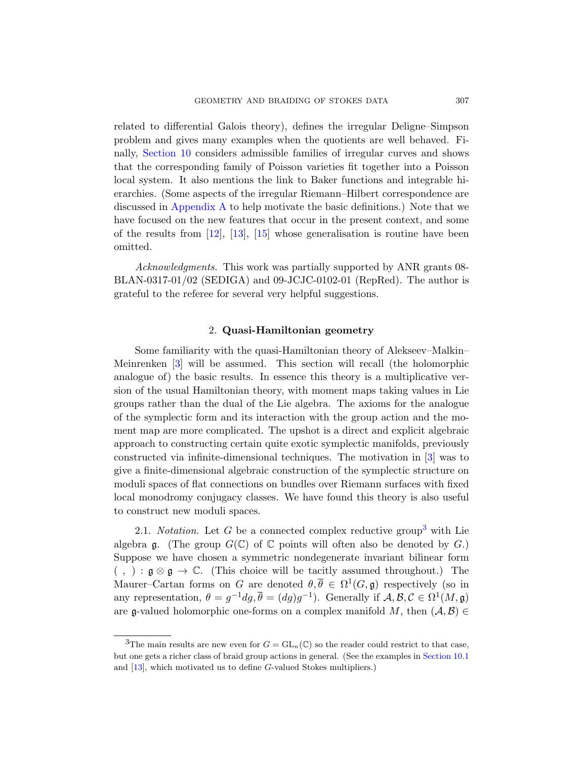[re](#page-54-0)lated to differential Galois theory), defines the irregular Deligne–Simpson problem and gives many examples when the quotients are well behaved. Fi[n](#page-59-5)a[lly,](#page-59-7) S[ecti](#page-60-2)on 10 considers admissible families of irregular curves and shows that the corresponding family of Poisson varieties fit together into a Poisson local system. It also mentions the link to Baker functions and integrable hierarchies. (Some aspects of the irregular Riemann–Hilbert correspondence are discussed in Appendix A to help motivate the basic definitions.) Note that we have focused on the new features that occur in the present context, and some of the results from [12], [13], [15] whose generalisation is routine have been omitted.

<span id="page-6-0"></span>Acknowledgments. This work was partially supported by ANR grants 08-BLAN-0317-01/02 (SEDIGA) and 09-JCJC-0102-01 (RepRed). The author is grateful to the referee for several very helpful suggestions.

### 2. Quasi-Hamiltonian geometry

Some familiarity with the quasi-Hamiltonian theory of Alekseev–Malkin– Meinrenken [3] will be assumed. This section will recall (the holomorphic analogue of) the basic results. In essence th[is](#page-59-2) theory is a multiplicative version of the usual Hamiltonian theory, with moment maps taking values in Lie groups rather than the dual of the Lie algebra. The axioms for the analogue of the symplectic form and its interaction with the group action and the moment map are more complicated. The upshot is a direct and explicit algebraic approach to constructing certain quite exoti[c s](#page-6-1)ymplectic manifolds, previously constructed via infinite-dimensional techniques. The motivation in [3] was to give a finite-dimensional algebraic construction of the symplectic structure on moduli spaces of flat connections on bundles over Riemann surfaces with fixed local monodromy conjugacy classes. We have found this theory is also useful to construct new moduli spaces.

<span id="page-6-1"></span>2.1. *Notation*. Let G be a connected complex reductive group<sup>3</sup> with Lie algebra g. (The group  $G(\mathbb{C})$  of  $\mathbb C$  points will often also be denoted by  $G$ .) Suppose we have chosen a symmetric nondegenerate invariant bilinear form  $( , ) : \mathfrak{g} \otimes \mathfrak{g} \to \mathbb{C}$ . (This choice will be t[acitly assum](#page-53-0)ed throughout.) The Maurer–Cartan forms on G are denoted  $\theta, \overline{\theta} \in \Omega^1(G, \mathfrak{g})$  respectively (so in any representation,  $\theta = g^{-1} dg$ ,  $\overline{\theta} = (dg)g^{-1}$ ). Generally if  $\mathcal{A}, \mathcal{B}, \mathcal{C} \in \Omega^1(M, \mathfrak{g})$ are g-valued holomorphic one-forms on a complex manifold M, then  $(A, B) \in$ 

<sup>&</sup>lt;sup>3</sup>The main results are new even for  $G = GL_n(\mathbb{C})$  so the reader could restrict to that case, but one gets a richer class of braid group actions in general. (See the examples in Section 10.1 and [13], which motivated us to define G-valued Stokes multipliers.)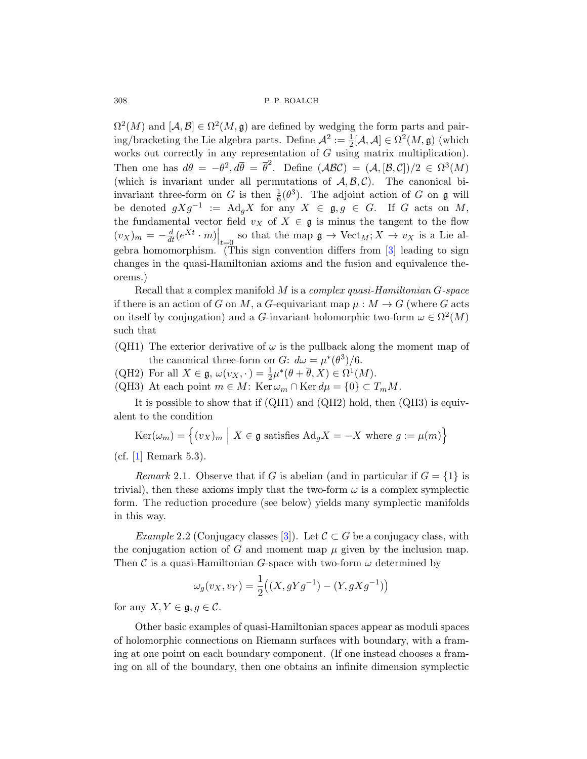$\Omega^2(M)$  and  $[\mathcal{A}, \mathcal{B}] \in \Omega^2(M, \mathfrak{g})$  are defined by wedging the form parts and pairing/bracketing the Lie algebra parts. Define  $\mathcal{A}^2 := \frac{1}{2}[\mathcal{A}, \mathcal{A}] \in \Omega^2(M, \mathfrak{g})$  (which works out correctly in any representation of  $G$  using matrix multiplication). Then one has  $d\theta = -\theta^2, d\overline{\theta} = \overline{\theta}^2$ . [D](#page-59-2)efine  $(\mathcal{ABC}) = (\mathcal{A}, [\mathcal{B}, \mathcal{C}])/2 \in \Omega^3(M)$ (which is invariant under all permutations of  $\mathcal{A}, \mathcal{B}, \mathcal{C}$ ). The canonical biinvariant three-form on G is then  $\frac{1}{6}(\theta^3)$ . The adjoint action of G on g will be denoted  $gXg^{-1}$  := Ad<sub>g</sub>X for any  $X \in \mathfrak{g}, g \in G$ . If G acts on M, the fundamental vector field  $v_X$  of  $X \in \mathfrak{g}$  is minus the tangent to the flow  $(v_X)_m = -\frac{d}{dt}(e^{Xt} \cdot m)\Big|_{t=0}$  so that the map  $\mathfrak{g} \to \text{Vect}_M$ ;  $X \to v_X$  is a Lie algebra homomorphism. (This sign convention differs from [3] leading to sign changes in the quasi-Hamiltonian axioms and the fusion and equivalence theorems.)

Recall that a complex manifold M is a complex quasi-Hamiltonian G-space if there is an action of G on M, a G-equivariant map  $\mu : M \to G$  (where G acts on itself by conjugation) and a G-invariant holomorphic two-form  $\omega \in \Omega^2(M)$ such that

(QH1) The exterior derivative of  $\omega$  is the pullback along the moment map of the canonical three-form on G:  $d\omega = \mu^*(\theta^3)/6$ .

(QH2) For all  $X \in \mathfrak{g}, \omega(v_X, \cdot) = \frac{1}{2}\mu^*(\theta + \overline{\theta}, X) \in \Omega^1(M)$ . (QH3) At each point  $m \in M$ : Ker  $\omega_m \cap$  Ker  $d\mu = \{0\} \subset T_mM$ .

It is possible to show that if (QH1) and (QH2) hold, then (QH3) is equivalent to the condition

$$
Ker(\omega_m) = \left\{ (v_X)_m \mid X \in \mathfrak{g} \text{ satisfies } Ad_g X = -X \text{ where } g := \mu(m) \right\}
$$

 $(cf. [1] Remark 5.3).$  $(cf. [1] Remark 5.3).$  $(cf. [1] Remark 5.3).$ 

Remark 2.1. Observe that if G is abelian (and in particular if  $G = \{1\}$  is trivial), then these axioms imply that the two-form  $\omega$  is a complex symplectic form. The reduction procedure (see below) yields many symplectic manifolds in this way.

Example 2.2 (Conjugacy classes [3]). Let  $C \subset G$  be a conjugacy class, with the conjugation action of G and moment map  $\mu$  given by the inclusion map. Then C is a quasi-Hamiltonian G-space with two-form  $\omega$  determined by

$$
\omega_g(v_X, v_Y) = \frac{1}{2} \left( (X, gYg^{-1}) - (Y, gXg^{-1}) \right)
$$

for any  $X, Y \in \mathfrak{g}, q \in \mathcal{C}$ .

Other basic examples of quasi-Hamiltonian spaces appear as moduli spaces of holomorphic connections on Riemann surfaces with boundary, with a framing at one point on each boundary component. (If one instead chooses a framing on all of the boundary, then one obtains an infinite dimension symplectic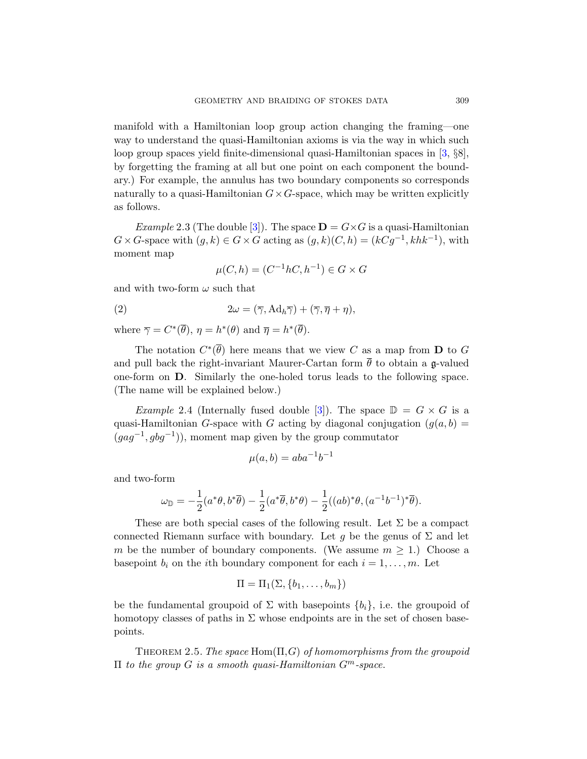manifold with a Hamiltonian loop group action changing the framing—one way to [un](#page-59-2)derstand the quasi-Hamiltonian axioms is via the way in which such loop group spaces yield finite-dimensional quasi-Hamiltonian spaces in [3, §8], by forgetting the framing at all but one point on each component the boundary.) For example, the annulus has two boundary components so corresponds naturally to a quasi-Hamiltonian  $G \times G$ -space, which may be written explicitly as follows.

*Example* 2.3 (The double [3]). The space  $\mathbf{D} = G \times G$  is a quasi-Hamiltonian  $G \times G$ -space with  $(g, k) \in G \times G$  acting as  $(g, k)(C, h) = (kCg^{-1}, khk^{-1}),$  with moment map

$$
\mu(C, h) = (C^{-1}hC, h^{-1}) \in G \times G
$$

and with two-form  $\omega$  such that

(2) 
$$
2\omega = (\overline{\gamma}, Ad_h \overline{\gamma}) + (\overline{\gamma}, \overline{\eta} + \eta),
$$

where  $\overline{\gamma} = C^*(\overline{\theta}), \eta = h^*(\theta)$  $\overline{\gamma} = C^*(\overline{\theta}), \eta = h^*(\theta)$  $\overline{\gamma} = C^*(\overline{\theta}), \eta = h^*(\theta)$  and  $\overline{\eta} = h^*(\overline{\theta}).$ 

The notation  $C^*(\overline{\theta})$  here means that we view C as a map from **D** to G and pull back the right-invariant Maurer-Cartan form  $\bar{\theta}$  to obtain a g-valued one-form on D. Similarly the one-holed torus leads to the following space. (The name will be explained below.)

*Example* 2.4 (Internally fused double [3]). The space  $\mathbb{D} = G \times G$  is a quasi-Hamiltonian G-space with G acting by diagonal conjugation  $(q(a, b) =$  $(gag^{-1}, gbg^{-1})$ , moment map given by the group commutator

$$
\mu(a,b) = aba^{-1}b^{-1}
$$

and two-form

$$
\omega_{\mathbb{D}} = -\frac{1}{2}(a^*\theta, b^*\overline{\theta}) - \frac{1}{2}(a^*\overline{\theta}, b^*\theta) - \frac{1}{2}((ab)^*\theta, (a^{-1}b^{-1})^*\overline{\theta}).
$$

<span id="page-8-0"></span>These are both special cases of the following result. Let  $\Sigma$  be a compact connected Riemann surface with boundary. Let g be the genus of  $\Sigma$  and let m be the number of boundary components. (We assume  $m \geq 1$ .) Choose a basepoint  $b_i$  on the *i*th boundary component for each  $i = 1, \ldots, m$ . Let

$$
\Pi = \Pi_1(\Sigma, \{b_1, \ldots, b_m\})
$$

be the fundamental groupoid of  $\Sigma$  with basepoints  $\{b_i\}$ , i.e. the groupoid of homotopy classes of paths in  $\Sigma$  whose endpoints are in the set of chosen basepoints.

THEOREM 2.5. The space Hom( $\Pi$ , $G$ ) of homomorphisms from the groupoid  $\Pi$  to the group G is a smooth quasi-Hamiltonian  $G^m$ -space.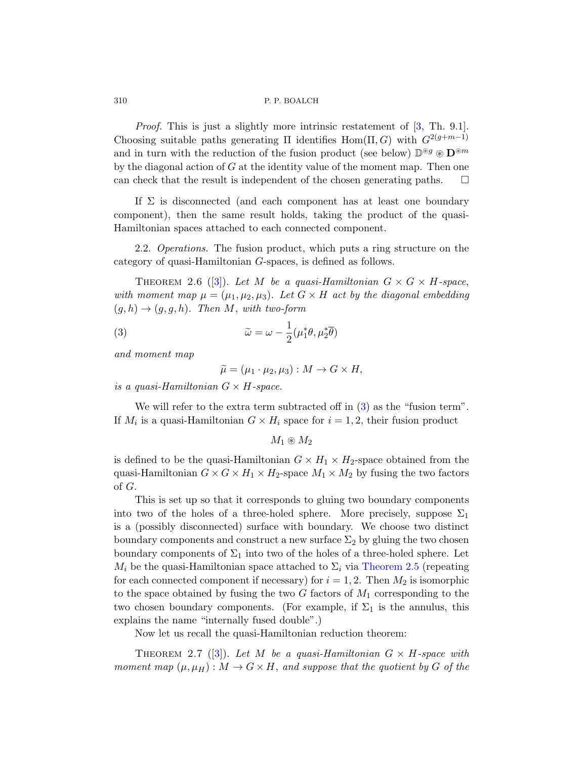Proof. This is just a slightly more intrinsic restatement of  $[3, Th. 9.1]$ . Choosing suitable paths generating Π identifies Hom(Π, G) with  $G^{2(g+m-1)}$ and in turn with the reduction of the fusion product (see below)  $\mathbb{D}^{\circledast g} \otimes \mathbf{D}^{\circledast m}$ by the diagonal action of  $G$  at the identity value of the moment map. Then one can check that the result is independent of the chosen generating paths.  $\Box$ 

If  $\Sigma$  is disconnected (and each component has at least one boundary component), then the same result holds, taking the product of the quasi-Hamiltonian spaces attached to each connected component.

<span id="page-9-0"></span>2.2. *Operations*. The fusion product, which puts a ring structure on the category of quasi-Hamiltonian G-spaces, is defined as follows.

THEOREM 2.6 ([3]). Let M be a quasi-Hamiltonian  $G \times G \times H$ -space, with moment map  $\mu = (\mu_1, \mu_2, \mu_3)$ . Let  $G \times H$  act by the diagonal embedding  $(g, h) \rightarrow (g, g, h)$ . Then M, with two-form

(3) 
$$
\widetilde{\omega} = \omega - \frac{1}{2} (\mu_1^* \theta, \mu_2^* \overline{\theta})
$$

and moment map

$$
\widetilde{\mu} = (\mu_1 \cdot \mu_2, \mu_3) : M \to G \times H,
$$

is a quasi-Hamiltonian  $G \times H$ -space.

We will refer to the extra term subtracted off in  $(3)$  as the "fusion term". If  $M_i$  is a quasi-Hamiltonian  $G \times H_i$  space for  $i = 1, 2$ , their fusion product

 $M_1 \circledast M_2$ 

is defined to be the quasi-Hamiltonian  $G \times H_1 \times H_2$ -space obtained from the quasi-Hamiltonian  $G \times G \times H_1 \times H_2$ [-space](#page-8-0)  $M_1 \times M_2$  by fusing the two factors of G.

This is set up so that it corresponds to gluing two boundary components into two of the holes of a three-holed sphere. More precisely, suppose  $\Sigma_1$ is a (possibly disconnected) surface with boundary. We choose two distinct boundary components and construct a new surface  $\Sigma_2$  by gluing the two chosen boundary components of  $\Sigma_1$  into two of the holes of a three-holed sphere. Let  $M_i$  $M_i$  be the quasi-Hamiltonian space attached to  $\Sigma_i$  via Theorem 2.5 (repeating for each connected component if necessary) for  $i = 1, 2$ . Then  $M_2$  is isomorphic to the space obtained by fusing the two  $G$  factors of  $M_1$  corresponding to the two chosen boundary components. (For example, if  $\Sigma_1$  is the annulus, this explains the name "internally fused double".)

Now let us recall the quasi-Hamiltonian reduction theorem:

THEOREM 2.7 ([3]). Let M be a quasi-Hamiltonian  $G \times H$ -space with moment map  $(\mu, \mu_H) : M \to G \times H$ , and suppose that the quotient by G of the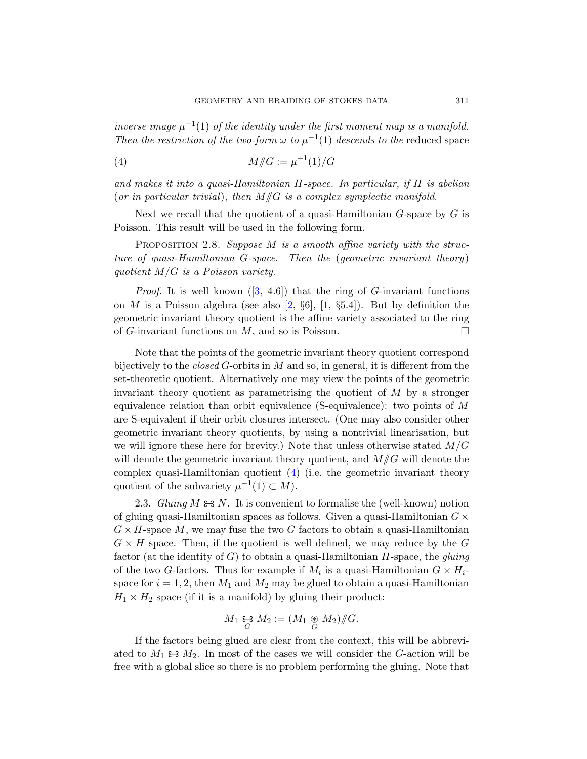<span id="page-10-0"></span>inverse image  $\mu^{-1}(1)$  of the identity under the first moment map is a manifold. Then the restriction of the two-form  $\omega$  to  $\mu^{-1}(1)$  descends to the reduced space

<span id="page-10-1"></span>(4) 
$$
M/\!\!/G := \mu^{-1}(1)/G
$$

and makes it into a quasi-Hamiltonian H-space. In particular, if H is abelian (or in particular trivial), then  $M/\hspace{-3pt}/ G$  is a complex symplectic manifold.

Ne[xt](#page-59-2) we recall that the quotient of a quasi-Hamiltonian  $G$ -space by  $G$  is Poisson. This [res](#page-59-8)ult w[ill](#page-59-9) be used in the following form.

PROPOSITION 2.8. Suppose M is a smooth affine variety with the structure of quasi-Hamiltonian G-space. Then the (geometric invariant theory) quotient  $M/G$  is a Poisson variety.

*Proof.* It is well known  $([3, 4.6])$  that the ring of G-invariant functions on M is a Poisson algebra (see also [2,  $\S6$ ], [1,  $\S5.4$ ]). But by definition the geometric invariant theory quotient is the affine variety associated to the ring of G-invariant functions on  $M$ , and so is Poisson.

Note that the points of the geometric invariant theory quotient correspond bijectively to the *closed G*-orbits in  $M$  and so, in general, it is different from the set-theoretic quotient. Alternatively one may view the points of the geometric invariant theor[y](#page-10-0) quotient as parametrising the quotient of  $M$  by a stronger equivalence relation than orbit equivalence (S-equivalence): two points of  $M$ are S-equivalent if their orbit closures intersect. (One may also consider other geometric invariant theory quotients, by using a nontrivial linearisation, but we will ignore these here for brevity.) Note that unless otherwise stated  $M/G$ will denote the geometric invariant theory quotient, and  $M/\!\!/ G$  will denote the complex quasi-Hamiltonian quotient  $(4)$  (i.e. the geometric invariant theory quotient of the subvariety  $\mu^{-1}(1) \subset M$ ).

2.3. Gluing  $M \Leftrightarrow N$ . It is convenient to formalise the (well-known) notion of gluing quasi-Hamiltonian spaces as follows. Given a quasi-Hamiltonian  $G \times$  $G \times H$ -space M, we may fuse the two G factors to obtain a quasi-Hamiltonian  $G \times H$  space. Then, if the quotient is well defined, we may reduce by the G factor (at the identity of  $G$ ) to obtain a quasi-Hamiltonian H-space, the gluing of the two G-factors. Thus for example if  $M_i$  is a quasi-Hamiltonian  $G \times H_i$ space for  $i = 1, 2$ , then  $M_1$  and  $M_2$  may be glued to obtain a quasi-Hamiltonian  $H_1 \times H_2$  space (if it is a manifold) by gluing their product:

$$
M_1 \underset{G}{\leftrightarrow} M_2 := (M_1 \underset{G}{\circledast} M_2) / \hspace{-0.1cm}/ G.
$$

If the factors being glued are clear from the context, this will be abbreviated to  $M_1 \Leftrightarrow M_2$ . In most of the cases we will consider the G-action will be free with a global slice so there is no problem performing the gluing. Note that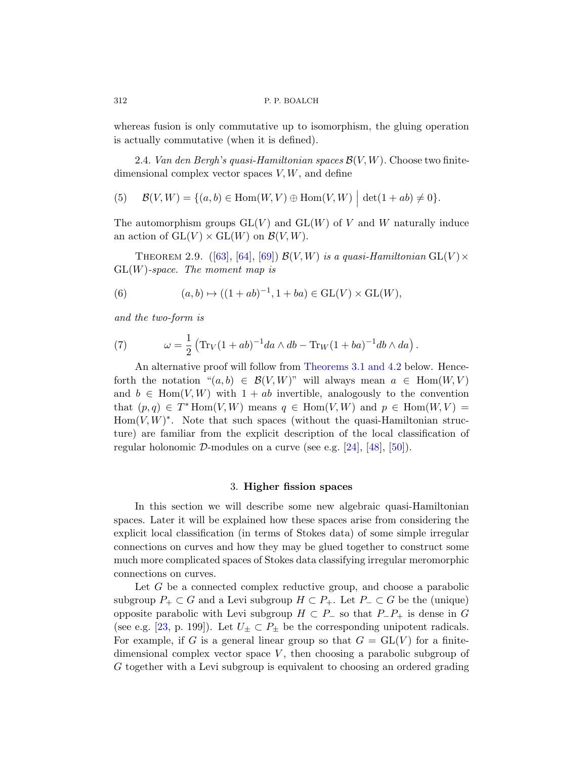whereas fusion is only commutative up to isomorphism, the gluing operation is actually commutative (when it is defined).

2.4. Van den Bergh's quasi-Hamiltonian spaces  $\mathcal{B}(V, W)$ . Choose two finite[di](#page-63-1)m[ens](#page-63-2)io[nal](#page-64-1) complex vector spaces  $V, W$ , and define

(5) 
$$
\mathcal{B}(V, W) = \{(a, b) \in \text{Hom}(W, V) \oplus \text{Hom}(V, W) \mid \det(1 + ab) \neq 0\}.
$$

The automorphism groups  $GL(V)$  and  $GL(W)$  of V and W naturally induce an action of  $GL(V) \times GL(W)$  on  $\mathcal{B}(V, W)$ .

<span id="page-11-2"></span>THEOREM 2.9. ([63], [64], [69])  $\mathcal{B}(V, W)$  is a quasi-Hamiltonian  $GL(V) \times$  $GL(W)$ -space. The moment map is

(6) 
$$
(a, b) \mapsto ((1 + ab)^{-1}, 1 + ba) \in GL(V) \times GL(W),
$$

and the two-form is

(7) 
$$
\omega = \frac{1}{2} \left( \text{Tr}_V (1+ab)^{-1} da \wedge db - \text{Tr}_W (1+ba)^{-1} db \wedge da \right).
$$

<span id="page-11-0"></span>An alternative proof w[ill f](#page-60-3)ol[low](#page-62-5)f[rom](#page-62-1) Theorems 3.1 and 4.2 below. Henceforth the notation " $(a, b) \in \mathcal{B}(V, W)$ " will always mean  $a \in \text{Hom}(W, V)$ and  $b \in \text{Hom}(V, W)$  with  $1 + ab$  invertible, analogously to the convention that  $(p, q) \in T^*$  Hom $(V, W)$  means  $q \in$  Hom $(V, W)$  and  $p \in$  Hom $(W, V)$  =  $Hom(V, W)^*$ . Note that such spaces (without the quasi-Hamiltonian structure) are familiar from the explicit description of the local classification of regular holonomic D-modules on a curve (see e.g.  $[24]$ ,  $[48]$ ,  $[50]$ ).

#### 3. Higher fission spaces

In this section we will describe some new algebraic quasi-Hamiltonian spaces. Later it will be explained how these spaces arise from considering the explicit local classification (in terms of Stokes data) of some simple irregular connections on curves and how they may be glued together to construct some much more complicated spaces of Stokes data classifying irregular meromorphic connections on curves.

Let G be a connected complex reductive group, and choose a parabolic subgroup  $P_+ \subset G$  and a Levi subgroup  $H \subset P_+$ . Let  $P_- \subset G$  be the (unique) opposite parabolic with Levi subgroup  $H \subset P_$  so that  $P_ P_+$  is dense in G (see e.g. [23, p. 199]). Let  $U_{\pm} \subset P_{\pm}$  be the corresponding unipotent radicals. For example, if G is a general linear group so that  $G = GL(V)$  for a finitedimensional complex vector space  $V$ , then choosing a parabolic subgroup of G together with a Levi subgroup is equivalent to choosing an ordered grading

<span id="page-11-1"></span>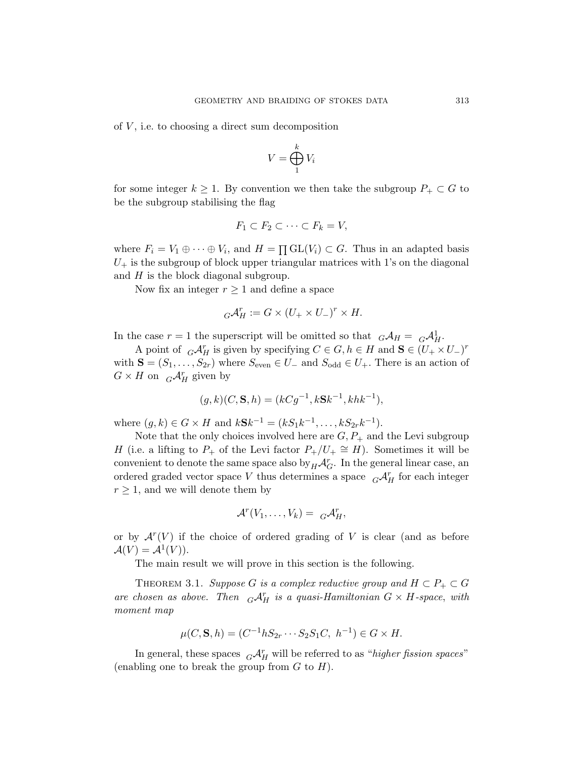of  $V$ , i.e. to choosing a direct sum decomposition

$$
V = \bigoplus_{1}^{k} V_i
$$

for some integer  $k \geq 1$ . By convention we then take the subgroup  $P_+ \subset G$  to be the subgroup stabilising the flag

$$
F_1 \subset F_2 \subset \cdots \subset F_k = V,
$$

where  $F_i = V_1 \oplus \cdots \oplus V_i$ , and  $H = \prod GL(V_i) \subset G$ . Thus in an adapted basis  $U_{+}$  is the subgroup of block upper triangular matrices with 1's on the diagonal and  $H$  is the block diagonal subgroup.

Now fix an integer  $r \geq 1$  and define a space

$$
{}_{G}\mathcal{A}_{H}^{r}:=G\times(U_{+}\times U_{-})^{r}\times H.
$$

In the case  $r = 1$  the superscript will be omitted so that  $G \mathcal{A}_H = G \mathcal{A}_H^1$ .

A point of  ${}_{G}\mathcal{A}_{H}^{r}$  is given by specifying  $C \in G, h \in H$  and  $\mathbf{S} \in (U_{+} \times U_{-})^{r}$ with  $S = (S_1, \ldots, S_{2r})$  where  $S_{even} \in U_-$  and  $S_{odd} \in U_+$ . There is an action of  $G \times H$  on  $_G \mathcal{A}_H^r$  given by

$$
(g,k)(C, \mathbf{S}, h) = (kCg^{-1}, k\mathbf{S}k^{-1}, khk^{-1}),
$$

where  $(g, k) \in G \times H$  and  $kSk^{-1} = (kS_1k^{-1}, \dots, kS_{2r}k^{-1}).$ 

Note that the only choices involved here are  $G, P_+$  and the Levi subgroup H (i.e. a lifting to  $P_+$  of the Levi factor  $P_+/U_+ \cong H$ ). Sometimes it will be convenient to denote the same space also by  ${}_{H}\mathcal{A}^r_G$ . In the general linear case, an ordered graded vector space V thus determines a space  $\ {}_G\mathcal{A}_H^r$  for each integer  $r \geq 1$ , and we will denote them by

$$
\mathcal{A}^r(V_1,\ldots,V_k) = \ _G\mathcal{A}_H^r,
$$

or by  $\mathcal{A}^r(V)$  if the choice of ordered grading of V is clear (and as before  $\mathcal{A}(V) = \mathcal{A}^1(V)$ ).

The main result we will prove in this section is the following.

<span id="page-12-0"></span>THEOREM 3.1. Suppose G is a complex reductive group and  $H \subset P_+ \subset G$ are chosen as above. Then  $G\mathcal{A}_H^r$  is a quasi-Hamiltonian  $G \times H$ -space, with moment map

$$
\mu(C, \mathbf{S}, h) = (C^{-1}hS_{2r} \cdots S_2S_1C, h^{-1}) \in G \times H.
$$

In general, these spaces  $G\mathcal{A}_H^r$  will be referred to as "higher fission spaces" (enabling one to break the group from  $G$  to  $H$ ).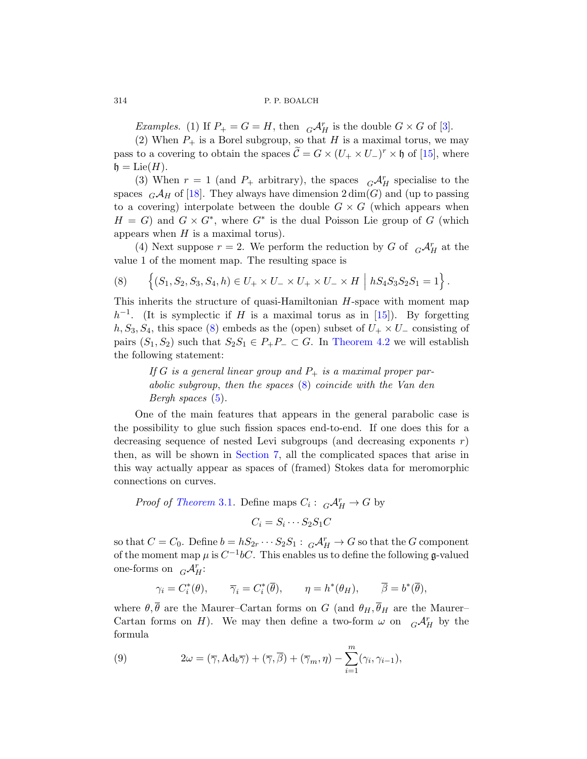Examples. (1) If  $P_+ = G = H$ , then  $\ _G\mathcal{A}_H^r$  is the double  $G \times G$  of [3].

(2) When  $P_+$  is a Borel subgroup, so that H is a maximal torus, we may pass to a covering to obtain the spaces  $\tilde{C} = G \times (U_+ \times U_-)^r \times \mathfrak{h}$  of [15], where  $\mathfrak{h} = \mathrm{Lie}(H).$ 

<span id="page-13-0"></span>(3) When  $r = 1$  (and  $P_+$  arbitrary), the spaces  $G \mathcal{A}_{H}^{r}$  specialise to the spaces  $_G\mathcal{A}_H$  of [18]. They always have dimension  $2 \dim(G)$  and (up to passing to a covering) interpolate between the double  $G \times G$  (which appears when  $H = G$ ) and  $G \times G^*$ , where  $G^*$  is the dual Poisson Lie group of G (which appears when  $H$  is a maximal tor[us\).](#page-60-2)

(4) Next suppose  $r = 2$ . We perform the reduction by G of  $\ {}_{G}\mathcal{A}_{H}^{r}$  at the value 1 of the moment [map. The resu](#page-20-0)lting space is

(8) 
$$
\left\{ (S_1, S_2, S_3, S_4, h) \in U_+ \times U_- \times U_+ \times U_- \times H \mid hS_4S_3S_2S_1 = 1 \right\}.
$$

This inherits the [st](#page-13-0)ructure of quasi-Hamiltonian H-space with moment map  $h^{-1}$  $h^{-1}$ . (It is symplectic if H is a maximal torus as in [15]). By forgetting  $h, S_3, S_4$ , this space (8) embeds as the (open) subset of  $U_+ \times U_-$  consisting of pairs  $(S_1, S_2)$  such that  $S_2S_1 \in P_+P_- \subset G$ . In Theorem 4.2 we will establish the following statement:

If [G](#page-30-0) is a general linear group and  $P_+$  is a maximal proper parabolic subgroup, then the spaces (8) coincide with the Van den Bergh spaces (5).

One of the main features that appears in the general parabolic case is [the](#page-12-0) possibility to glue such fission spaces end-to-end. If one does this for a decreasing sequence of nested Levi subgroups (and decreasing exponents  $r$ ) then, as will be shown in Section 7, all the complicated spaces that arise in this way actually appear as spaces of (framed) Stokes data for meromorphic connections on curves.

*Proof of Theorem* 3.1. Define maps  $C_i: G \mathcal{A}_H^r \to G$  by  $C_i = S_i \cdots S_2 S_1 C$ 

so that  $C = C_0$ . Define  $b = hS_{2r} \cdots S_2S_1 : G \mathcal{A}_H^r \to G$  so that the G component of the moment map  $\mu$  is  $C^{-1}bC$ . This enables us to define the following g-valued one-forms on  $_G\mathcal{A}_{H}^r$ :

$$
\gamma_i = C_i^*(\theta), \qquad \overline{\gamma}_i = C_i^*(\overline{\theta}), \qquad \eta = h^*(\theta_H), \qquad \overline{\beta} = b^*(\overline{\theta}),
$$

where  $\theta, \bar{\theta}$  are the Maurer–Cartan forms on G (and  $\theta_H, \bar{\theta}_H$  are the Maurer– Cartan forms on H). We may then define a two-form  $\omega$  on  $_G \mathcal{A}_H^r$  by the formula

(9) 
$$
2\omega = (\overline{\gamma}, \text{Ad}_b \overline{\gamma}) + (\overline{\gamma}, \overline{\beta}) + (\overline{\gamma}_m, \eta) - \sum_{i=1}^m (\gamma_i, \gamma_{i-1}),
$$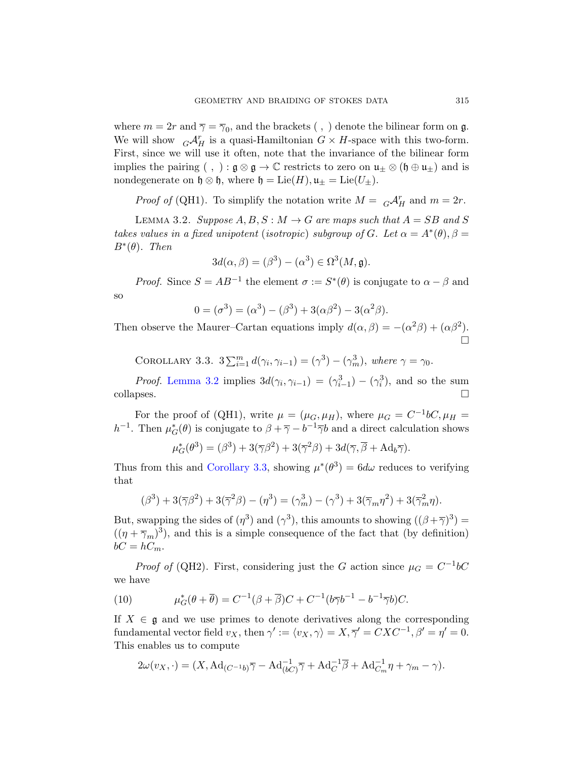<span id="page-14-0"></span>where  $m = 2r$  and  $\overline{\gamma} = \overline{\gamma}_0$ , and the brackets (, ) denote the bilinear form on  $\mathfrak{g}$ . We will show  $G\mathcal{A}_H^r$  is a quasi-Hamiltonian  $G \times H$ -space with this two-form. First, since we will use it often, note that the invariance of the bilinear form implies the pairing (, ) :  $\mathfrak{g} \otimes \mathfrak{g} \to \mathbb{C}$  restricts to zero on  $\mathfrak{u}_\pm \otimes (\mathfrak{h} \oplus \mathfrak{u}_\pm)$  and is nondegenerate on  $\mathfrak{h} \otimes \mathfrak{h}$ , where  $\mathfrak{h} = \text{Lie}(H)$ ,  $\mathfrak{u}_+ = \text{Lie}(U_+)$ .

*Proof of* (QH1). To simplify the notation write  $M = {}_G\mathcal{A}_H^r$  and  $m = 2r$ .

LEMMA 3.2. Suppose  $A, B, S : M \to G$  are maps such that  $A = SB$  and S takes values in a fixed unipotent (isotropic) subgroup of G. Let  $\alpha = A^*(\theta)$ ,  $\beta =$  $B^*(\theta)$ . Then

$$
3d(\alpha, \beta) = (\beta^3) - (\alpha^3) \in \Omega^3(M, \mathfrak{g}).
$$

<span id="page-14-1"></span>*Proof.* Since  $S = AB^{-1}$  the element  $\sigma := S^*(\theta)$  is conjugate to  $\alpha - \beta$  and [s](#page-14-0)o

$$
0 = (\sigma^3) = (\alpha^3) - (\beta^3) + 3(\alpha \beta^2) - 3(\alpha^2 \beta).
$$

Then observe the Maurer–Cartan equations imply  $d(\alpha, \beta) = -(\alpha^2 \beta) + (\alpha \beta^2)$ .  $\Box$ 

COROLLARY 3.3.  $3\sum_{i=1}^{m} d(\gamma_i, \gamma_{i-1}) = (\gamma^3) - (\gamma_m^3)$ , where  $\gamma = \gamma_0$ .

*[Proof](#page-14-1).* Lemma 3.2 implies  $3d(\gamma_i, \gamma_{i-1}) = (\gamma_{i-1}^3) - (\gamma_i^3)$ , and so the sum  $\Box$ collapses.

For the proof of (QH1), write  $\mu = (\mu_G, \mu_H)$ , where  $\mu_G = C^{-1}bC, \mu_H =$ h<sup>-1</sup>. Then  $\mu_G^*(\theta)$  is conjugate to  $\beta + \overline{\gamma} - b^{-1}\overline{\gamma}b$  and a direct calculation shows

$$
\mu_G^*(\theta^3) = (\beta^3) + 3(\overline{\gamma}\beta^2) + 3(\overline{\gamma}^2\beta) + 3d(\overline{\gamma}, \overline{\beta} + \text{Ad}_b\overline{\gamma}).
$$

Thus from this and Corollary 3.3, showing  $\mu^*(\theta^3) = 6d\omega$  reduces to verifying that

$$
(\beta^3) + 3(\overline{\gamma}\beta^2) + 3(\overline{\gamma}^2\beta) - (\eta^3) = (\gamma_m^3) - (\gamma^3) + 3(\overline{\gamma}_m\eta^2) + 3(\overline{\gamma}_m^2\eta).
$$

But, swapping the sides of  $(\eta^3)$  and  $(\gamma^3)$ , this amounts to showing  $((\beta + \overline{\gamma})^3)$  =  $((\eta + \overline{\gamma}_m)^3)$ , and this is a simple consequence of the fact that (by definition)  $bC = hC_m$ .

*Proof of* (QH2). First, considering just the G action since  $\mu_G = C^{-1}bC$ we have

(10) 
$$
\mu_G^*(\theta + \overline{\theta}) = C^{-1}(\beta + \overline{\beta})C + C^{-1}(b\overline{\gamma}b^{-1} - b^{-1}\overline{\gamma}b)C.
$$

If  $X \in \mathfrak{g}$  and we use primes to denote derivatives along the corresponding fundamental vector field  $v_X$ , then  $\gamma' := \langle v_X, \gamma \rangle = X, \overline{\gamma}' = CXC^{-1}, \beta' = \eta' = 0.$ This enables us to compute

$$
2\omega(v_X, \cdot) = (X, \mathrm{Ad}_{(C^{-1}b)}\overline{\gamma} - \mathrm{Ad}_{(bC)}^{-1}\overline{\gamma} + \mathrm{Ad}_{C}^{-1}\overline{\beta} + \mathrm{Ad}_{C_m}^{-1}\eta + \gamma_m - \gamma).
$$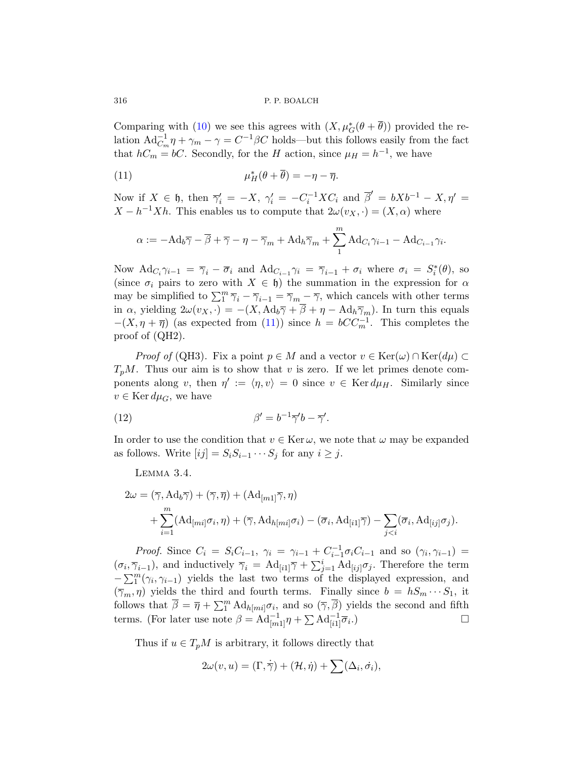Comparing with (10) we see this agrees with  $(X, \mu_G^*(\theta + \overline{\theta}))$  provided the relation  $\text{Ad}_{C_m}^{-1} \eta + \gamma_m - \gamma = C^{-1} \beta C$  holds—but this follows easily from the fact that  $h_n = b$ . Secondly, for the H action, since  $\mu = h^{-1}$ , we have

(11) 
$$
\mu_H^*(\theta + \overline{\theta}) = -\eta - \overline{\eta}.
$$

Now if  $X \in \mathfrak{h}$ , then  $\overline{\gamma}'_i = -X$ ,  $\gamma'_i = -C_i^{-1}XC_i$  and  $\overline{\beta}' = bXb^{-1} - X$ ,  $\eta' =$  $X - h^{-1}Xh$ . This enables us to compute that  $2\omega(v_X, \cdot) = (X, \alpha)$  where

$$
\alpha := -\mathrm{Ad}_b \overline{\gamma} - \overline{\beta} + \overline{\gamma} - \eta - \overline{\gamma}_m + \mathrm{Ad}_h \overline{\gamma}_m + \sum_{1}^{m} \mathrm{Ad}_{C_i} \gamma_{i-1} - \mathrm{Ad}_{C_{i-1}} \gamma_i.
$$

Now  $\text{Ad}_{C_i}\gamma_{i-1} = \overline{\gamma}_i - \overline{\sigma}_i$  and  $\text{Ad}_{C_{i-1}}\gamma_i = \overline{\gamma}_{i-1} + \sigma_i$  where  $\sigma_i = S_i^*(\theta)$ , so (since  $\sigma_i$  pairs to zero with  $X \in \mathfrak{h}$ ) the summation in the expression for  $\alpha$ may be simplified to  $\sum_{i=1}^{m} \overline{\gamma}_i - \overline{\gamma}_{i-1} = \overline{\gamma}_m - \overline{\gamma}$ , which cancels with other terms in  $\alpha$ , yielding  $2\omega(v_X, \cdot) = -(X, \text{Ad}_b\overline{\gamma} + \overline{\beta} + \eta - \text{Ad}_h\overline{\gamma}_m)$ . In turn this equals  $-(X, \eta + \overline{\eta})$  (as expected from (11)) since  $h = bCC_m^{-1}$ . This completes the proof of (QH2).

*Proof of* (QH3). Fix a point  $p \in M$  and a vector  $v \in \text{Ker}(\omega) \cap \text{Ker}(d\mu) \subset$  $T_pM$ . Thus our aim is to show that v is zero. If we let primes denote components along v, then  $\eta' := \langle \eta, v \rangle = 0$  since  $v \in \text{Ker } d\mu_H$ . Similarly since  $v \in \text{Ker } d\mu_G$ , we have

(12) 
$$
\beta' = b^{-1}\overline{\gamma}'b - \overline{\gamma}'.
$$

In order to use the condition that  $v \in \text{Ker } \omega$ , we note that  $\omega$  may be expanded as follows. Write  $[ij] = S_i S_{i-1} \cdots S_j$  for any  $i \geq j$ .

Lemma 3.4.

$$
2\omega = (\overline{\gamma}, \operatorname{Ad}_b \overline{\gamma}) + (\overline{\gamma}, \overline{\eta}) + (\operatorname{Ad}_{[m1]} \overline{\gamma}, \eta)
$$
  
+ 
$$
\sum_{i=1}^m (\operatorname{Ad}_{[mi]} \sigma_i, \eta) + (\overline{\gamma}, \operatorname{Ad}_{h[mi]} \sigma_i) - (\overline{\sigma}_i, \operatorname{Ad}_{[i1]} \overline{\gamma}) - \sum_{j
$$

Proof. Since  $C_i = S_i C_{i-1}, \gamma_i = \gamma_{i-1} + C_{i-1}^{-1} \sigma_i C_{i-1}$  and so  $(\gamma_i, \gamma_{i-1}) =$  $(\sigma_i, \overline{\gamma}_{i-1}),$  and inductively  $\overline{\gamma}_i = \text{Ad}_{[i]}\overline{\gamma} + \sum_{j=1}^i \text{Ad}_{[ij]}\sigma_j.$  Therefore the term  $-\sum_{1}^{m}(\gamma_i,\gamma_{i-1})$  yields the last two terms of the displayed expression, and  $(\overline{\gamma}_m, \eta)$  yields the third and fourth terms. Finally since  $b = hS_m \cdots S_1$ , it follows that  $\overline{\beta} = \overline{\eta} + \sum_{i=1}^{m} \text{Ad}_{h[mi]} \sigma_i$ , and so  $(\overline{\gamma}, \overline{\beta})$  yields the second and fifth terms. (For later use note  $\beta = \text{Ad}_{[m1]}^{-1} \eta + \sum \text{Ad}_{[i1]}^{-1} \overline{\sigma}_i$ .)

Thus if  $u \in T_pM$  is arbitrary, it follows directly that

$$
2\omega(v, u) = (\Gamma, \dot{\overline{\gamma}}) + (\mathcal{H}, \dot{\eta}) + \sum (\Delta_i, \dot{\sigma}_i),
$$

<span id="page-15-0"></span>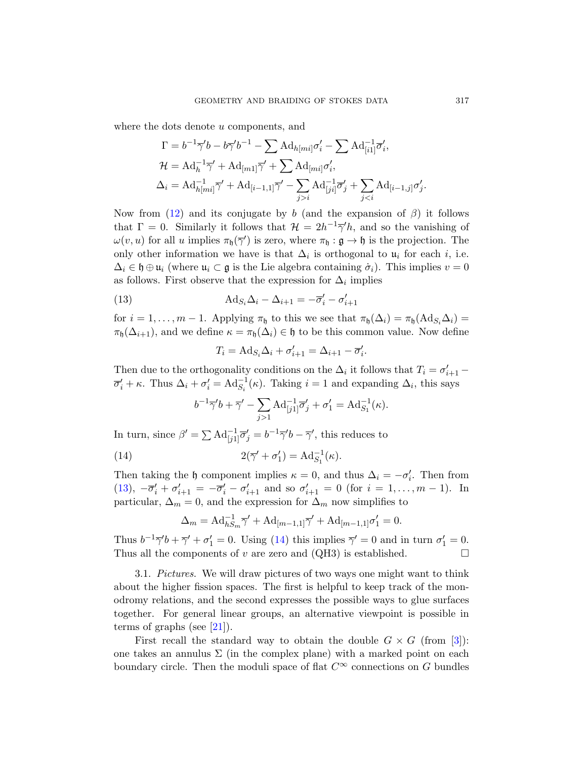where the dots denote u components, and

$$
\Gamma = b^{-1}\overline{\gamma}'b - b\overline{\gamma}'b^{-1} - \sum \text{Ad}_{h[mi]} \sigma'_i - \sum \text{Ad}_{[i1]} \overline{\sigma}'_i,
$$
  

$$
\mathcal{H} = \text{Ad}_{h}^{-1}\overline{\gamma}' + \text{Ad}_{[m1]}\overline{\gamma}' + \sum \text{Ad}_{[mi]} \sigma'_i,
$$
  

$$
\Delta_i = \text{Ad}_{h[mi]}^{-1}\overline{\gamma}' + \text{Ad}_{[i-1,1]}\overline{\gamma}' - \sum_{j>i} \text{Ad}_{[ji]}^{-1}\overline{\sigma}'_j + \sum_{j
$$

Now from (12) and its conjugate by b (and the expansion of  $\beta$ ) it follows that  $\Gamma = 0$ . Similarly it follows that  $\mathcal{H} = 2h^{-1}\overline{\gamma}'h$ , and so the vanishing of  $\omega(v, u)$  for all u implies  $\pi_{\mathfrak{h}}(\overline{\gamma}')$  is zero, where  $\pi_{\mathfrak{h}} : \mathfrak{g} \to \mathfrak{h}$  is the projection. The only other information we have is that  $\Delta_i$  is orthogonal to  $\mathfrak{u}_i$  for each i, i.e.  $\Delta_i \in \mathfrak{h} \oplus \mathfrak{u}_i$  (where  $\mathfrak{u}_i \subset \mathfrak{g}$  is the Lie algebra containing  $\dot{\sigma}_i$ ). This implies  $v = 0$ as follows. First observe that the expression for  $\Delta_i$  implies

(13) 
$$
\mathrm{Ad}_{S_i} \Delta_i - \Delta_{i+1} = -\overline{\sigma}'_i - \sigma'_{i+1}
$$

for  $i = 1, \ldots, m - 1$ . Applying  $\pi_{\mathfrak{h}}$  to this we see that  $\pi_{\mathfrak{h}}(\Delta_i) = \pi_{\mathfrak{h}}(\text{Ad}_{S_i}\Delta_i)$  $\pi_{\mathfrak{h}}(\Delta_{i+1}),$  and we define  $\kappa = \pi_{\mathfrak{h}}(\Delta_i) \in \mathfrak{h}$  to be this common value. Now define

$$
T_i = \mathrm{Ad}_{S_i} \Delta_i + \sigma'_{i+1} = \Delta_{i+1} - \overline{\sigma}'_i.
$$

<span id="page-16-0"></span>Then due to the orthogonality conditions on the  $\Delta_i$  it follows that  $T_i = \sigma'_{i+1}$  –  $\overline{\sigma}'_i + \kappa$ . Thus  $\Delta_i + \sigma'_i = \text{Ad}_{S_i}^{-1}(\kappa)$ . Taking  $i = 1$  and expanding  $\Delta_i$ , this says

$$
b^{-1}\overline{\gamma}'b + \overline{\gamma}' - \sum_{j>1} Ad_{[j1]}^{-1} \overline{\sigma}'_j + \sigma'_1 = Ad_{S_1}^{-1}(\kappa).
$$

In turn, since  $\beta' = \sum \text{Ad}_{[j1]}^{-1} \overline{\sigma}'_j = b^{-1} \overline{\gamma}' b - \overline{\gamma}'$ , this reduces to

(14) 
$$
2(\overline{\gamma}' + \sigma'_1) = \mathrm{Ad}_{S_1}^{-1}(\kappa).
$$

Then taking the h component implies  $\kappa = 0$ , and thus  $\Delta_i = -\sigma'_i$ . Then from (13),  $-\overline{\sigma}'_i + \sigma'_{i+1} = -\overline{\sigma}'_i - \sigma'_{i+1}$  and so  $\sigma'_{i+1} = 0$  (for  $i = 1, ..., m - 1$ ). In particular,  $\Delta_m = 0$ , and the expression for  $\Delta_m$  now simplifies to

$$
\Delta_m = \mathrm{Ad}_{hS_m}^{-1} \overline{\gamma}' + \mathrm{Ad}_{[m-1,1]} \overline{\gamma}' + \mathrm{Ad}_{[m-1,1]} \sigma'_1 = 0.
$$

[T](#page-60-4)hus  $b^{-1}\overline{\gamma}' b + \overline{\gamma}' + \sigma'_1 = 0$ . Using (14) this implies  $\overline{\gamma}' = 0$  and in turn  $\sigma'_1 = 0$ . Thusall the components of v are zero and (QH3) i[s e](#page-59-2)stablished.  $\square$ 

3.1. Pictures. We will draw pictures of two ways one might want to think about the higher fission spaces. The first is helpful to keep track of the monodromy relations, and the second expresses the possible ways to glue surfaces together. For general linear groups, an alternative viewpoint is possible in terms of graphs (see  $[21]$ ).

First recall the standard way to obtain the double  $G \times G$  (from [3]): one takes an annulus  $\Sigma$  (in the complex plane) with a marked point on each boundary circle. Then the moduli space of flat  $C^{\infty}$  connections on G bundles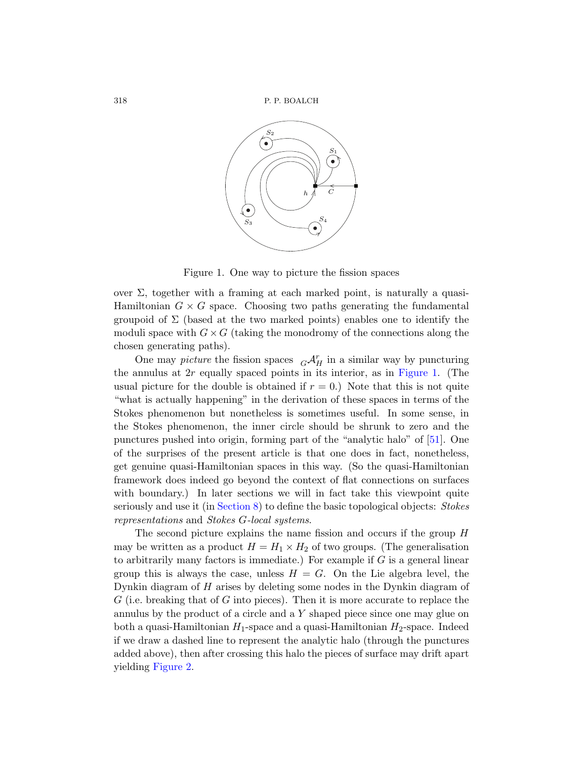

<span id="page-17-0"></span>Figure 1. One way to picture the fission spaces

over  $\Sigma$ , together with a framing at ea[ch marke](#page-17-0)d point, is naturally a quasi-Hamiltonian  $G \times G$  space. Choosing two paths generating the fundamental groupoid of  $\Sigma$  (based at the two marked points) enables one to identify the moduli space with  $G \times G$  (taking the monodromy of the connections along the chosen generating paths).

One may *picture* the fission spaces  $G\mathcal{A}_H^r$  [in](#page-62-2) a similar way by puncturing the annulus at  $2r$  equally spaced points in its interior, as in Figure 1. (The usual picture for the double is obtained if  $r = 0$ .) Note that this is not quite "what is actually happening" in the derivation of these spaces in terms of the Stokes phenomenon but nonetheless is sometimes useful. In some sense, in [the Stoke](#page-38-0)s phenomenon, the inner circle should be shrunk to zero and the punctures pushed into origin, forming part of the "analytic halo" of [51]. One of the surprises of the present article is that one does in fact, nonetheless, get genuine quasi-Hamiltonian spaces in this way. (So the quasi-Hamiltonian framework does indeed go beyond the context of flat connections on surfaces with boundary.) In later sections we will in fact take this viewpoint quite seriously and use it (in Section 8) to define the basic topological objects: Stokes representations and Stokes G-local systems.

The second picture explains the name fission and occurs if the group H may be written as a product  $H = H_1 \times H_2$  of two groups. (The generalisation to arbitrarily many factors is immediate.) For example if  $G$  is a general linear group this is always the case, unless  $H = G$ . On the Lie algebra level, the Dynkin diagram of  $H$  arises by deleting some nodes in the Dynkin diagram of  $G$  (i.e. breaking that of  $G$  into pieces). Then it is more accurate to replace the annulus by the product of a circle and a Y shaped piece since one may glue on both a quasi-Hamiltonian  $H_1$ -space and a quasi-Hamiltonian  $H_2$ -space. Indeed if we draw a dashed line to represent the analytic halo (through the punctures added above), then after crossing this halo the pieces of surface may drift apart yielding Figure 2.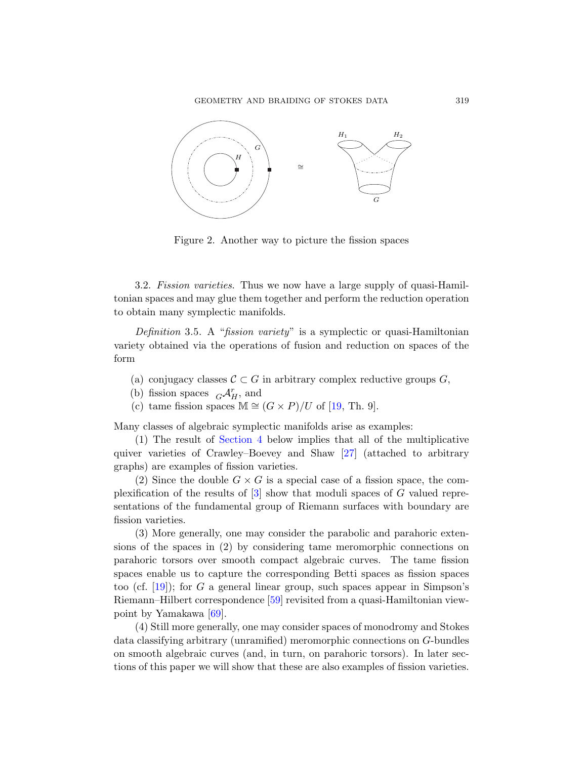

Figure 2. Another way to picture the fission spaces

3.2. Fission varieties. Thus we now have a large supply of quasi-Hamiltonian spaces and may glue them together and perform the reduction operation to obtain many symplectic manifolds.

Definition 3.5. A "[fiss](#page-60-5)ion variety" is a symplectic or quasi-Hamiltonian variety obtained via the operations of fusion and reduction on spaces of the [form](#page-19-0)

- (a) conjugacy classes  $C \subset G$  in arbitrary complex reductive groups G,
- (b) fission spaces  $G\mathcal{A}_{H}^{r}$ , and
- (c) [ta](#page-59-2)me fission spaces  $M \cong (G \times P)/U$  of [19, Th. 9].

Many classes of algebraic symplectic manifolds arise as examples:

(1) The result of Section 4 below implies that all of the multiplicative quiver varieties of Crawley–Boevey and Shaw [27] (attached to arbitrary graphs) are examples of fission varieties.

(2) Since the double  $G \times G$  is a special case of a fission space, the complexification of the results of [3] show that moduli spaces of G valued representations of the fundamental group of Riemann surfaces with boundary are fission vari[etie](#page-63-0)s.

(3) More generally, one may consider the parabolic and parahoric extensions of the spaces in (2) by considering tame meromorphic connections on parahoric torsors over smooth compact algebraic curves. The tame fission spaces enable us to capture the corresponding Betti spaces as fission spaces too (cf.  $[19]$ ); for G a general linear group, such spaces appear in Simpson's Riemann–Hilbert correspondence [59] revisited from a quasi-Hamiltonian viewpoint by Yamakawa [69].

(4) Still more generally, one may consider spaces of monodromy and Stokes data classifying arbitrary (unramified) meromorphic connections on G-bundles on smooth algebraic curves (and, in turn, on parahoric torsors). In later sections of this paper we will show that these are also examples of fission varieties.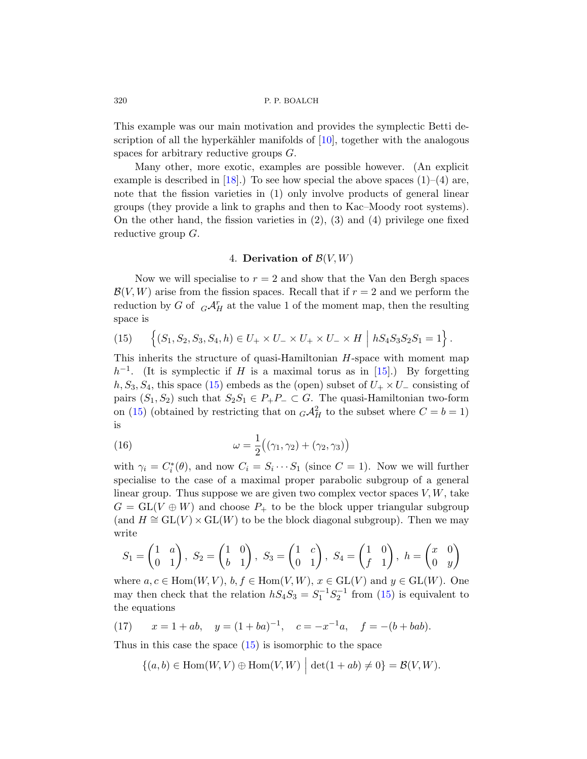This example was our main motivation and provides the symplectic Betti description of all the hyperkähler manifolds of  $[10]$ , together with the analogous spaces for arbitrary reductive groups G.

<span id="page-19-0"></span>Many other, more exotic, examples are possible however. (An explicit example is described in [18].) To see how special the above spaces  $(1)$ – $(4)$  are, note that the fission varieties in (1) only involve products of general linear groups (they provide a link to graphs and then to Kac–Moody root systems). On the other hand, the fission varieties in  $(2)$ ,  $(3)$  and  $(4)$  privilege one fixed reductive group G.

## 4. Derivation of  $\mathcal{B}(V, W)$

<span id="page-19-1"></span>Now we will specialise to  $r = 2$  and show that the Van den Bergh spaces  $\mathcal{B}(V,W)$  arise from the fission spa[ces.](#page-60-2) Recall that if  $r=2$  and we perform the [r](#page-19-1)eduction by G of  $\ {}_G\mathcal{A}_H^r$  at the value 1 of the moment map, then the resulting space is

(15) 
$$
\left\{ (S_1, S_2, S_3, S_4, h) \in U_+ \times U_- \times U_+ \times U_- \times H \mid hS_4S_3S_2S_1 = 1 \right\}.
$$

This inherits the structure of quasi-Hamiltonian  $H$ -space with moment map  $h^{-1}$ . (It is symplectic if H is a maximal torus as in [15].) By forgetting  $h, S_3, S_4$ , this space (15) embeds as the (open) subset of  $U_+ \times U_-$  consisting of pairs  $(S_1, S_2)$  such that  $S_2S_1 \in P_+P_- \subset G$ . The quasi-Hamiltonian two-form on (15) (obtained by restricting that on  $_G\mathcal{A}_H^2$  to the subset where  $C=b=1$ ) is

(16) 
$$
\omega = \frac{1}{2} ((\gamma_1, \gamma_2) + (\gamma_2, \gamma_3))
$$

with  $\gamma_i = C_i^*(\theta)$ , and now  $C_i = S_i \cdots S_1$  (since  $C = 1$ ). Now we will further specialise to the case of a maximal proper parabolic subgroup of a general linear group. Thus suppose we are given two complex vector spaces  $V, W$ , take  $G = GL(V \oplus W)$  and choose  $P_+$  [to b](#page-19-1)e the block upper triangular subgroup (and  $H \cong GL(V) \times GL(W)$  to be the block diagonal subgroup). Then we may write

$$
S_1 = \begin{pmatrix} 1 & a \\ 0 & 1 \end{pmatrix}, S_2 = \begin{pmatrix} 1 & 0 \\ b & 1 \end{pmatrix}, S_3 = \begin{pmatrix} 1 & c \\ 0 & 1 \end{pmatrix}, S_4 = \begin{pmatrix} 1 & 0 \\ f & 1 \end{pmatrix}, h = \begin{pmatrix} x & 0 \\ 0 & y \end{pmatrix}
$$

where  $a, c \in \text{Hom}(W, V), b, f \in \text{Hom}(V, W), x \in \text{GL}(V)$  and  $y \in \text{GL}(W)$ . One may then check that the relation  $hS_4S_3 = S_1^{-1}S_2^{-1}$  from (15) is equivalent to the equations

(17)  $x = 1 + ab$ ,  $y = (1 + ba)^{-1}$ ,  $c = -x^{-1}a$ ,  $f = -(b + bab)$ .

Thus in this case the space  $(15)$  is isomorphic to the space

$$
\{(a,b)\in \text{Hom}(W,V)\oplus \text{Hom}(V,W)\ \Big|\ \det(1+ab)\neq 0\}=\mathcal{B}(V,W).
$$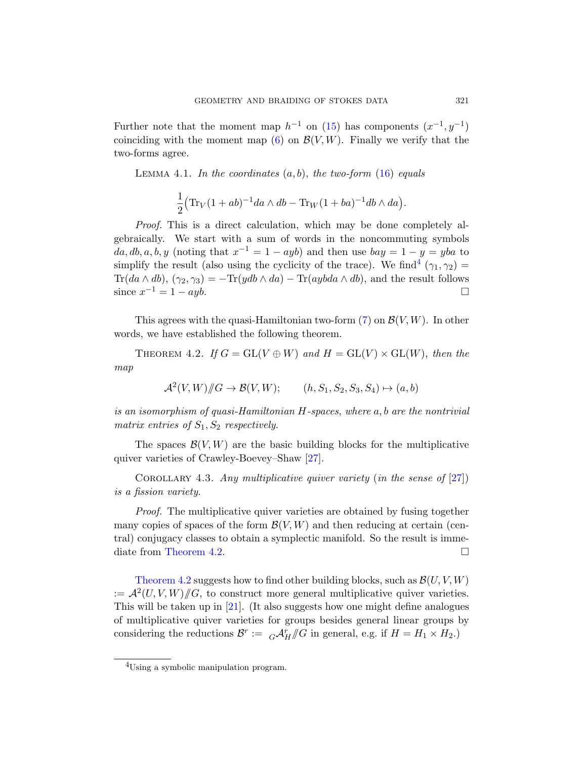Further note that the moment map  $h^{-1}$  on (15) has components  $(x^{-1}, y^{-1})$ coinciding with the moment map  $(6)$  on  $\mathcal{B}(V, W)$ . Finally we verify that the two-forms agree.

LEMMA 4.1. In [th](#page-20-1)e coordinates  $(a, b)$ , the two-form  $(16)$  equals

$$
\frac{1}{2} \left( \text{Tr}_V (1+ab)^{-1} da \wedge db - \text{Tr}_W (1+ba)^{-1} db \wedge da \right).
$$

<span id="page-20-0"></span>Proof. This is a direct calculation, which may be done completely algebraically. We start with a [su](#page-11-2)m of words in the noncommuting symbols  $da, db, a, b, y$  (noting that  $x^{-1} = 1 - ayb$ ) and then use  $bay = 1 - y = yba$  to simplify the result (also using the cyclicity of the trace). We find<sup>4</sup>  $(\gamma_1, \gamma_2)$  = Tr(da  $\wedge$  db),  $(\gamma_2, \gamma_3) = -\text{Tr}(ydb \wedge da) - \text{Tr}(aybda \wedge db)$ , and the result follows since  $x^{-1} = 1 - ayb$ .

This agrees with the quasi-Hamiltonian two-form  $(7)$  on  $\mathcal{B}(V, W)$ . In other words, we have established the following theorem.

THEOREM 4.2. If  $G = GL(V \oplus W)$  and  $H = GL(V) \times GL(W)$ , then the map

$$
\mathcal{A}^2(V,W)/\!\!/G \to \mathcal{B}(V,W);\qquad (h, S_1, S_2, S_3, S_4) \mapsto (a,b)
$$

is an isomorphism of quasi-Hamiltonian H-spaces, where a, b are the nontrivial matrix entries of  $S_1, S_2$  respectively.

The spaces  $\mathcal{B}(V, W)$  are the basic building blocks for the multiplicative quiver varieties of Crawley-Boevey–Shaw [27].

COROLLARY 4.3. Any multiplicative quiver variety (in the sense of  $[27]$ ) is a fission variety.

Proof. The multiplicative quiver varieties are obtained by fusing together [many](#page-60-4) copies of spaces of the form  $\mathcal{B}(V, W)$  and then reducing at certain (central) conjugacy classes to obtain a symplectic manifold. So the result is immediate from Theorem 4.2.

<span id="page-20-1"></span>Theorem 4.2 suggests how to find other building blocks, such as  $\mathcal{B}(U, V, W)$  $:= \mathcal{A}^2(U, V, W)/\!\!/ G$ , to construct more general multiplicative quiver varieties. This will be taken up in [21]. (It also suggests how one might define analogues of multiplicative quiver varieties for groups besides general linear groups by considering the reductions  $\mathcal{B}^r := {}_G\mathcal{A}^r_H/\!\!/ G$  in general, e.g. if  $H = H_1 \times H_2$ .

<sup>&</sup>lt;sup>4</sup>Using a symbolic manipulation program.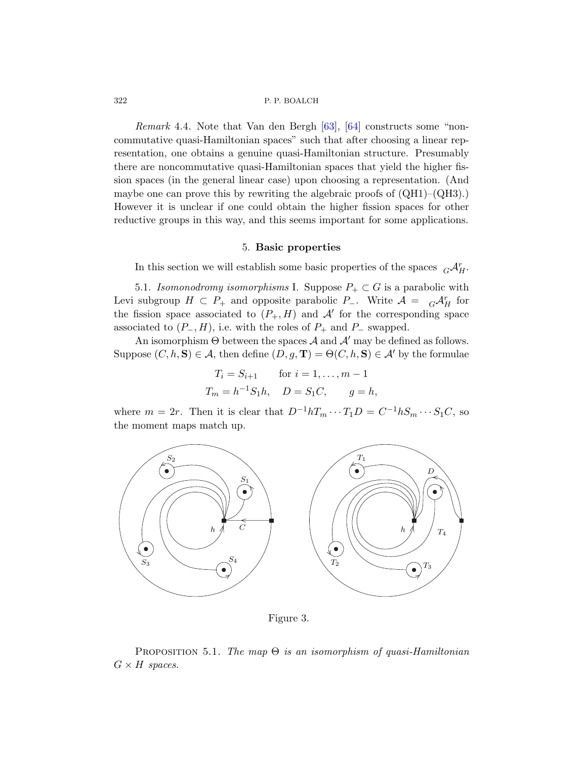<span id="page-21-0"></span>Remark 4.4. Note that Van den Bergh [63], [64] constructs some "noncommutative quasi-Hamiltonian spaces" such that after choosing a linear representation, one obtains a genuine quasi-Hamiltonian structure. Presumably there are noncommutative quasi-Hamiltonian spaces that yield the higher fission spaces (in the general linear case) upon choosing a representation. (And maybe one can prove this by rewriting the algebraic proofs of  $(QH1)–(QH3)$ . However it is unclear if one could obtain the higher fission spaces for other reductive groups in this way, and this seems important for some applications.

## 5. Basic properties

In this section we will establish some basic properties of the spaces  $G\mathcal{A}_{H}^{r}$ .

5.1. Isomonodromy isomorphisms I. Suppose  $P_+ \subset G$  is a parabolic with Levi subgroup  $H \subset P_+$  and opposite parabolic  $P_-$ . Write  $\mathcal{A} = {}_G\mathcal{A}_H^r$  for the fission space associated to  $(P_+, H)$  and  $\mathcal{A}'$  for the corresponding space associated to  $(P_-, H)$ , i.e. with the roles of  $P_+$  and  $P_-$  swapped.

An isomorphism  $\Theta$  between the spaces  $\mathcal A$  and  $\mathcal A'$  may be defined as follows. Suppose  $(C, h, S) \in A$ , then define  $(D, g, T) = \Theta(C, h, S) \in A'$  by the formulae

$$
T_i = S_{i+1}
$$
 for  $i = 1, ..., m - 1$   
\n $T_m = h^{-1}S_1h$ ,  $D = S_1C$ ,  $g = h$ ,

where  $m = 2r$ . Then it is clear that  $D^{-1}hT_m \cdots T_1D = C^{-1}hS_m \cdots S_1C$ , so the moment maps match up.



Figure 3.

<span id="page-21-1"></span>PROPOSITION 5.1. The map  $\Theta$  is an isomorphism of quasi-Hamiltonian  $G \times H$  spaces.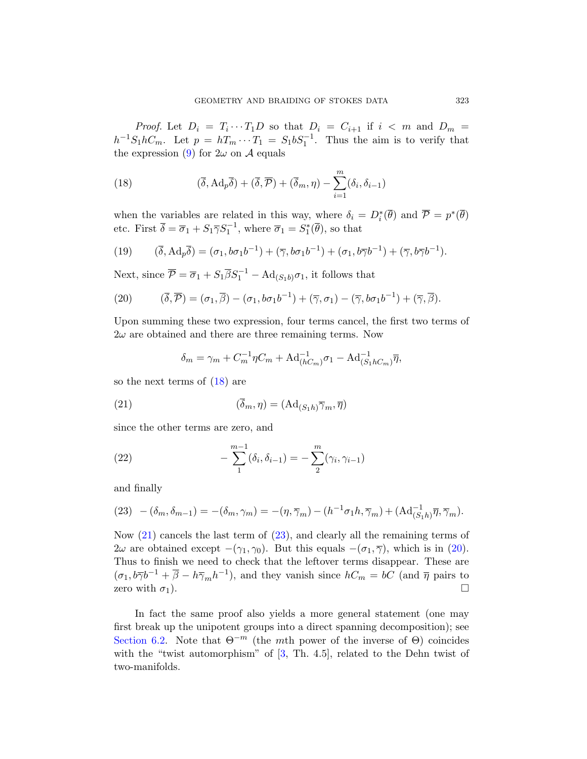<span id="page-22-0"></span>*Proof.* Let  $D_i = T_i \cdots T_1 D$  so that  $D_i = C_{i+1}$  if  $i < m$  and  $D_m =$  $h^{-1}S_1hC_m$ . Let  $p = hT_m \cdots T_1 = S_1bS_1^{-1}$ . Thus the aim is to verify that the expression (9) for  $2\omega$  on A equals

(18) 
$$
(\overline{\delta}, \mathrm{Ad}_p \overline{\delta}) + (\overline{\delta}, \overline{\mathcal{P}}) + (\overline{\delta}_m, \eta) - \sum_{i=1}^m (\delta_i, \delta_{i-1})
$$

<span id="page-22-1"></span>when the variables are related in this way, where  $\delta_i = D_i^*(\overline{\theta})$  and  $\overline{\mathcal{P}} = p^*(\overline{\theta})$ etc. First  $\overline{\delta} = \overline{\sigma}_1 + S_1 \overline{\gamma} S_1^{-1}$ , where  $\overline{\sigma}_1 = S_1^*(\overline{\theta})$ , so that

(19) 
$$
(\overline{\delta}, \mathrm{Ad}_p \overline{\delta}) = (\sigma_1, b\sigma_1 b^{-1}) + (\overline{\gamma}, b\sigma_1 b^{-1}) + (\sigma_1, b\overline{\gamma} b^{-1}) + (\overline{\gamma}, b\overline{\gamma} b^{-1}).
$$

Next, since  $\overline{\mathcal{P}} = \overline{\sigma}_1 + S_1 \overline{\beta} S_1^{-1} - \text{Ad}_{(S_1 b)} \sigma_1$ , it follows that

(20) 
$$
(\overline{\delta}, \overline{\mathcal{P}}) = (\sigma_1, \overline{\beta}) - (\sigma_1, b\sigma_1b^{-1}) + (\overline{\gamma}, \sigma_1) - (\overline{\gamma}, b\sigma_1b^{-1}) + (\overline{\gamma}, \overline{\beta}).
$$

Upon summing these two expression, four terms cancel, the first two terms of  $2\omega$  are obtained and there are three remaining terms. Now

$$
\delta_m = \gamma_m + C_m^{-1} \eta C_m + \text{Ad}_{(hC_m)}^{-1} \sigma_1 - \text{Ad}_{(S_1 hC_m)}^{-1} \overline{\eta},
$$

so the next terms of (18) are

(21) 
$$
(\overline{\delta}_m, \eta) = (\mathrm{Ad}_{(S_1 h)} \overline{\gamma}_m, \overline{\eta})
$$

since the other terms are zero, and

(22) 
$$
-\sum_{1}^{m-1}(\delta_i, \delta_{i-1}) = -\sum_{2}^{m}(\gamma_i, \gamma_{i-1})
$$

and finally

$$
(23) \quad -(\delta_m, \delta_{m-1}) = -(\delta_m, \gamma_m) = -(\eta, \overline{\gamma}_m) - (h^{-1}\sigma_1 h, \overline{\gamma}_m) + (\mathrm{Ad}_{(S_1 h)}^{-1} \overline{\eta}, \overline{\gamma}_m).
$$

Now (21) cancels the last term of (23), and clearly all the remaining terms of  $2\omega$  are obtained except  $-(\gamma_1, \gamma_0)$ . But this equals  $-(\sigma_1, \overline{\gamma})$ , which is in (20). Thus to finish we need to check that the leftover terms disappear. These are  $(\sigma_1, b\overline{\gamma}b^{-1} + \overline{\beta} - h\overline{\gamma}_mh^{-1}),$  and they vanish since  $hC_m = bC$  (and  $\overline{\eta}$  pairs to zero with  $\sigma_1$ ).

In fact the same proof also yields a more general statement (one may first break up the unipotent groups into a direct spanning decomposition); see Section 6.2. Note that  $\Theta^{-m}$  (the mth power of the inverse of  $\Theta$ ) coincides with the "twist automorphism" of  $[3, Th. 4.5]$ , related to the Dehn twist of two-manifolds.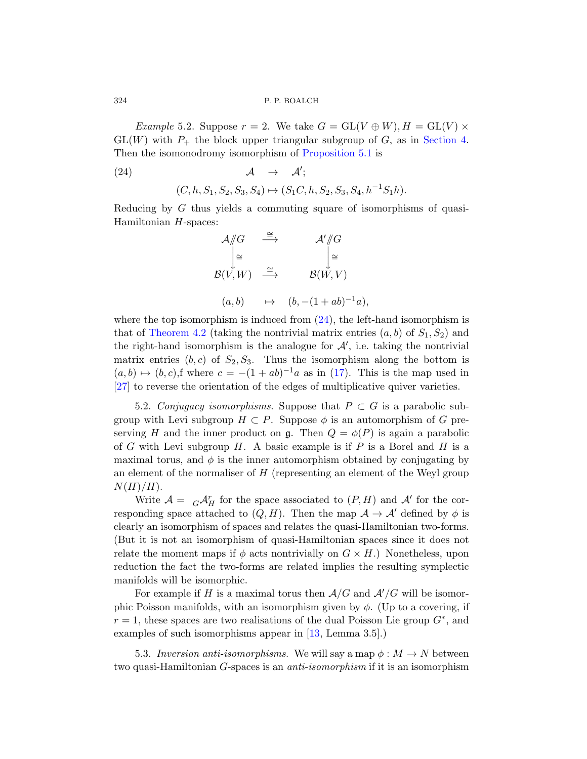*Example* 5.2. Suppose  $r = 2$ . We take  $G = GL(V \oplus W), H = GL(V) \times$  $GL(W)$  with  $P_+$  the block upper triangular subgroup of G, as in Section 4. Then the isomonodromy isomorphism of Proposition 5.1 is

(24) 
$$
\mathcal{A} \rightarrow \mathcal{A}';
$$
  

$$
(C, h, S_1, S_2, S_3, S_4) \mapsto (S_1C, h, S_2, S_3, S_4, h^{-1}S_1h).
$$

Reducing by G thus yields a commuting square of isomorphisms of quasi-Hamiltonian H-spaces:

$$
\mathcal{A}/\!\!/ G \xrightarrow{\cong} \mathcal{A}'/\!\!/ G
$$
  

$$
\downarrow^{\cong} \qquad \qquad \downarrow^{\infty}
$$
  

$$
\mathcal{B}(V, W) \xrightarrow{\cong} \qquad \mathcal{B}(W, V)
$$
  

$$
(a, b) \qquad \mapsto \qquad (b, -(1+ab)^{-1}a),
$$

where the top isomorphism is induced from  $(24)$ , the left-hand isomorphism is that of Theorem 4.2 (taking the nontrivial matrix entries  $(a, b)$  of  $S_1, S_2$ ) and the right-hand isomorphism is the analogue for  $\mathcal{A}'$ , i.e. taking the nontrivial matrix entries  $(b, c)$  of  $S_2, S_3$ . Thus the isomorphism along the bottom is  $(a, b) \mapsto (b, c)$ , f where  $c = -(1 + ab)^{-1}a$  as in (17). This is the map used in [27] to reverse the orientation of the edges of multiplicative quiver varieties.

5.2. Conjugacy isomorphisms. Suppose that  $P \subset G$  is a parabolic subgroup with Levi subgroup  $H \subset P$ . Suppose  $\phi$  is an automorphism of G preserving H and the inner product on g. Then  $Q = \phi(P)$  is again a parabolic of G with Levi subgroup  $H$ . A basic example is if P is a Borel and H is a maximal torus, and  $\phi$  is the inner automorphism obtained by conjugating by an element of the normaliser of  $H$  (representing an element of the Weyl group  $N(H)/H$ ).

Write  $\mathcal{A} = G \mathcal{A}_H^r$  for the space associated to  $(P, H)$  and  $\mathcal{A}'$  for the corresponding space attached to  $(Q, H)$ . Then the map  $\mathcal{A} \to \mathcal{A}'$  defined by  $\phi$  is clearly an isomorphism of spaces and relates the quasi-Hamiltonian two-forms. (But it is not an isomorphism of quasi-Hamiltonian spaces since it does not relate the moment [ma](#page-59-7)ps if  $\phi$  acts nontrivially on  $G \times H$ .) Nonetheless, upon reduction the fact the two-forms are related implies the resulting symplectic manifolds will be isomorphic.

For example if H is a maximal torus then  $A/G$  and  $A'/G$  will be isomorphic Poisson manifolds, with an isomorphism given by  $\phi$ . (Up to a covering, if  $r = 1$ , these spaces are two realisations of the dual Poisson Lie group  $G^*$ , and examples of such isomorphisms appear in [13, Lemma 3.5].)

5.3. Inversion anti-isomorphisms. We will say a map  $\phi: M \to N$  between two quasi-Hamiltonian G-spaces is an anti-isomorphism if it is an isomorphism

<span id="page-23-0"></span>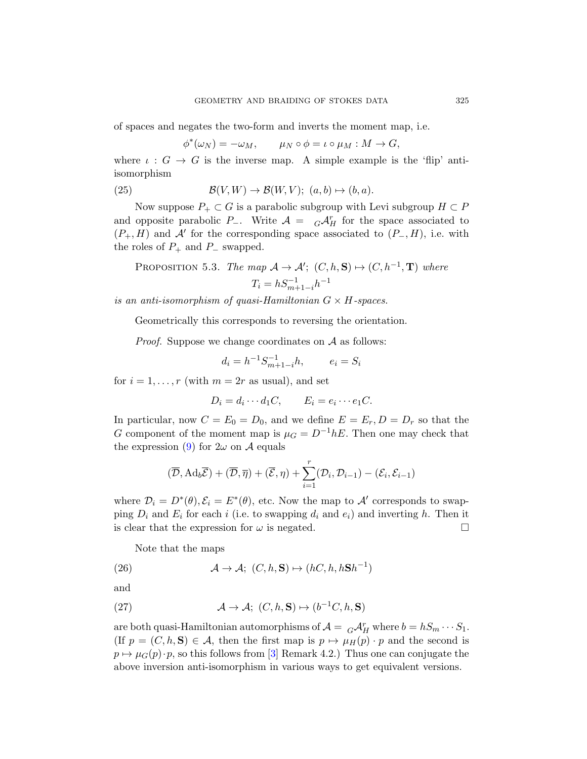of spaces and negates the two-form and inverts the moment map, i.e.

$$
\phi^*(\omega_N) = -\omega_M, \qquad \mu_N \circ \phi = \iota \circ \mu_M : M \to G,
$$

where  $\iota : G \to G$  is the inverse map. A simple example is the 'flip' antiisomorphism

(25) 
$$
\mathcal{B}(V,W) \to \mathcal{B}(W,V); (a,b) \mapsto (b,a).
$$

Now suppose  $P_+ \subset G$  is a parabolic subgroup with Levi subgroup  $H \subset P$ and opposite parabolic P<sub>-</sub>. Write  $A = G \mathcal{A}_H^r$  for the space associated to  $(P_+, H)$  and A' for the corresponding space associated to  $(P_-, H)$ , i.e. with the roles of  $P_+$  and  $P_-$  swapped.

PROPOSITION 5.3. The map 
$$
\mathcal{A} \to \mathcal{A}'
$$
;  $(C, h, \mathbf{S}) \mapsto (C, h^{-1}, \mathbf{T})$  where  

$$
T_i = h S_{m+1-i}^{-1} h^{-1}
$$

is an anti-isomorphism of quasi-Hamiltonian  $G \times H$ -spaces.

Geometrically this corresponds to reversing the orientation.

*Proof.* Suppose we change coordinates on  $A$  as follows:

$$
d_i = h^{-1} S_{m+1-i}^{-1} h, \qquad e_i = S_i
$$

for  $i = 1, \ldots, r$  (with  $m = 2r$  as usual), and set

$$
D_i = d_i \cdots d_1 C, \qquad E_i = e_i \cdots e_1 C.
$$

In particular, now  $C = E_0 = D_0$ , and we define  $E = E_r$ ,  $D = D_r$  so that the G component of the moment map is  $\mu_G = D^{-1}hE$ . Then one may check that the expression (9) for  $2\omega$  on A equals

$$
(\overline{\mathcal{D}}, \mathrm{Ad}_b \overline{\mathcal{E}}) + (\overline{\mathcal{D}}, \overline{\eta}) + (\overline{\mathcal{E}}, \eta) + \sum_{i=1}^r (\mathcal{D}_i, \mathcal{D}_{i-1}) - (\mathcal{E}_i, \mathcal{E}_{i-1})
$$

<span id="page-24-1"></span><span id="page-24-0"></span>where  $\mathcal{D}_i = D^*(\theta), \mathcal{E}_i = E^*(\theta)$ , etc. Now the map to  $\mathcal{A}'$  corresponds to swapping  $D_i$  and  $E_i$  for each i (i.e. to swapping  $d_i$  and  $e_i$ ) and inverting h. Then it is clear that the expression for  $\omega$  is negated.

Note that the maps

(26) 
$$
\mathcal{A} \to \mathcal{A}; (C, h, \mathbf{S}) \mapsto (hC, h, h\mathbf{S}h^{-1})
$$

and

(27) 
$$
\mathcal{A} \to \mathcal{A}; (C, h, \mathbf{S}) \mapsto (b^{-1}C, h, \mathbf{S})
$$

are both quasi-Hamiltonian automorphisms of  $\mathcal{A} = {}_G\mathcal{A}_H^r$  where  $b = hS_m \cdots S_1$ . (If  $p = (C, h, S) \in \mathcal{A}$ , then the first map is  $p \mapsto \mu_H(p) \cdot p$  and the second is  $p \mapsto \mu_G(p) \cdot p$ , so this follows from [3] Remark 4.2.) Thus one can conjugate the above inversion anti-isomorphism in various ways to get equivalent versions.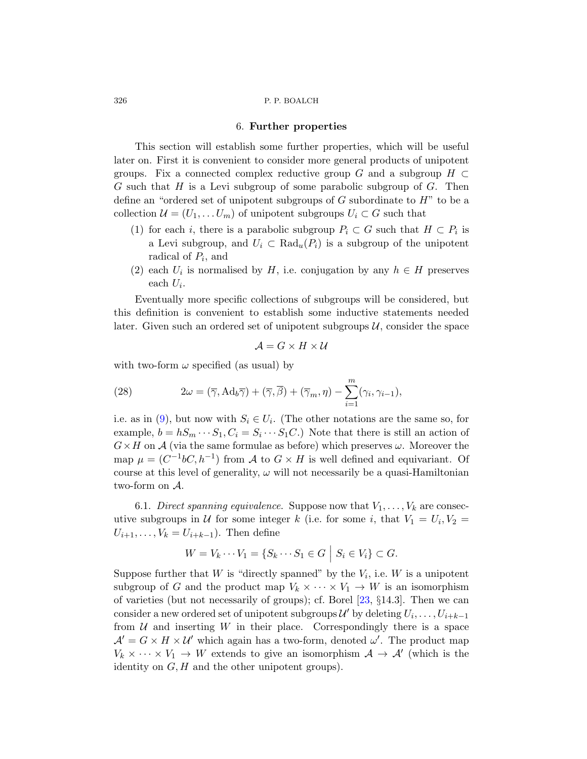## 6. Further properties

<span id="page-25-0"></span>This section will establish some further properties, which will be useful later on. First it is convenient to consider more general products of unipotent groups. Fix a connected complex reductive group G and a subgroup  $H \subset$ G such that H is a Levi subgroup of some parabolic subgroup of G. Then define an "ordered set of unipotent subgroups of  $G$  subordinate to  $H$ " to be a collection  $\mathcal{U} = (U_1, \ldots U_m)$  of unipotent subgroups  $U_i \subset G$  such that

- (1) for each i, there is a parabolic subgroup  $P_i \subset G$  such that  $H \subset P_i$  is a Levi subgroup, and  $U_i \subset \text{Rad}_{u}(P_i)$  is a subgroup of the unipotent radical of  $P_i$ , and
- (2) each  $U_i$  is normalised by  $H$ , i.e. conjugation by any  $h \in H$  preserves each  $U_i$ .

Eventually more specific collections of subgroups will be considered, but this definition is convenient to establish some inductive statements needed later. Given such an ordered set of unipotent subgroups  $\mathcal{U}$ , consider the space

$$
\mathcal{A} = G \times H \times \mathcal{U}
$$

with two-form  $\omega$  specified (as usual) by

(28) 
$$
2\omega = (\overline{\gamma}, \text{Ad}_b \overline{\gamma}) + (\overline{\gamma}, \overline{\beta}) + (\overline{\gamma}_m, \eta) - \sum_{i=1}^m (\gamma_i, \gamma_{i-1}),
$$

i.e. as in (9), but now with  $S_i \in U_i$ . (The other notations are the same so, for example,  $b = hS_m \cdots S_1, C_i = S_i \cdots S_1 C.$  Note that there is still an action of  $G \times H$  on A (via the same formulae as before) which preserves  $\omega$ . Moreover the map  $\mu = (C^{-1}bC, h^{-1})$  from A to  $G \times H$  is well defined and equivariant. Of course at this level of generality,  $\omega$  will not necessarily be a quasi-Hamiltonian two-form on A.

6.1. Direct spanning equivalence. Suppose now that  $V_1, \ldots, V_k$  are consecutive subgroups in U for som[e in](#page-60-8)teger k (i.e. for some i, that  $V_1 = U_i, V_2 =$  $U_{i+1}, \ldots, V_k = U_{i+k-1}$ . Then define

$$
W = V_k \cdots V_1 = \{ S_k \cdots S_1 \in G \mid S_i \in V_i \} \subset G.
$$

Suppose further that  $W$  is "directly spanned" by the  $V_i$ , i.e.  $W$  is a unipotent subgroup of G and the product map  $V_k \times \cdots \times V_1 \to W$  is an isomorphism of varieties (but not necessarily of groups); cf. Borel [23, §14.3]. Then we can consider a new ordered set of unipotent subgroups  $\mathcal{U}'$  by deleting  $U_i, \ldots, U_{i+k-1}$ from  $U$  and inserting  $W$  in their place. Correspondingly there is a space  $\mathcal{A}' = G \times H \times \mathcal{U}'$  which again has a two-form, denoted  $\omega'$ . The product map  $V_k \times \cdots \times V_1 \to W$  extends to give an isomorphism  $\mathcal{A} \to \mathcal{A}'$  (which is the identity on  $G, H$  and the other unipotent groups).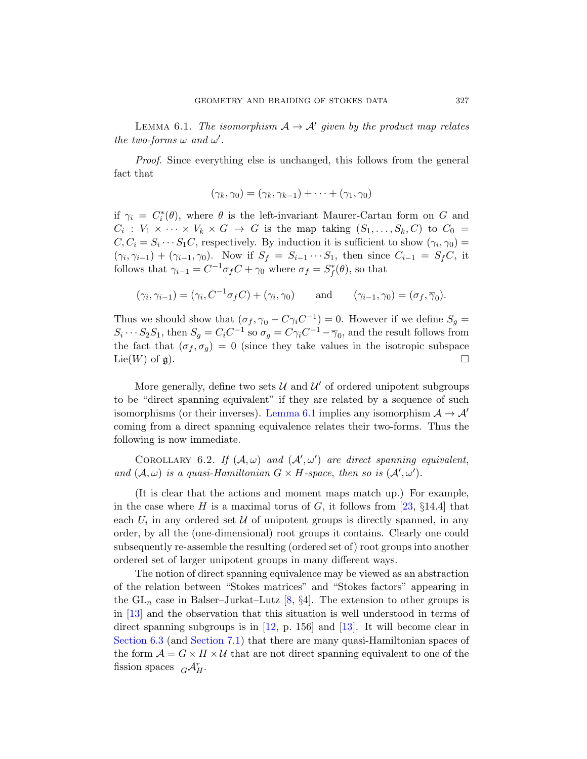<span id="page-26-0"></span>LEMMA 6.1. The isomorphism  $A \rightarrow A'$  given by the product map relates the two-forms  $\omega$  and  $\omega'$ .

Proof. Since everything else is unchanged, this follows from the general fact that

$$
(\gamma_k, \gamma_0) = (\gamma_k, \gamma_{k-1}) + \cdots + (\gamma_1, \gamma_0)
$$

if  $\gamma_i = C_i^*(\theta)$ , where  $\theta$  is the left-invariant Maurer-Cartan form on G and  $C_i: V_1 \times \cdots \times V_k \times G \to G$  is the map taking  $(S_1, \ldots, S_k, C)$  to  $C_0 =$  $C, C_i = S_i \cdots S_1 C$ , respectively. By induction it is sufficient to show  $(\gamma_i, \gamma_0)$  =  $(\gamma_i, \gamma_{i-1}) + (\gamma_{i-1}, \gamma_0)$ . Now if  $S_f = S_{i-1} \cdots S_1$ , then since  $C_{i-1} = S_f C$ , it follows that  $\gamma_{i-1} = C^{-1} \sigma_f C + \gamma_0$  where  $\sigma_f = S_f^*(\theta)$ , so that

$$
(\gamma_i, \gamma_{i-1}) = (\gamma_i, C^{-1}\sigma_f C) + (\gamma_i, \gamma_0) \quad \text{and} \quad (\gamma_{i-1}, \gamma_0) = (\sigma_f, \overline{\gamma}_0).
$$

Thus we should show that  $(\sigma_f, \overline{\gamma}_0 - C\gamma_i C^{-1}) = 0$ . However if we define  $S_g =$  $S_i \cdots S_2 S_1$ [, then](#page-26-0)  $S_g = C_i C^{-1}$  so  $\sigma_g = C \gamma_i C^{-1} - \overline{\gamma}_0$ , and the result follows from the fact that  $(\sigma_f, \sigma_g) = 0$  (since they take values in the isotropic subspace Lie(W) of  $\mathfrak{g}$ ).

<span id="page-26-1"></span>More generally, define two sets  $\mathcal{U}$  and  $\mathcal{U}'$  of ordered unipotent subgroups to be "direct spanning equivalent" if they are related by a sequence of such isomorphisms (or their inverses). Lemma 6.1 implies any isomorphism  $A \rightarrow A'$ coming from a direct spanning equivale[nce](#page-60-8) relates their two-forms. Thus the following is now immediate.

COROLLARY 6.2. If  $(A, \omega)$  and  $(A', \omega')$  are direct spanning equivalent, and  $(A, \omega)$  is a quasi-Hamiltonian  $G \times H$ -space, then so is  $(A', \omega')$ .

(It is clear that the actions and moment maps match up.) For example, in the case where H is a maximal torus of G, it follows from [23,  $\S 14.4$ ] that each  $U_i$  in an[y o](#page-59-10)rdered set  $U$  of unipotent groups is directly spanned, in any order, by all the (one-dimensional) root groups it contains. Clearly one could subseque[ntly](#page-59-5) re-assemble t[he r](#page-59-7)esulting (ordered set of) root groups into another [order](#page-32-0)ed set of larger unipotent groups in many different ways.

The notion of direct spanning equivalence may be viewed as an abstraction of the relation between "Stokes matrices" and "Stokes factors" appearing in the  $GL_n$  case in Balser–Jurkat–Lutz [8, §4]. The extension to other groups is in [13] and the observation that this situation is well understood in terms of direct spanning subgroups is in  $[12, p. 156]$  and  $[13]$ . It will become clear in Section 6.3 (and Section 7.1) that there are many quasi-Hamiltonian spaces of the form  $A = G \times H \times U$  that are not direct spanning equivalent to one of the fission spaces  $_G\mathcal{A}_{H}^r$ .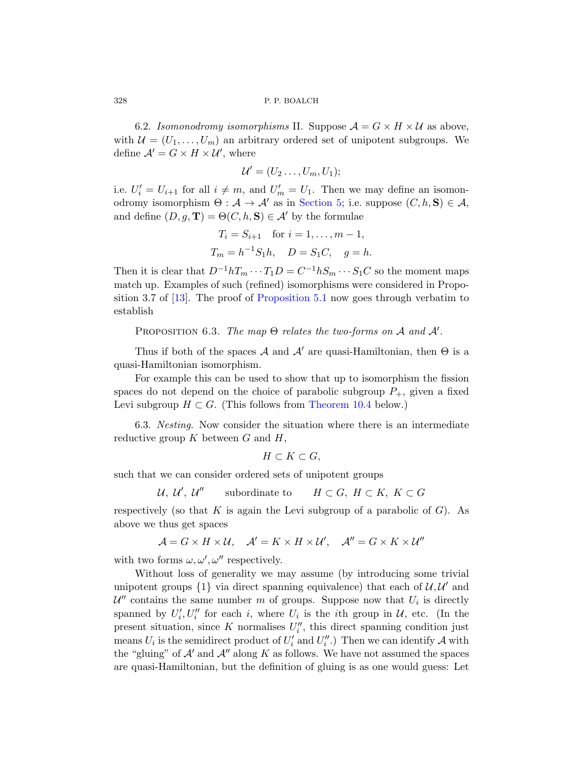6.2. Isomon[odromy iso](#page-21-0)morphisms II. Suppose  $\mathcal{A} = G \times H \times U$  as above, with  $\mathcal{U} = (U_1, \ldots, U_m)$  an arbitrary ordered set of unipotent subgroups. We define  $\mathcal{A}' = G \times H \times \mathcal{U}'$ , where

$$
\mathcal{U}'=(U_2\ldots,U_m,U_1);
$$

i.e.  $U_i' = U_{i+1}$  for all  $i \neq m$ , and  $U_m' = U_1$ . Then we may define an isomonodromy isomorphism  $\Theta : \mathcal{A} \to \mathcal{A}'$  as in Section 5; i.e. suppose  $(C, h, S) \in \mathcal{A}$ , and define  $(D, g, \mathbf{T}) = \Theta(C, h, \mathbf{S}) \in \mathcal{A}'$  by the formulae

$$
T_i = S_{i+1}
$$
 for  $i = 1, ..., m - 1$ ,  
\n $T_m = h^{-1}S_1h$ ,  $D = S_1C$ ,  $g = h$ .

<span id="page-27-0"></span>Then it is clear that  $D^{-1}hT_m \cdots T_1D = C^{-1}hS_m \cdots S_1C$  so the moment maps match up. Examples of such (refined) isomorphisms were considered in Proposition 3.7 of  $[13]$ . The proof of Proposition 5.1 now goes through verbatim to establish

PROPOSITION 6.3. [The map](#page-53-1)  $\Theta$  relates the two-forms on A and  $\mathcal{A}'$ .

Thus if both of the spaces A and  $A'$  are quasi-Hamiltonian, then  $\Theta$  is a quasi-Hamiltonian isomorphism.

For example this can be used to show that up to isomorphism the fission spaces do not depend on the choice of parabolic subgroup  $P_+$ , given a fixed Levi subgroup  $H \subset G$ . (This follows from Theorem 10.4 below.)

6.3. Nesting. Now consider the situation where there is an intermediate reductive group  $K$  between  $G$  and  $H$ ,

$$
H \subset K \subset G,
$$

such that we can consider ordered sets of unipotent groups

$$
\mathcal{U}, \mathcal{U}', \mathcal{U}'' \qquad \text{subordinate to} \qquad H \subset G, \ H \subset K, \ K \subset G
$$

respectively (so that K is again the Levi subgroup of a parabolic of  $G$ ). As above we thus get spaces

$$
\mathcal{A} = G \times H \times \mathcal{U}, \quad \mathcal{A}' = K \times H \times \mathcal{U}', \quad \mathcal{A}'' = G \times K \times \mathcal{U}''
$$

with two forms  $\omega, \omega', \omega''$  respectively.

Without loss of generality we may assume (by introducing some trivial unipotent groups  $\{1\}$  via direct spanning equivalence) that each of  $\mathcal{U}, \mathcal{U}'$  and  $\mathcal{U}''$  contains the same number m of groups. Suppose now that  $U_i$  is directly spanned by  $U'_i, U''_i$  for each i, where  $U_i$  is the ith group in  $\mathcal{U}$ , etc. (In the present situation, since K normalises  $U''_i$ , this direct spanning condition just means  $U_i$  is the semidirect product of  $U_i'$  and  $U_i''$ .) Then we can identify A with the "gluing" of  $A'$  and  $A''$  along K as follows. We have not assumed the spaces are quasi-Hamiltonian, but the definition of gluing is as one would guess: Let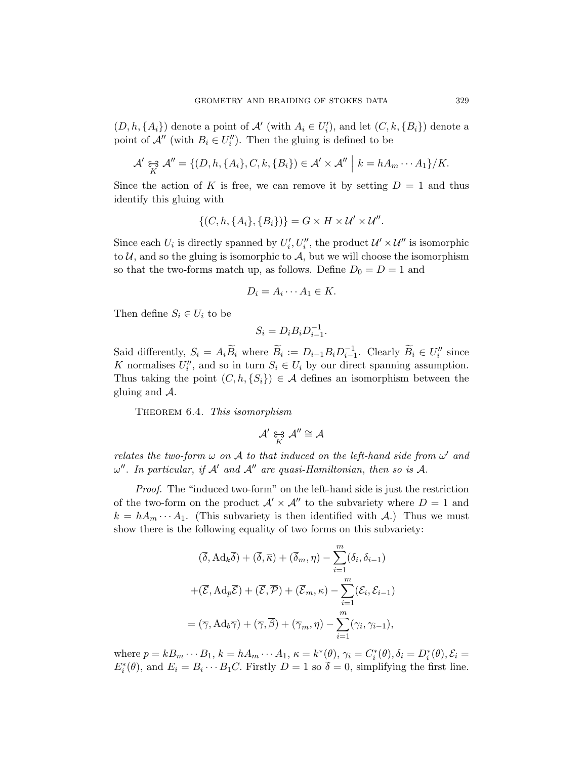$(D, h, \{A_i\})$  denote a point of  $\mathcal{A}'$  (with  $A_i \in U'_i$ ), and let  $(C, k, \{B_i\})$  denote a point of  $\mathcal{A}''$  (with  $B_i \in U''_i$ ). Then the gluing is defined to be

$$
\mathcal{A}' \underset{K}{\epsilon} \mathcal{A}'' = \{ (D, h, \{A_i\}, C, k, \{B_i\}) \in \mathcal{A}' \times \mathcal{A}'' \mid k = hA_m \cdots A_1 \} / K.
$$

Since the action of K is free, we can remove it by setting  $D = 1$  and thus identify this gluing with

$$
\{(C, h, \{A_i\}, \{B_i\})\} = G \times H \times \mathcal{U}' \times \mathcal{U}''.
$$

Since each  $U_i$  is directly spanned by  $U'_i, U''_i$ , the product  $\mathcal{U}' \times \mathcal{U}''$  is isomorphic to  $\mathcal{U}$ , and so the gluing is isomorphic to  $\mathcal{A}$ , but we will choose the isomorphism so that the two-forms match up, as follows. Define  $D_0 = D = 1$  and

$$
D_i = A_i \cdots A_1 \in K.
$$

Then define  $S_i \in U_i$  to be

$$
S_i = D_i B_i D_{i-1}^{-1}.
$$

Said differently,  $S_i = A_i \widetilde{B}_i$  where  $\widetilde{B}_i := D_{i-1} B_i D_{i-1}^{-1}$ . Clearly  $\widetilde{B}_i \in U''_i$  since K normalises  $U''_i$ , and so in turn  $S_i \in U_i$  by our direct spanning assumption. Thus taking the point  $(C, h, \{S_i\}) \in \mathcal{A}$  defines an isomorphism between the gluing and A.

<span id="page-28-0"></span>THEOREM 6.4. This isomorphism

$$
\mathcal{A}' \underset{K}{\varepsilon} \mathcal{A}'' \cong \mathcal{A}
$$

relates the two-form  $\omega$  on A to that induced on the left-hand side from  $\omega'$  and  $\omega''$ . In particular, if A' and A'' are quasi-Hamiltonian, then so is A.

Proof. The "induced two-form" on the left-hand side is just the restriction of the two-form on the product  $\mathcal{A}' \times \mathcal{A}''$  to the subvariety where  $D = 1$  and  $k = hA_m \cdots A_1$ . (This subvariety is then identified with A.) Thus we must show there is the following equality of two forms on this subvariety:

$$
(\overline{\delta}, \mathrm{Ad}_k \overline{\delta}) + (\overline{\delta}, \overline{\kappa}) + (\overline{\delta}_m, \eta) - \sum_{i=1}^m (\delta_i, \delta_{i-1})
$$

$$
+ (\overline{\mathcal{E}}, \mathrm{Ad}_p \overline{\mathcal{E}}) + (\overline{\mathcal{E}}, \overline{\mathcal{P}}) + (\overline{\mathcal{E}}_m, \kappa) - \sum_{i=1}^m (\mathcal{E}_i, \mathcal{E}_{i-1})
$$

$$
= (\overline{\gamma}, \mathrm{Ad}_b \overline{\gamma}) + (\overline{\gamma}, \overline{\beta}) + (\overline{\gamma}_m, \eta) - \sum_{i=1}^m (\gamma_i, \gamma_{i-1}),
$$

where  $p = kB_m \cdots B_1$ ,  $k = hA_m \cdots A_1$ ,  $\kappa = k^*(\theta)$ ,  $\gamma_i = C_i^*(\theta)$ ,  $\delta_i = D_i^*(\theta)$ ,  $\mathcal{E}_i =$  $E_i^*(\theta)$ , and  $E_i = B_i \cdots B_1 C$ . Firstly  $D = 1$  so  $\overline{\delta} = 0$ , simplifying the first line.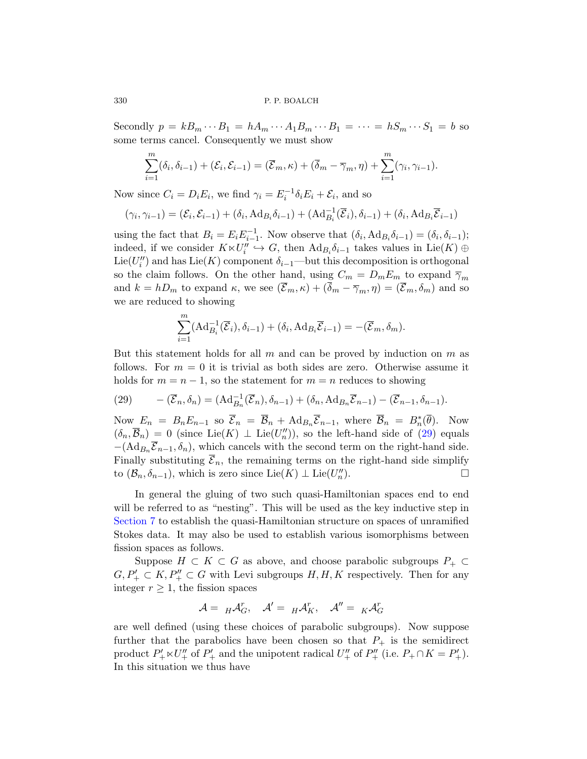Secondly  $p = kB_m \cdots B_1 = hA_m \cdots A_1B_m \cdots B_1 = \cdots = hS_m \cdots S_1 = b$  so some terms cancel. Consequently we must show

$$
\sum_{i=1}^m (\delta_i, \delta_{i-1}) + (\mathcal{E}_i, \mathcal{E}_{i-1}) = (\overline{\mathcal{E}}_m, \kappa) + (\overline{\delta}_m - \overline{\gamma}_m, \eta) + \sum_{i=1}^m (\gamma_i, \gamma_{i-1}).
$$

Now since  $C_i = D_i E_i$ , we find  $\gamma_i = E_i^{-1} \delta_i E_i + \mathcal{E}_i$ , and so

$$
(\gamma_i, \gamma_{i-1}) = (\mathcal{E}_i, \mathcal{E}_{i-1}) + (\delta_i, \mathrm{Ad}_{B_i} \delta_{i-1}) + (\mathrm{Ad}_{B_i}^{-1}(\overline{\mathcal{E}}_i), \delta_{i-1}) + (\delta_i, \mathrm{Ad}_{B_i} \overline{\mathcal{E}}_{i-1})
$$

using the fact that  $B_i = E_i E_{i-1}^{-1}$ . Now observe that  $(\delta_i, \text{Ad}_{B_i} \delta_{i-1}) = (\delta_i, \delta_{i-1});$ indeed, if we consider  $K \ltimes U''_i \hookrightarrow G$ , then  $\text{Ad}_{B_i} \delta_{i-1}$  takes values in  $\text{Lie}(K) \oplus$ Lie( $U''_i$ ) and has Lie(K) component  $\delta_{i-1}$ —but this decomposition is orthogonal so the claim follows. On the other hand, using  $C_m = D_m E_m$  to expand  $\overline{\gamma}_m$ and  $k = hD_m$  to expand  $\kappa$ , we see  $(\overline{\mathcal{E}}_m, \kappa) + (\overline{\delta}_m - \overline{\gamma}_m, \eta) = (\overline{\mathcal{E}}_m, \delta_m)$  and so we are reduced to showing

$$
\sum_{i=1}^{m} (Ad_{B_i}^{-1}(\overline{\mathcal{E}}_i), \delta_{i-1}) + (\delta_i, Ad_{B_i}\overline{\mathcal{E}}_{i-1}) = -(\overline{\mathcal{E}}_m, \delta_m).
$$

<span id="page-29-0"></span>But this statement holds for all  $m$  and can [be](#page-29-0) proved by induction on  $m$  as follows. For  $m = 0$  it is trivial as both sides are zero. Otherwise assume it holds for  $m = n - 1$ , so the statement for  $m = n$  reduces to showing

(29) 
$$
-(\overline{\mathcal{E}}_n,\delta_n)=(\mathrm{Ad}_{B_n}^{-1}(\overline{\mathcal{E}}_n),\delta_{n-1})+(\delta_n,\mathrm{Ad}_{B_n}\overline{\mathcal{E}}_{n-1})-(\overline{\mathcal{E}}_{n-1},\delta_{n-1}).
$$

Now  $E_n = B_n E_{n-1}$  so  $\overline{\mathcal{E}}_n = \overline{\mathcal{B}}_n + \text{Ad}_{B_n} \overline{\mathcal{E}}_{n-1}$ , where  $\overline{\mathcal{B}}_n = B_n^*(\overline{\theta})$ . Now  $(\delta_n, \overline{\mathcal{B}}_n) = 0$  (since Lie(K)  $\perp$  Lie(U''')), so the left-hand side of (29) equals  $-(\text{Ad}_{B_n}\overline{\mathcal{E}}_{n-1}, \delta_n)$ , which cancels with the second term on the right-hand side. Finally substituting  $\overline{\mathcal{E}}_n$ , the remaining terms on the right-hand side simplify to  $(\mathcal{B}_n, \delta_{n-1})$ , which is zero since Lie $(K) \perp \text{Lie}(U''_n)$ ).  $\qquad \qquad \Box$ 

In general the gluing of two such quasi-Hamiltonian spaces end to end will be referred to as "nesting". This will be used as the key inductive step in Section 7 to establish the quasi-Hamiltonian structure on spaces of unramified Stokes data. It may also be used to establish various isomorphisms between fission spaces as follows.

Suppose  $H \subset K \subset G$  as above, and choose parabolic subgroups  $P_+ \subset$  $G, P'_{+} \subset K, P''_{+} \subset G$  with Levi subgroups  $H, H, K$  respectively. Then for any integer  $r \geq 1$ , the fission spaces

$$
\mathcal{A} = {}_H\mathcal{A}_G^r, \quad \mathcal{A}' = {}_H\mathcal{A}_K^r, \quad \mathcal{A}'' = {}_K\mathcal{A}_G^r
$$

are well defined (using these choices of parabolic subgroups). Now suppose further that the parabolics have been chosen so that  $P_+$  is the semidirect product  $P'_+ \ltimes U''_+$  of  $P'_+$  and the unipotent radical  $U''_+$  of  $P''_+$  (i.e.  $P_+ \cap K = P'_+$ ). In this situation we thus have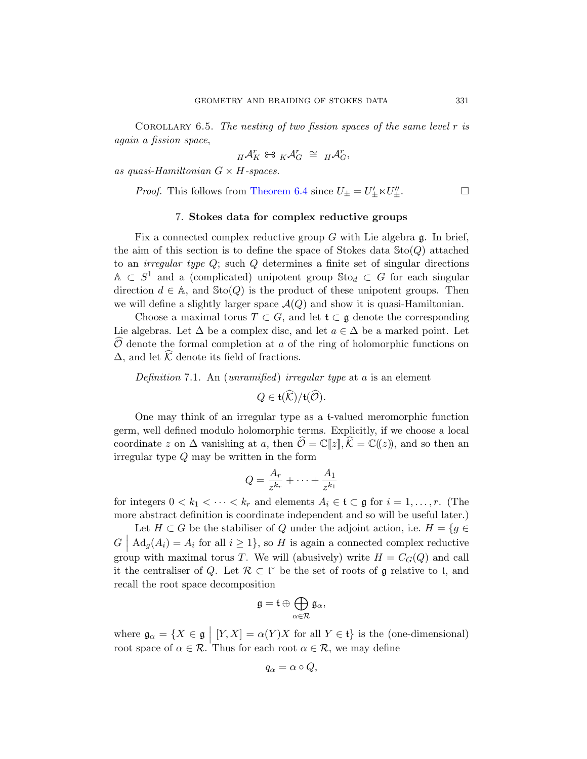<span id="page-30-0"></span>COROLLARY 6.5. The nesting of two fission spaces of the same level  $r$  is again a fission space,

$$
H^{\mathcal{A}^r_K} \Leftrightarrow {}_K\mathcal{A}^r_G \ \cong \ H\mathcal{A}^r_G,
$$

as quasi-Hamiltonian  $G \times H$ -spaces.

*Proof.* This follows from Theorem 6.4 since  $U_{\pm} = U'_{\pm} \ltimes U''_{\pm}$ .

#### 7. Stokes data for complex reductive groups

Fix a connected complex reductive group  $G$  with Lie algebra  $\mathfrak{g}$ . In brief, the aim of this section is to define the space of Stokes data  $Sto(Q)$  attached to an *irregular type Q*; such  $Q$  determines a finite set of singular directions  $A \subset S^1$  and a (complicated) unipotent group  $\text{Sto}_d \subset G$  for each singular direction  $d \in A$ , and  $\text{Sto}(Q)$  is the product of these unipotent groups. Then we will define a slightly larger space  $\mathcal{A}(Q)$  and show it is quasi-Hamiltonian.

<span id="page-30-1"></span>Choose a maximal torus  $T \subset G$ , and let  $\mathfrak{t} \subset \mathfrak{g}$  denote the corresponding Lie algebras. Let  $\Delta$  be a complex disc, and let  $a \in \Delta$  be a marked point. Let  $\widehat{\mathcal{O}}$  denote the formal completion at a of the ring of holomorphic functions on  $\Delta$ , and let K denote its field of fractions.

Definition 7.1. An (unramified) irregular type at  $a$  is an element

$$
Q\in\mathfrak{t}(\mathcal{K})/\mathfrak{t}(\mathcal{O}).
$$

One may think of an irregular type as a t-valued meromorphic function germ, well defined modulo holomorphic terms. Explicitly, if we choose a local coordinate z on  $\Delta$  vanishing at a, then  $\mathcal{O} = \mathbb{C}[\![z]\!], \mathcal{K} = \mathbb{C}(\!(z)\!)$ , and so then an irregular type Q may be written in the form

$$
Q = \frac{A_r}{z^{k_r}} + \dots + \frac{A_1}{z^{k_1}}
$$

for integers  $0 < k_1 < \cdots < k_r$  and elements  $A_i \in \mathfrak{t} \subset \mathfrak{g}$  for  $i = 1, \ldots, r$ . (The more abstract definition is coordinate independent and so will be useful later.)

Let  $H \subset G$  be the stabiliser of Q under the adjoint action, i.e.  $H = \{g \in$  $G \mid \text{Ad}_g(A_i) = A_i$  for all  $i \geq 1$ , so H is again a connected complex reductive group with maximal torus T. We will (abusively) write  $H = C<sub>G</sub>(Q)$  and call it the centraliser of Q. Let  $\mathcal{R} \subset \mathfrak{t}^*$  be the set of roots of g relative to t, and recall the root space decomposition

$$
\mathfrak{g}=\mathfrak{t}\oplus\bigoplus_{\alpha\in\mathcal{R}}\mathfrak{g}_{\alpha},
$$

where  $\mathfrak{g}_{\alpha} = \{X \in \mathfrak{g} \mid [Y, X] = \alpha(Y)X \text{ for all } Y \in \mathfrak{t}\}\)$  is the (one-dimensional) root space of  $\alpha \in \mathcal{R}$ . Thus for each root  $\alpha \in \mathcal{R}$ , we may define

$$
q_{\alpha} = \alpha \circ Q,
$$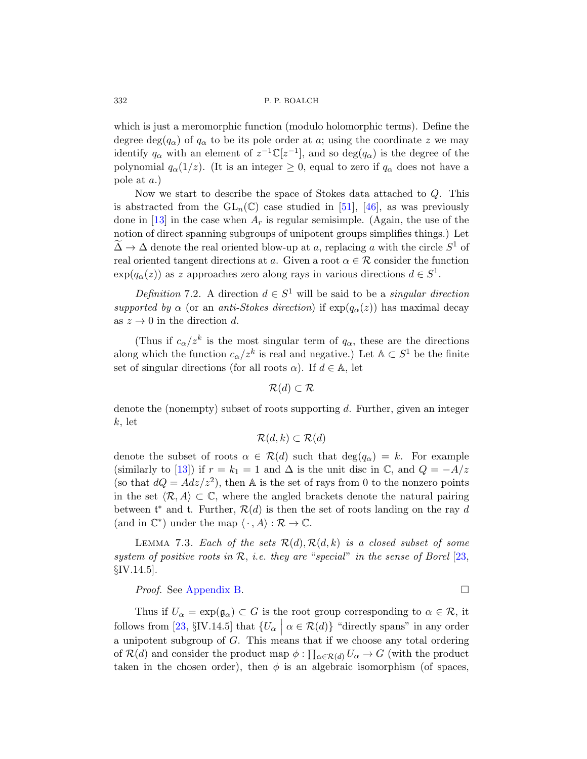which is just a meromorph[ic f](#page-62-2)un[ctio](#page-62-6)n (modulo holomorphic terms). Define the degree deg( $q_{\alpha}$ ) of  $q_{\alpha}$  to be its pole order at a; using the coordinate z we may identify  $q_\alpha$  with an element of  $z^{-1}\mathbb{C}[z^{-1}]$ , and so  $\deg(q_\alpha)$  is the degree of the polynomial  $q_{\alpha}(1/z)$ . (It is an integer  $\geq 0$ , equal to zero if  $q_{\alpha}$  does not have a pole at a.)

<span id="page-31-0"></span>Now we start to describe the space of Stokes data attached to Q. This is abstracted from the  $GL_n(\mathbb{C})$  case studied in [51], [46], as was previously done in [13] in the case when  $A_r$  is regular semisimple. (Again, the use of the notion of direct spanning subgroups of unipotent groups simplifies things.) Let  $\widetilde{\Delta} \to \Delta$  denote the real oriented blow-up at a, replacing a with the circle  $S^1$  of real oriented tangent directions at a. Given a root  $\alpha \in \mathcal{R}$  consider the function  $\exp(q_{\alpha}(z))$  as z approaches zero along rays in various directions  $d \in S^1$ .

Definition 7.2. A direction  $d \in S^1$  will be said to be a singular direction supported by  $\alpha$  (or an anti-Stokes direction) if  $\exp(q_{\alpha}(z))$  has maximal decay as  $z \to 0$  in the direction d.

(Thus if  $c_{\alpha}/z^k$  is the most singular term of  $q_{\alpha}$ , these are the directions along which the function  $c_{\alpha}/z^k$  is real and negative.) Let  $\mathbb{A} \subset S^1$  be the finite set of singular directions (for all roots  $\alpha$ ). If  $d \in A$ , let

 $\mathcal{R}(d) \subset \mathcal{R}$ 

denote the (nonempty) subset of roots supporting d. Further, given an integer  $k, let$ 

$$
\mathcal{R}(d,k) \subset \mathcal{R}(d)
$$

<span id="page-31-1"></span>denote the subset of roots  $\alpha \in \mathcal{R}(d)$  such that  $\deg(q_{\alpha}) = k$ . For example (similarly to [13]) if  $r = k_1 = 1$  and  $\Delta$  is the unit [dis](#page-60-8)c in  $\mathbb{C}$ , and  $Q = -A/z$ (so that  $dQ = Adz/z^2$ ), then A is the set of rays from 0 to the nonzero points in the set  $\langle \mathcal{R}, A \rangle \subset \mathbb{C}$ , where the angled brackets denote the natural pairing [betwe](#page-58-0)en  $\mathfrak{t}^*$  and  $\mathfrak{t}$ . Further,  $\mathcal{R}(d)$  is then the set of roots landing on the ray d (and in  $\mathbb{C}^*$ ) under the map  $\langle \cdot, A \rangle : \mathcal{R} \to \mathbb{C}$ .

LEMMA 7.3. Each of the sets  $\mathcal{R}(d), \mathcal{R}(d, k)$  is a closed subset of some system of positive roots in  $\mathcal{R}$ , i.e. they are "special" in the sense of Borel [23, §IV.14.5].

*Proof.* See Appendix B. □

Thus if  $U_{\alpha} = \exp(\mathfrak{g}_{\alpha}) \subset G$  is the root group corresponding to  $\alpha \in \mathcal{R}$ , it follows from [23, §IV.14.5] that  $\{U_{\alpha} \mid \alpha \in \mathcal{R}(d)\}\$  "directly spans" in any order a unipotent subgroup of G. This means that if we choose any total ordering of  $\mathcal{R}(d)$  and consider the product map  $\phi: \prod_{\alpha \in \mathcal{R}(d)} U_{\alpha} \to G$  (with the product taken in the chosen order), then  $\phi$  is an algebraic isomorphism (of spaces,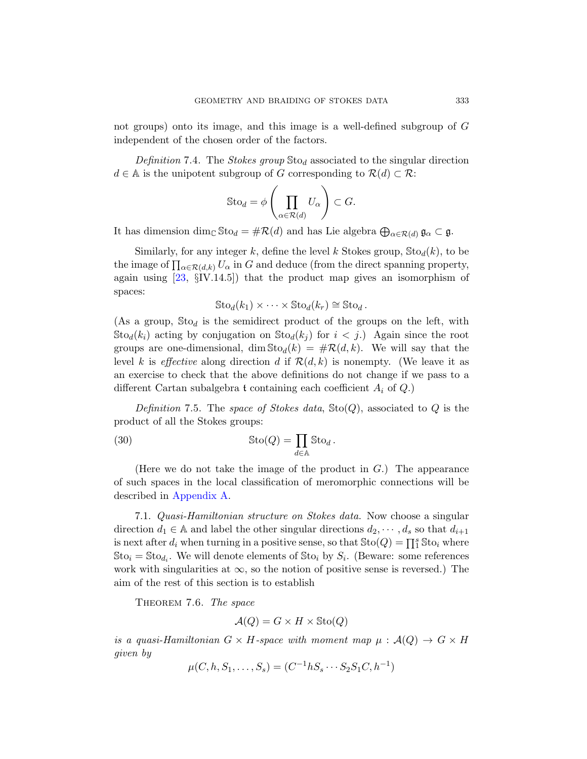<span id="page-32-2"></span>not groups) onto its image, and this image is a well-defined subgroup of G independent of the chosen order of the factors.

Definition 7.4. The Stokes group  $\text{Sto}_d$  associated to the singular direction  $d \in A$  is the unipotent subgroup of G corresponding to  $\mathcal{R}(d) \subset \mathcal{R}$ :

$$
\operatorname{Sto}_d = \phi \left( \prod_{\alpha \in \mathcal{R}(d)} U_{\alpha} \right) \subset G.
$$

It has dimension  $\dim_{\mathbb{C}} \mathbb{S} \text{to}_{d} = \# \mathcal{R}(d)$  and has Lie algebra  $\bigoplus_{\alpha \in \mathcal{R}(d)} \mathfrak{g}_{\alpha} \subset \mathfrak{g}.$ 

Similarly, for any integer k, define the level k Stokes group,  $\text{Sto}_d(k)$ , to be the image of  $\prod_{\alpha \in \mathcal{R}(d,k)} U_{\alpha}$  in G and deduce (from the direct spanning property, again using  $[23, \S$ IV.14.5]) that the product map gives an isomorphism of spaces:

$$
\text{Sto}_d(k_1) \times \cdots \times \text{Sto}_d(k_r) \cong \text{Sto}_d.
$$

(As a group,  $St_{0d}$  is the semidirect product of the groups on the left, with  $\text{Sto}_d(k_i)$  acting by conjugation on  $\text{Sto}_d(k_i)$  for  $i < j$ .) Again since the root groups are one-dimensional, dim  $\text{Sto}_d(k) = \#R(d, k)$ . We will say that the level k is effective along direction d if  $\mathcal{R}(d, k)$  is nonempty. (We leave it as an exercise to check that the above definitions do not change if we pass to a different Cartan subalgebra t containing each coefficient  $A_i$  of  $Q_i$ .

Definition 7.5. The space of Stokes data,  $\text{Sto}(Q)$ , associated to Q is the [pr](#page-54-0)oduct of all the Stokes groups:

<span id="page-32-0"></span>(30) 
$$
\operatorname{Sto}(Q) = \prod_{d \in \mathbb{A}} \operatorname{Sto}_d.
$$

(Here we do not take the image of the product in  $G$ .) The appearance of such spaces in the local classification of meromorphic connections will be described in Appendix A.

<span id="page-32-1"></span>7.1. Quasi-Hamiltonian structure on Stokes data. Now choose a singular direction  $d_1 \in \mathbb{A}$  and label the other singular directions  $d_2, \dots, d_s$  so that  $d_{i+1}$ is next after  $d_i$  when turning in a positive sense, so that  $\text{Sto}(Q) = \prod_{i=1}^{s} \text{Sto}_i$  where  $\text{Sto}_i = \text{Sto}_{d_i}$ . We will denote elements of  $\text{Sto}_i$  by  $S_i$ . (Beware: some references work with singularities at  $\infty$ , so the notion of positive sense is reversed.) The aim of the rest of this section is to establish

THEOREM 7.6. The space

$$
\mathcal{A}(Q) = G \times H \times \text{Sto}(Q)
$$

is a quasi-Hamiltonian  $G \times H$ -space with moment map  $\mu : \mathcal{A}(Q) \to G \times H$ given by

$$
\mu(C, h, S_1, \dots, S_s) = (C^{-1}hS_s \cdots S_2S_1C, h^{-1})
$$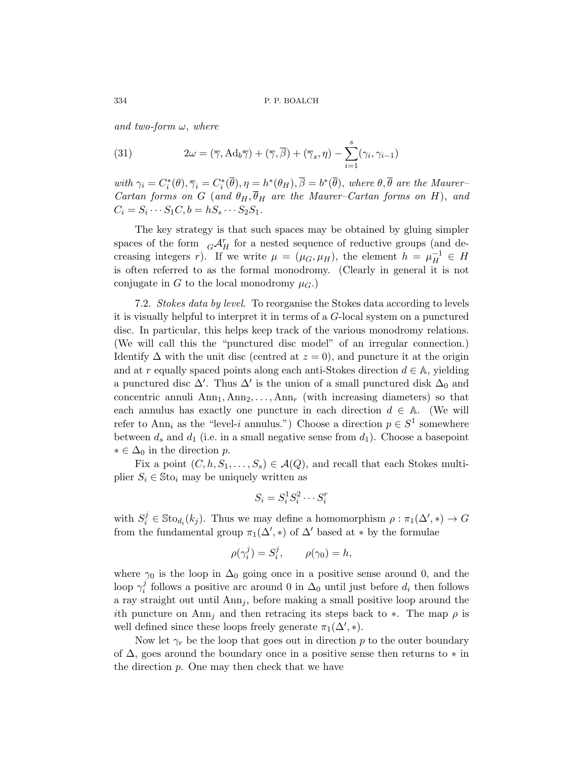and two-form  $\omega$ , where

(31) 
$$
2\omega = (\overline{\gamma}, \text{Ad}_b \overline{\gamma}) + (\overline{\gamma}, \overline{\beta}) + (\overline{\gamma}_s, \eta) - \sum_{i=1}^s (\gamma_i, \gamma_{i-1})
$$

with  $\gamma_i = C_i^*(\theta), \overline{\gamma}_i = C_i^*(\overline{\theta}), \eta = h^*(\theta_H), \overline{\beta} = b^*(\overline{\theta}),$  where  $\theta, \overline{\theta}$  are the Maurer-Cartan forms on G (and  $\theta_H$ ,  $\overline{\theta}_H$  are the Maurer–Cartan forms on H), and  $C_i = S_i \cdots S_1 C, b = hS_s \cdots S_2 S_1.$ 

The key strategy is that such spaces may be obtained by gluing simpler spaces of the form  $G\mathcal{A}_H^r$  for a nested sequence of reductive groups (and decreasing integers r). If we write  $\mu = (\mu_G, \mu_H)$ , the element  $h = \mu_H^{-1} \in H$ is often referred to as the formal monodromy. (Clearly in general it is not conjugate in G to the local monodromy  $\mu_G$ .

7.2. Stokes data by level. To reorganise the Stokes data according to levels it is visually helpful to interpret it in terms of a G-local system on a punctured disc. In particular, this helps keep track of the various monodromy relations. (We will call this the "punctured disc model" of an irregular connection.) Identify  $\Delta$  with the unit disc (centred at  $z = 0$ ), and puncture it at the origin and at r equally spaced points along each anti-Stokes direction  $d \in A$ , yielding a punctured disc  $\Delta'$ . Thus  $\Delta'$  is the union of a small punctured disk  $\Delta_0$  and concentric annuli  $Ann_1, Ann_2, \ldots, Ann_r$  (with increasing diameters) so that each annulus has exactly one puncture in each direction  $d \in A$ . (We will refer to Ann<sub>i</sub> as the "level-*i* annulus.") Choose a direction  $p \in S^1$  somewhere between  $d_s$  and  $d_1$  (i.e. in a small negative sense from  $d_1$ ). Choose a basepoint  $\ast \in \Delta_0$  in the direction p.

Fix a point  $(C, h, S_1, \ldots, S_s) \in \mathcal{A}(Q)$ , and recall that each Stokes multiplier  $S_i \in \text{Sto}_i$  may be uniquely written as

$$
S_i = S_i^1 S_i^2 \cdots S_i^r
$$

with  $S_i^j \in \text{Sto}_{d_i}(k_j)$ . Thus we may define a homomorphism  $\rho : \pi_1(\Delta', *) \to G$ from the fundamental group  $\pi_1(\Delta', *)$  of  $\Delta'$  based at  $*$  by the formulae

$$
\rho(\gamma_i^j) = S_i^j, \qquad \rho(\gamma_0) = h,
$$

where  $\gamma_0$  is the loop in  $\Delta_0$  going once in a positive sense around 0, and the loop  $\gamma_i^j$ <sup>*j*</sup> follows a positive arc around 0 in  $\Delta_0$  until just before  $d_i$  then follows a ray straight out until  $Ann<sub>j</sub>$ , before making a small positive loop around the ith puncture on Ann<sub>i</sub> and then retracing its steps back to  $\ast$ . The map  $\rho$  is well defined since these loops freely generate  $\pi_1(\Delta', *)$ .

Now let  $\gamma_r$  be the loop that goes out in direction p to the outer boundary of  $\Delta$ , goes around the boundary once in a positive sense then returns to  $*$  in the direction p. One may then check that we have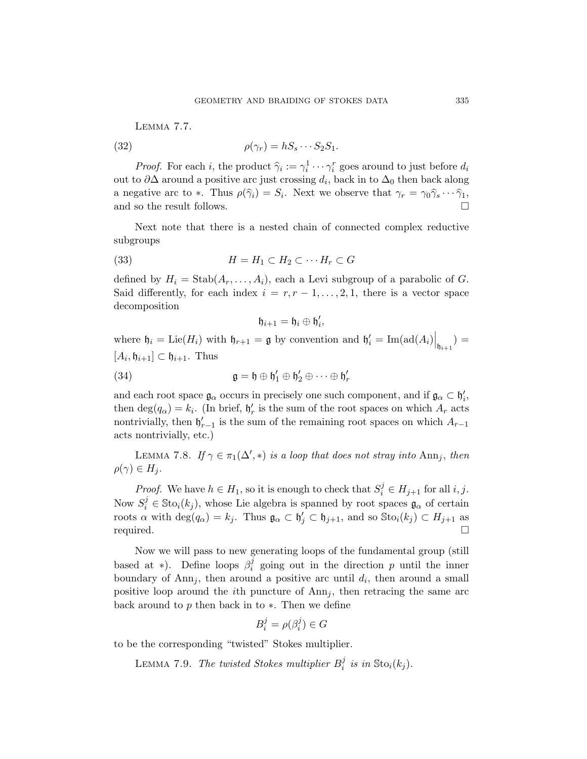<span id="page-34-0"></span>Lemma 7.7.

$$
(32)
$$

(32) 
$$
\rho(\gamma_r) = hS_s \cdots S_2 S_1.
$$

*Proof.* For each i, the product  $\hat{\gamma}_i := \gamma_i^1 \cdots \gamma_i^r$  goes around to just before  $d_i$ out to  $\partial\Delta$  around a positive arc just crossing  $d_i$ , back in to  $\Delta_0$  then back along a negative arc to  $*$ . Thus  $\rho(\hat{\gamma}_i) = S_i$ . Next we observe that  $\gamma_r = \gamma_0 \hat{\gamma}_s \cdots \hat{\gamma}_1$ , and so the result follows.

Next note that there is a nested chain of connected complex reductive subgroups

$$
(33) \t\t\t H = H_1 \subset H_2 \subset \cdots H_r \subset G
$$

defined by  $H_i = \text{Stab}(A_r, \ldots, A_i)$ , each a Levi subgroup of a parabolic of G. Said differently, for each index  $i = r, r - 1, \ldots, 2, 1$ , there is a vector space decomposition

$$
\mathfrak{h}_{i+1}=\mathfrak{h}_i\oplus \mathfrak{h}'_i,
$$

where  $\mathfrak{h}_i = \mathrm{Lie}(H_i)$  with  $\mathfrak{h}_{r+1} = \mathfrak{g}$  by convention and  $\mathfrak{h}'_i = \mathrm{Im}(\mathrm{ad}(A_i)|_{\mathfrak{h}_{i+1}}) =$  $[A_i, \mathfrak{h}_{i+1}] \subset \mathfrak{h}_{i+1}$ . Thus

(34)  $\mathfrak{g} = \mathfrak{h} \oplus \mathfrak{h}'_1 \oplus \mathfrak{h}'_2 \oplus \cdots \oplus \mathfrak{h}'_r$ 

and each root space  $\mathfrak{g}_{\alpha}$  occurs in precisely one such component, and if  $\mathfrak{g}_{\alpha} \subset \mathfrak{h}'_i$ , then  $deg(q_{\alpha}) = k_i$ . (In brief,  $\mathfrak{h}'_r$  is the sum of the root spaces on which  $A_r$  acts nontrivially, then  $\mathfrak{h}_{r-1}'$  is the sum of the remaining root spaces on which  $A_{r-1}$ acts nontrivially, etc.)

LEMMA 7.8. If  $\gamma \in \pi_1(\Delta', *)$  is a loop that does not stray into  $\text{Ann}_j$ , then  $\rho(\gamma) \in H_i$ .

*Proof.* We have  $h \in H_1$ , so it is enough to check that  $S_i^j \in H_{j+1}$  for all i, j. Now  $S_i^j \in \text{Sto}_i(k_j)$ , whose Lie algebra is spanned by root spaces  $\mathfrak{g}_{\alpha}$  of certain roots  $\alpha$  with  $\deg(q_{\alpha}) = k_j$ . Thus  $\mathfrak{g}_{\alpha} \subset \mathfrak{h}'_j \subset \mathfrak{h}_{j+1}$ , and so  $\text{Sto}_i(k_j) \subset H_{j+1}$  as required.

Now we will pass to new generating loops of the fundamental group (still based at \*). Define loops  $\beta_i^j$  $i$  going out in the direction p until the inner boundary of Ann<sub>j</sub>, then around a positive arc until  $d_i$ , then around a small positive loop around the *i*th puncture of  $Ann<sub>j</sub>$ , then retracing the same arc back around to p then back in to  $\ast$ . Then we define

$$
B_i^j = \rho(\beta_i^j) \in G
$$

to be the corresponding "twisted" Stokes multiplier.

LEMMA 7.9. The twisted Stokes multiplier  $B_i^j$  $i$  is in  $\text{Sto}_i(k_j)$ .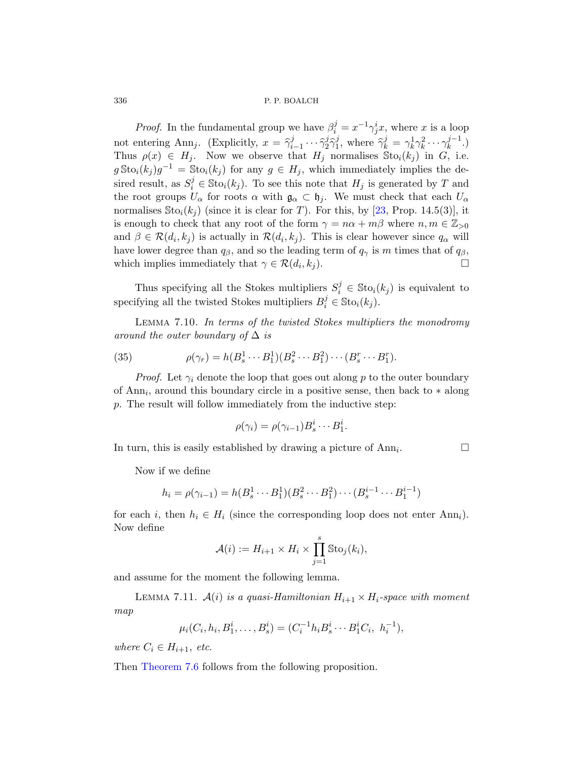*Proof.* In the fundamental gr[oup](#page-60-8) we have  $\beta_i^j = x^{-1} \gamma_j^i x$ , where x is a loop not entering Ann<sub>j</sub>. (Explicitly,  $x = \hat{\gamma}_i^j$  $\begin{matrix} i & \cdots & \hat{\gamma}^j_2 \\ 1 & \cdots & I \end{matrix}$  $\frac{j}{2}\hat{\gamma}_{1}^{j}$ <sup>j</sup>, where  $\hat{\gamma}_k^j = \gamma_k^1 \gamma_k^2 \cdots \gamma_k^{j-1}$  $\binom{j-1}{k}$ Thus  $\rho(x) \in H_j$ . Now we observe that  $H_j$  normalises  $\text{Sto}_i(k_j)$  in G, i.e.  $g\text{Sto}_i(k_j)g^{-1} = \text{Sto}_i(k_j)$  for any  $g \in H_j$ , which immediately implies the desired result, as  $S_i^j \in \text{Sto}_i(k_j)$ . To see this note that  $H_j$  is generated by T and the root groups  $U_{\alpha}$  for roots  $\alpha$  with  $\mathfrak{g}_{\alpha} \subset \mathfrak{h}_{j}$ . We must check that each  $U_{\alpha}$ normalises  $\text{Sto}_i(k_i)$  (since it is clear for T). For this, by [23, Prop. 14.5(3)], it is enough to check that any root of the form  $\gamma = n\alpha + m\beta$  where  $n, m \in \mathbb{Z}_{>0}$ and  $\beta \in \mathcal{R}(d_i, k_j)$  is actually in  $\mathcal{R}(d_i, k_j)$ . This is clear however since  $q_\alpha$  will have lower degree than  $q_\beta$ , and so the leading term of  $q_\gamma$  is m times that of  $q_\beta$ , which implies immediately that  $\gamma \in \mathcal{R}(d_i, k_i)$ .  $,k_j$ ).

Thus specifying all the Stokes multipliers  $S_i^j \in \text{Sto}_i(k_j)$  is equivalent to specifying all the twisted Stokes multipliers  $B_i^j \in \text{Sto}_i(k_j)$ .

Lemma 7.10. In terms of the twisted Stokes multipliers the monodromy around the outer boundary of  $\Delta$  is

(35) 
$$
\rho(\gamma_r) = h(B_s^1 \cdots B_1^1)(B_s^2 \cdots B_1^2) \cdots (B_s^r \cdots B_1^r).
$$

*Proof.* Let  $\gamma_i$  denote the loop that goes out along p to the outer boundary of Ann<sub>i</sub>, around this boundary circle in a positive sense, then back to  $*$  along p. The result will follow immediately from the inductive step:

$$
\rho(\gamma_i) = \rho(\gamma_{i-1})B_s^i \cdots B_1^i.
$$

In turn, this is easily established by drawing a picture of  $Ann<sub>i</sub>$ . . — П

Now if we define

$$
h_i = \rho(\gamma_{i-1}) = h(B_s^1 \cdots B_1^1)(B_s^2 \cdots B_1^2) \cdots (B_s^{i-1} \cdots B_1^{i-1})
$$

<span id="page-35-0"></span>for each i, then  $h_i \in H_i$  (since the corresponding loop does not enter Ann<sub>i</sub>). Now define

$$
\mathcal{A}(i) := H_{i+1} \times H_i \times \prod_{j=1}^s \text{Sto}_j(k_i),
$$

and assume for the moment the following lemma.

LEMMA 7.11.  $A(i)$  is a quasi-Hamiltonian  $H_{i+1} \times H_i$ -space with moment map

$$
\mu_i(C_i, h_i, B_1^i, \dots, B_s^i) = (C_i^{-1}h_i B_s^i \cdots B_1^i C_i, h_i^{-1}),
$$

where  $C_i \in H_{i+1}$ , etc.

Then Theorem 7.6 follows from the following proposition.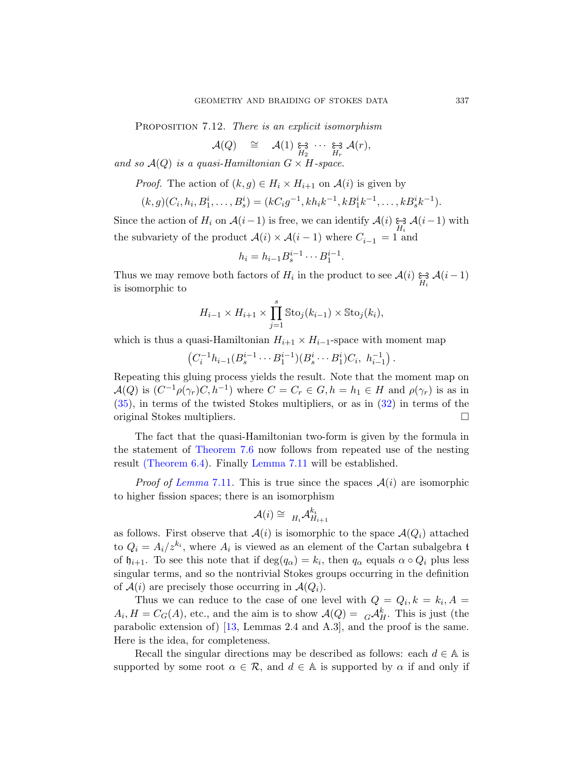PROPOSITION 7.12. There is an explicit isomorphism

$$
\mathcal{A}(Q) \quad \cong \quad \mathcal{A}(1) \underset{H_2}{\varepsilon} \underset{H_2}{\varepsilon} \cdots \underset{H_r}{\varepsilon} \mathcal{A}(r),
$$

and so  $\mathcal{A}(Q)$  is a quasi-Hamiltonian  $G \times H$ -space.

*Proof.* The action of  $(k, g) \in H_i \times H_{i+1}$  on  $\mathcal{A}(i)$  is given by

$$
(k,g)(C_i, h_i, B_1^i, \dots, B_s^i) = (kC_ig^{-1}, kh_ik^{-1}, kB_1^ik^{-1}, \dots, kB_s^ik^{-1}).
$$

Since the action of  $H_i$  on  $\mathcal{A}(i-1)$  is free, we can identify  $\mathcal{A}(i) \underset{H_i}{\approx} \mathcal{A}(i-1)$  with the subvariety of the product  $\mathcal{A}(i) \times \mathcal{A}(i-1)$  where  $C_{i-1} = 1$  and

$$
h_i = h_{i-1} B_s^{i-1} \cdots B_1^{i-1}.
$$

Thus we may remove both factors of  $H_i$  in the product to see  $\mathcal{A}(i) \underset{H_i}{\approx} \mathcal{A}(i-1)$ is isomorphic to

$$
H_{i-1} \times H_{i+1} \times \prod_{j=1}^{s} \text{Sto}_j(k_{i-1}) \times \text{Sto}_j(k_i),
$$

which is thus a quasi-Hamiltonian  $H_{i+1} \times H_{i-1}$ -space with moment map

 $(C_i^{-1}h_{i-1}(B_s^{i-1}\cdots B_1^{i-1})(B_s^i\cdots B_1^i)C_i, h_{i-1}^{-1}).$ 

[Repea](#page-32-1)[ting this gluin](#page-35-0)g process yields the result. Note that the moment map on  $\mathcal{A}(Q)$  is  $(C^{-1}\rho(\gamma_r)C, h^{-1})$  where  $C = C_r \in G, h = h_1 \in H$  and  $\rho(\gamma_r)$  is as in [\(35](#page-35-0)), in terms of the twisted Stokes multipliers, or as in (32) in terms of the original Stokes multipliers.

The fact that the quasi-Hamiltonian two-form is given by the formula in the statement of Theorem 7.6 now follows from repeated use of the nesting result (Theorem 6.4). Finally Lemma 7.11 will be established.

*Proof of Lemma* 7.11. This is true since the spaces  $A(i)$  are isomorphic to higher fission spaces; there is an isomorphism

$$
\mathcal{A}(i) \cong H_i \mathcal{A}_{H_{i+1}}^{k_i}
$$

as follows. First observe that  $\mathcal{A}(i)$  is isomorphic to the space  $\mathcal{A}(Q_i)$  attached to  $Q_i = A_i/z^{k_i}$  $Q_i = A_i/z^{k_i}$ , where  $A_i$  is viewed as an element of the Cartan subalgebra t of  $\mathfrak{h}_{i+1}$ . To see this note that if  $\deg(q_{\alpha}) = k_i$ , then  $q_{\alpha}$  equals  $\alpha \circ Q_i$  plus less singular terms, and so the nontrivial Stokes groups occurring in the definition of  $A(i)$  are precisely those occurring in  $A(Q_i)$ .

Thus we can reduce to the case of one level with  $Q = Q_i, k = k_i, A =$  $A_i$ ,  $H = C_G(A)$ , etc., and the aim is to show  $\mathcal{A}(Q) = {}_G\mathcal{A}_H^k$ . This is just (the parabolic extension of)  $\left[13, \text{ Lemmas } 2.4 \text{ and } A.3\right]$ , and the proof is the same. Here is the idea, for completeness.

Recall the singular directions may be described as follows: each  $d \in A$  is supported by some root  $\alpha \in \mathcal{R}$ , and  $d \in \mathbb{A}$  is supported by  $\alpha$  if and only if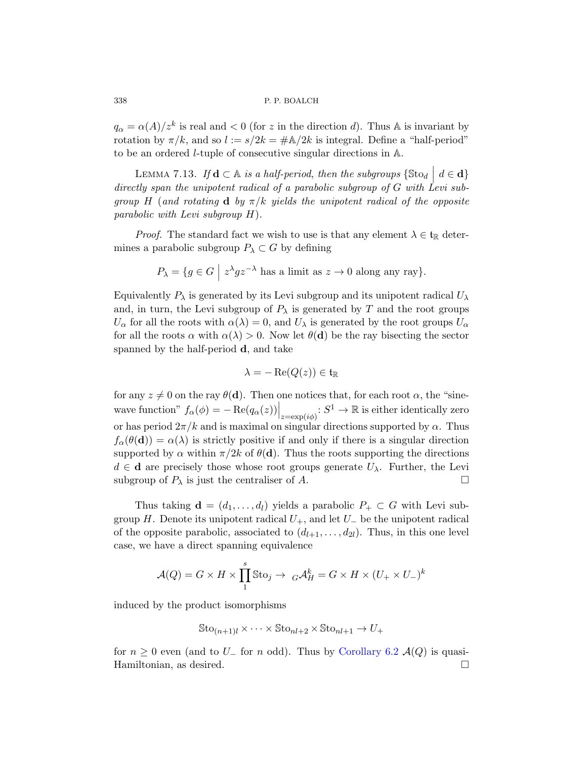$q_{\alpha} = \alpha(A)/z^k$  is real and  $\lt 0$  (for z in the direction d). Thus A is invariant by rotation by  $\pi/k$ , and so  $l := s/2k = \#A/2k$  is integral. Define a "half-period" to be an ordered l-tuple of consecutive singular directions in A.

LEMMA 7.13. If  $\mathbf{d} \subset \mathbb{A}$  is a half-period, then the subgroups  $\{\text{Sto}_d \mid d \in \mathbf{d}\}\$ directly span the unipotent radical of a parabolic subgroup of G with Levi subgroup H (and rotating d by  $\pi/k$  yields the unipotent radical of the opposite parabolic with Levi subgroup H).

*Proof.* The standard fact we wish to use is that any element  $\lambda \in \mathfrak{t}_{\mathbb{R}}$  determines a parabolic subgroup  $P_{\lambda} \subset G$  by defining

$$
P_{\lambda} = \{ g \in G \mid z^{\lambda} g z^{-\lambda} \text{ has a limit as } z \to 0 \text{ along any ray} \}.
$$

Equivalently  $P_{\lambda}$  is generated by its Levi subgroup and its unipotent radical  $U_{\lambda}$ and, in turn, the Levi subgroup of  $P_\lambda$  is generated by T and the root groups  $U_{\alpha}$  for all the roots with  $\alpha(\lambda) = 0$ , and  $U_{\lambda}$  is generated by the root groups  $U_{\alpha}$ for all the roots  $\alpha$  with  $\alpha(\lambda) > 0$ . Now let  $\theta(\mathbf{d})$  be the ray bisecting the sector spanned by the half-period d, and take

$$
\lambda = -\operatorname{Re}(Q(z)) \in \mathfrak{t}_{\mathbb{R}}
$$

for any  $z \neq 0$  on the ray  $\theta(\mathbf{d})$ . Then one notices that, for each root  $\alpha$ , the "sinewave function"  $f_{\alpha}(\phi) = -\operatorname{Re}(q_{\alpha}(z))\Big|_{z=\exp(i\phi)} : S^1 \to \mathbb{R}$  is either identically zero or has period  $2\pi/k$  and is maximal on singular directions supported by  $\alpha$ . Thus  $f_{\alpha}(\theta(\mathbf{d})) = \alpha(\lambda)$  is strictly positive if and only if there is a singular direction supported by  $\alpha$  within  $\pi/2k$  of  $\theta(\mathbf{d})$ . Thus the roots supporting the directions  $d \in \mathbf{d}$  are precisely those whose root groups generate  $U_{\lambda}$ . Further, the Levi subgroup of  $P_\lambda$  is just the centraliser of A.

Thus taking  $\mathbf{d} = (d_1, \ldots, d_l)$  yields a parabolic  $P_+ \subset G$  with Levi subgroup H. Denote its unipotent radical  $U_+$ , and let  $U_-$  be the unipotent radical of the opposite parabolic, associated to  $(d_{l+1}, \ldots, d_{2l})$ . Thus, in this one level case, we have a direct spanning equivalence

$$
\mathcal{A}(Q) = G \times H \times \prod_{1}^{s} \text{Sto}_{j} \to {}_{G}\mathcal{A}_{H}^{k} = G \times H \times (U_{+} \times U_{-})^{k}
$$

induced by the product isomorphisms

$$
\text{Sto}_{(n+1)l} \times \cdots \times \text{Sto}_{nl+2} \times \text{Sto}_{nl+1} \to U_{+}
$$

for  $n \geq 0$  even (and to U<sub>-</sub> for n odd). Thus by Corollary 6.2  $\mathcal{A}(Q)$  is quasi-Hamiltonian, as desired.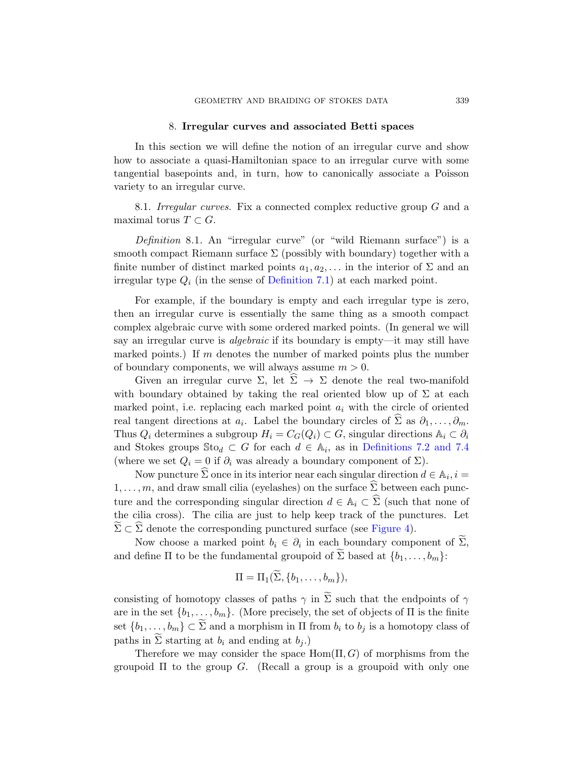#### 8. Irregular curves and associated Betti spaces

<span id="page-38-0"></span>In this section we will define the notion of an irregular curve and show how to associate a quasi-Hamiltonian space to an irregular curve with some tangential basepoints and, in turn, how to canonically associate a Poisson variety to an irregular curve.

8.1. I[rregular curves](#page-30-1). Fix a connected complex reductive group G and a maximal torus  $T \subset G$ .

Definition 8.1. An "irregular curve" (or "wild Riemann surface") is a smooth compact Riemann surface  $\Sigma$  (possibly with boundary) together with a finite number of distinct marked points  $a_1, a_2, \ldots$  in the interior of  $\Sigma$  and an irregular type  $Q_i$  (in the sense of Definition 7.1) at each marked point.

For example, if the boundary is empty and each irregular type is zero, then an irregular curve is essentially the same thing as a smooth compact complex algebraic curve with some ordered marked points. (In general we will say an irregular curve is algebraic if its boundary is empty—it may still have marked points.) If m denotes the number of marked points plus the number of boundary components, we [will always assum](#page-31-0)e  $m > 0$  $m > 0$ .

Given an irregular curve  $\Sigma$ , let  $\Sigma \to \Sigma$  denote the real two-manifold with boundary obtained by taking the real oriented blow up of  $\Sigma$  at each marked point, i.e. replacing each marked point  $a_i$  with the circle of oriented real tangent directions at  $a_i$ . Label the boundary circles of  $\Sigma$  as  $\partial_1, \ldots, \partial_m$ . Thus  $Q_i$  determines a subgroup  $H_i = C_G(Q_i) \subset G$ , singular directions  $\mathbb{A}_i \subset \partial_i$ and Stokes groups  $\text{Sto}_d \subset G$  fo[r each](#page-39-0)  $d \in \mathbb{A}_i$ , as in Definitions 7.2 and 7.4 (where we set  $Q_i = 0$  if  $\partial_i$  was already a boundary component of  $\Sigma$ ).

Now puncture  $\widehat{\Sigma}$  once in its interior near each singular direction  $d \in \mathbb{A}_i$ ,  $i =$  $1, \ldots, m$ , and draw small cilia (eyelashes) on the surface  $\widehat{\Sigma}$  between each puncture and the corresponding singular direction  $d \in \mathbb{A}_i \subset \widehat{\Sigma}$  (such that none of the cilia cross). The cilia are just to help keep track of the punctures. Let  $\Sigma \subset \Sigma$  denote the corresponding punctured surface (see Figure 4).

Now choose a marked point  $b_i \in \partial_i$  in each boundary component of  $\Sigma$ , and define  $\Pi$  to be the fundamental groupoid of  $\Sigma$  based at  $\{b_1, \ldots, b_m\}$ :

$$
\Pi = \Pi_1(\tilde{\Sigma}, \{b_1, \ldots, b_m\}),
$$

consisting of homotopy classes of paths  $\gamma$  in  $\Sigma$  such that the endpoints of  $\gamma$ are in the set  $\{b_1, \ldots, b_m\}$ . (More precisely, the set of objects of  $\Pi$  is the finite set  $\{b_1, \ldots, b_m\} \subset \Sigma$  and a morphism in  $\Pi$  from  $b_i$  to  $b_j$  is a homotopy class of paths in  $\Sigma$  starting at  $b_i$  and ending at  $b_j$ .)

Therefore we may consider the space  $Hom(\Pi, G)$  of morphisms from the groupoid  $\Pi$  to the group  $G$ . (Recall a group is a groupoid with only one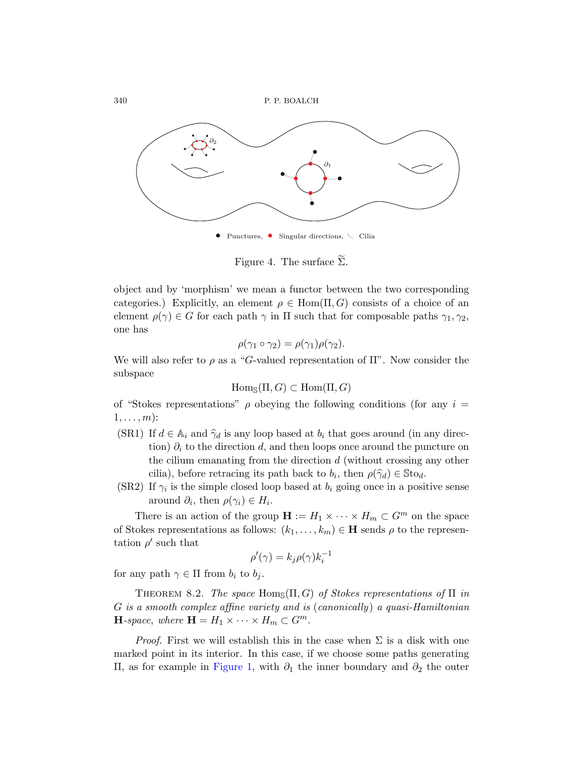340 P. P. BOALCH

<span id="page-39-0"></span>

Figure 4. The surface  $\Sigma$ .

object and by 'morphism' we mean a functor between the two corresponding categories.) Explicitly, an element  $\rho \in \text{Hom}(\Pi, G)$  consists of a choice of an element  $\rho(\gamma) \in G$  for each path  $\gamma$  in  $\Pi$  such that for composable paths  $\gamma_1, \gamma_2$ , one has

$$
\rho(\gamma_1 \circ \gamma_2) = \rho(\gamma_1)\rho(\gamma_2).
$$

We will also refer to  $\rho$  as a "G-valued representation of  $\Pi$ ". Now consider the subspace

$$
Hom_{\mathbb{S}}(\Pi, G) \subset Hom(\Pi, G)
$$

of "Stokes representations"  $\rho$  obeying the following conditions (for any  $i =$  $1, \ldots, m$ :

- (SR1) If  $d \in A_i$  and  $\hat{\gamma}_d$  is any loop based at  $b_i$  that goes around (in any direction)  $\partial_i$  to the direction d, and then loops once around the puncture on the cilium emanating from the direction d (without crossing any other cilia), before retracing its path back to  $b_i$ , then  $\rho(\hat{\gamma}_d) \in \text{Sto}_d$ .
- (SR2) If  $\gamma_i$  is the simple closed loop based at  $b_i$  going once in a positive sense around  $\partial_i$ , then  $\rho(\gamma_i) \in H_i$ .

<span id="page-39-1"></span>There is an action of the group  $\mathbf{H} := H_1 \times \cdots \times H_m \subset G^m$  on the space of Stokes representations as follows:  $(k_1, \ldots, k_m) \in \mathbf{H}$  sends  $\rho$  to the representation  $\rho'$  such that

$$
\rho'(\gamma) = k_j \rho(\gamma) k_i^{-1}
$$

for any path  $\gamma \in \Pi$  from  $b_i$  to  $b_j$ .

THEOREM 8.2. [Th](#page-17-0)e space Hom<sub>S</sub> $(\Pi, G)$  of Stokes representations of  $\Pi$  in G is a smooth complex affine variety and is (canonically) a quasi-Hamiltonian **H**-space, where  $\mathbf{H} = H_1 \times \cdots \times H_m \subset G^m$ .

*Proof.* First we will establish this in the case when  $\Sigma$  is a disk with one marked point in its interior. In this case, if we choose some paths generating Π, as for example in Figure 1, with ∂<sup>1</sup> the inner boundary and ∂<sup>2</sup> the outer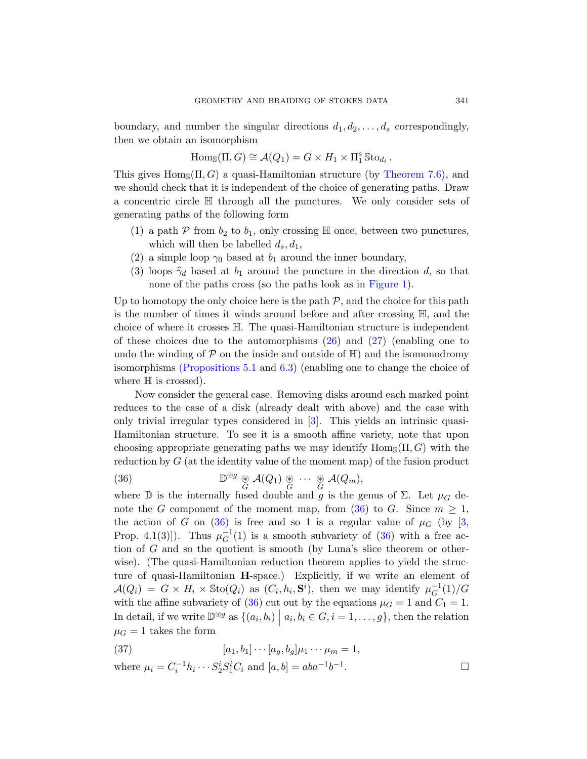boundary, and number the singular directions  $d_1, d_2, \ldots, d_s$  correspondingly, then we obtain an isomorphism

$$
\mathrm{Hom}_{\mathbb{S}}(\Pi, G) \cong \mathcal{A}(Q_1) = G \times H_1 \times \Pi_1^s \mathbb{S} \text{to}_{d_i}.
$$

This gives  $\text{Hom}_{\mathcal{S}}(\Pi, G)$  a quasi-Hamiltonian structure (by Theorem 7.6), and we should check that it is independent of the choice of generating paths. Draw a concentric circle H through [all the pu](#page-17-0)nctures. We only consider sets of generating paths of the following form

- (1) a path  $P$  from  $b_2$  to  $b_1$ , only crossing  $\mathbb H$  once, between two punctures, which will then be labelled  $d_s, d_1$ ,
- (2) a simple loop  $\gamma_0$  [ba](#page-24-0)sed at  $b_1$  $b_1$  around the inner boundary,
- (3) loops  $\hat{\gamma}_d$  based at  $b_1$  around the puncture in the direction d, so that [n](#page-21-1)one [of t](#page-27-0)he paths cross (so the paths look as in Figure 1).

Up to homotopy the only choice here is the path  $P$ , and the choice for this path is the number of times it winds around before and after crossing H, and the choice of where it crosses H. The quasi-Hamiltonian structure is independent of th[e](#page-59-2)se choices due to the automorphisms  $(26)$  and  $(27)$  (enabling one to undo the winding of  $P$  on the inside and outside of  $\mathbb{H}$ ) and the isomonodromy isomorphisms (Propositions 5.1 and 6.3) (enabling one to change the choice of where  $\mathbb H$  is crossed).

<span id="page-40-0"></span>Now consider the general case. Removing disks around each marked point reduces to the case of a disk (already dealt with above) and the case with only trivial irregular typesc[ons](#page-40-0)idered in [3]. This yields an intrinsic quasi-[H](#page-40-0)amiltonian structure. To see it is a smooth affin[e v](#page-59-2)ariety, note that upon choosing appropriate generating p[aths](#page-40-0) we may identify  $\text{Hom}_{\mathcal{S}}(\Pi, G)$  with the reduction by  $G$  (at the identity value of the moment map) of the fusion product

(36) 
$$
\mathbb{D}^{\circledast g} \underset{G}{\circledast} \mathcal{A}(Q_1) \underset{G}{\circledast} \cdots \underset{G}{\circledast} \mathcal{A}(Q_m),
$$

where D is the internally fused double and g is the genus of  $\Sigma$ . Let  $\mu_G$  denote the G component of the moment map, from (36) to G. Since  $m \geq 1$ , the a[ctio](#page-40-0)n of G on (36) is free and so 1 is a regular value of  $\mu$ <sup>G</sup> (by [3, Prop. 4.1(3)]). Thus  $\mu_G^{-1}(1)$  is a smooth subvariety of (36) with a free action of G and so the quotient is smooth (by Luna's slice theorem or otherwise). (The quasi-Hamiltonian reduction theorem applies to yield the structure of quasi-Hamiltonian H-space.) Explicitly, if we write an element of  $\mathcal{A}(Q_i) = G \times H_i \times \text{Sto}(Q_i)$  as  $(C_i, h_i, \mathbf{S}^i)$ , then we may identify  $\mu_G^{-1}(1)/G$ with the affine subvariety of (36) cut out by the equations  $\mu_G = 1$  and  $C_1 = 1$ . In detail, if we write  $\mathbb{D}^{\circledast g}$  as  $\{(a_i, b_i) \mid a_i, b_i \in G, i = 1, \ldots, g\}$ , then the relation  $\mu_G = 1$  takes the form

(37) 
$$
[a_1, b_1] \cdots [a_g, b_g] \mu_1 \cdots \mu_m = 1,
$$

where 
$$
\mu_i = C_i^{-1} h_i \cdots S_2^i S_1^i C_i
$$
 and  $[a, b] = aba^{-1}b^{-1}$ .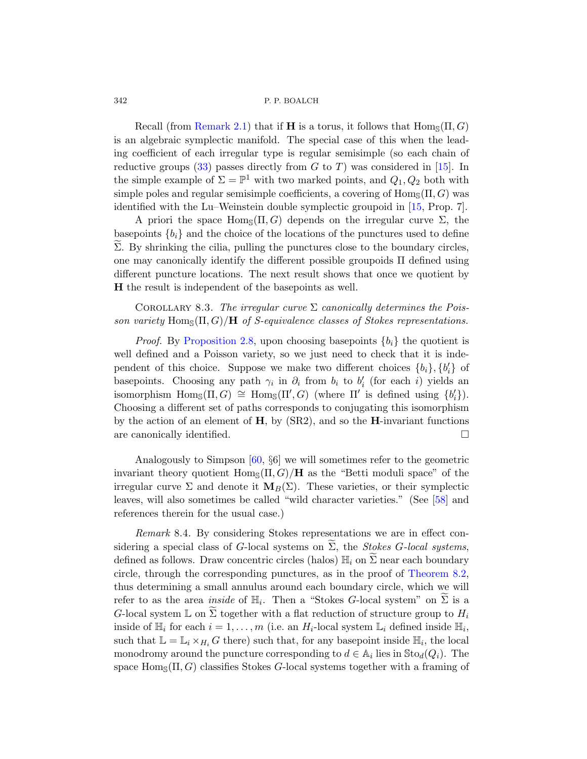Recall (from Remark 2.1) that if **H** i[s a](#page-60-2) torus, it follows that  $\text{Hom}_{\mathbb{S}}(\Pi, G)$ is an algebraic symplectic manifold. The special case of this when the leading coefficient of each irregular type is regular semisimple (so each chain of reductive groups (33) passes directly from  $G$  to  $T$ ) was considered in [15]. In the simple example of  $\Sigma = \mathbb{P}^1$  with two marked points, and  $Q_1, Q_2$  both with simple poles and regular semisimple coefficients, a covering of  $\text{Hom}_{\mathbb{S}}(\Pi, G)$  was identified with the Lu–Weinstein double symplectic groupoid in [15, Prop. 7].

A priori the space  $\text{Hom}_{\mathcal{S}}(\Pi, G)$  depends on the irregular curve  $\Sigma$ , the basepoints  ${b_i}$  and the choice of the locations of the punctures used to define  $\Sigma$ . By shrinking the cilia, pulling the punctures close to the boundary circles, [one may](#page-10-1) canonically identify the different possible groupoids Π defined using different puncture locations. The next result shows that once we quotient by H the result is independent of the basepoints as well.

COROLLARY 8.3. The irregular curve  $\Sigma$  canonically determines the Poisson variety Homs $(\Pi, G)/H$  of S-equivalence classes of Stokes representations.

*Proof.* By Proposition 2.8, upon choosing basepoints  ${b_i}$  the quotient is well defined and a Poisson variety, so we just need to check that it is independent of this choice. Suppose we make two different choices  ${b_i}$ ,  ${b'_i}$  of basep[oint](#page-63-6)s. Choosing any path  $\gamma_i$  in  $\partial_i$  from  $b_i$  to  $b'_i$  (for each i) yields an isomorphism  $\text{Hom}_{\mathbb{S}}(\Pi, G) \cong \text{Hom}_{\mathbb{S}}(\Pi', G)$  (where  $\Pi'$  is defined using  $\{b'_i\}$ ). Choosing a different set of paths corresponds to conjugating this isomorphism by the action of an element of  $H$ , by  $(SR2)$ , a[nd s](#page-63-7)o the  $H$ -invariant functions are canonically identified.

<span id="page-41-0"></span>Analogously to Simpson [60, §6] we will sometimes refer to the geometric invariant theory quotient  $\text{Hom}_{\mathbb{S}}(\Pi, G)/\mathbf{H}$  as the "Betti moduli space" of the irregular curve  $\Sigma$  and denote it  $\mathbf{M}_{B}(\Sigma)$ . [These variet](#page-39-1)ies, or their symplectic leaves, will also sometimes be called "wild character varieties." (See [58] and references therein for the usual case.)

Remark 8.4. By considering Stokes representations we are in effect considering a special class of G-local systems on  $\Sigma$ , the *Stokes G-local systems*, defined as follows. Draw concentric circles (halos)  $\mathbb{H}_i$  on  $\widetilde{\Sigma}$  near each boundary circle, through the corresponding punctures, as in the proof of Theorem 8.2, thus determining a small annulus around each boundary circle, which we will refer to as the area *inside* of  $\mathbb{H}_i$ . Then a "Stokes G-local system" on  $\widetilde{\Sigma}$  is a G-local system  $\mathbb L$  on  $\widetilde{\Sigma}$  together with a flat reduction of structure group to  $H_i$ inside of  $\mathbb{H}_i$  for each  $i = 1, ..., m$  (i.e. an  $H_i$ -local system  $\mathbb{L}_i$  defined inside  $\mathbb{H}_i$ , such that  $\mathbb{L} = \mathbb{L}_i \times_{H_i} G$  there) such that, for any basepoint inside  $\mathbb{H}_i$ , the local monodromy around the puncture corresponding to  $d \in A_i$  lies in  $\text{Sto}_d(Q_i)$ . The space  $\text{Hom}_{\mathcal{S}}(\Pi, G)$  classifies Stokes G-local systems together with a framing of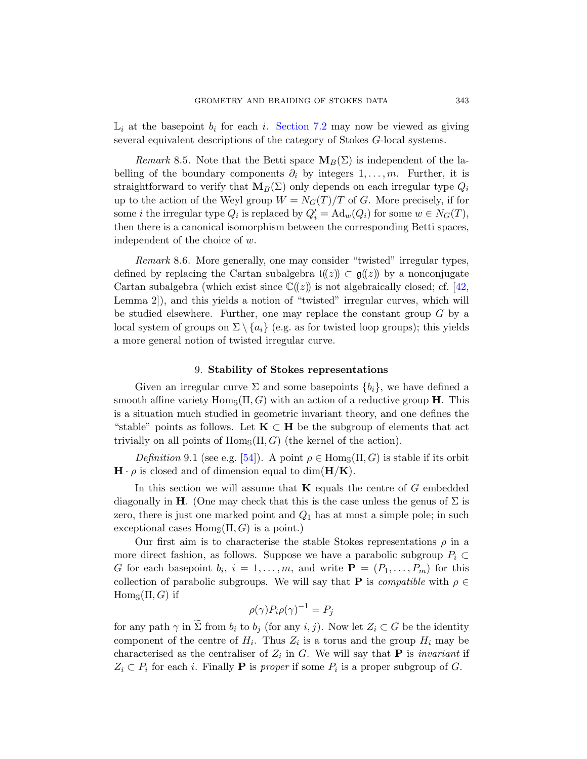<span id="page-42-1"></span> $\mathbb{L}_i$  at the basepoint  $b_i$  for each i. Section 7.2 may now be viewed as giving several equivalent descriptions of the category of Stokes G-local systems.

Remark 8.5. Note that the Betti space  $M_B(\Sigma)$  is independent of the labelling of the boundary components  $\partial_i$  by integers  $1, \ldots, m$ . Further, it is straightforward to verify that  $M_B(\Sigma)$  only depends on each irregular type  $Q_i$ up to the action [of](#page-62-7) the Weyl group  $W = N<sub>G</sub>(T)/T$  of G. More precisely, if for some *i* the irregular type  $Q_i$  is replaced by  $Q'_i = \mathrm{Ad}_w(Q_i)$  for some  $w \in N_G(T)$ , then there is a canonical isomorphism between the corresponding Betti spaces, independent of the choice of w.

<span id="page-42-0"></span>Remark 8.6. More generally, one may consider "twisted" irregular types, defined by replacing the Cartan subalgebra  $\mathfrak{t}(\!(z)\!) \subset \mathfrak{g}(\!(z)\!)$  by a nonconjugate Cartan subalgebra (which exist since  $\mathbb{C}(\ell(z))$  is not algebraically closed; cf. [42, Lemma 2]), and this yields a notion of "twisted" irregular curves, which will be studied elsewhere. Further, one may replace the constant group  $G$  by a local system of groups on  $\Sigma \setminus \{a_i\}$  (e.g. as for twisted loop groups); this yields a more general notion of twisted irregular curve.

### 9. Stability of Stokes representations

Given an irregular curve  $\Sigma$  and some basepoints  $\{b_i\}$ , we have defined a smooth affine variety  $\text{Hom}_{\mathbb{S}}(\Pi, G)$  with an action of a reductive group **H**. This is a situation much studied in geometric invariant theory, and one defines the "stable" points as follows. Let  $K \subset H$  be the subgroup of elements that act trivially on all points of  $\text{Hom}_{\mathcal{S}}(\Pi, G)$  (the kernel of the action).

Definition 9.1 (see e.g. [54]). A point  $\rho \in \text{Hom}_{\mathcal{S}}(\Pi, G)$  is stable if its orbit  $\mathbf{H} \cdot \rho$  is closed and of dimension equal to dim( $\mathbf{H}/\mathbf{K}$ ).

In this section we will assume that  $\bf{K}$  equals the centre of G embedded diagonally in **H**. (One may check that this is the case unless the genus of  $\Sigma$  is zero, there is just one marked point and  $Q_1$  has at most a simple pole; in such exceptional cases  $\text{Hom}_{\mathcal{S}}(\Pi, G)$  is a point.)

Our first aim is to characterise the stable Stokes representations  $\rho$  in a more direct fashion, as follows. Suppose we have a parabolic subgroup  $P_i \subset$ G for each basepoint  $b_i$ ,  $i = 1, \ldots, m$ , and write  $\mathbf{P} = (P_1, \ldots, P_m)$  for this collection of parabolic subgroups. We will say that **P** is *compatible* with  $\rho \in$  $Hom_{\mathcal{S}}(\Pi, G)$  if

$$
\rho(\gamma)P_i\rho(\gamma)^{-1} = P_j
$$

for any path  $\gamma$  in  $\Sigma$  from  $b_i$  to  $b_j$  (for any  $i, j$ ). Now let  $Z_i \subset G$  be the identity component of the centre of  $H_i$ . Thus  $Z_i$  is a torus and the group  $H_i$  may be characterised as the centraliser of  $Z_i$  in G. We will say that **P** is *invariant* if  $Z_i \subset P_i$  for each *i*. Finally **P** is proper if some  $P_i$  is a proper subgroup of G.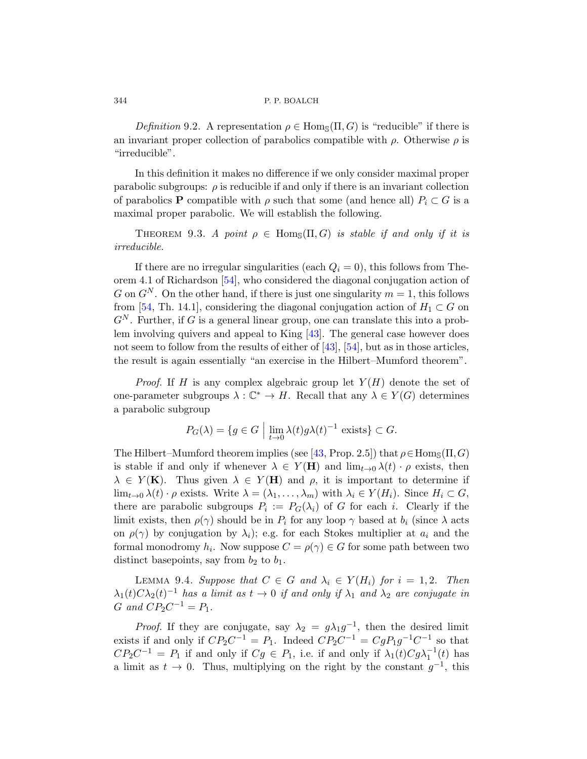Definition 9.2. A representation  $\rho \in \text{Hom}_{\mathcal{S}}(\Pi, G)$  is "reducible" if there is an invariant proper collection of parabolics compatible with  $\rho$ . Otherwise  $\rho$  is "irreducible".

In this definition it makes no difference if we only consider maximal proper parabolic subgroups:  $\rho$  is reducible if and only if there is an invariant collection [of p](#page-63-8)arabolics **P** compatible with  $\rho$  such that some (and hence all)  $P_i \subset G$  is a maximal proper parabolic. We will establish the following.

THEOREM 9.3. A point  $\rho \in \text{Hom}_{\mathcal{S}}(\Pi, G)$  is stable if and only if it is irreducible.

If there are no irre[gul](#page-62-8)a[r sin](#page-63-8)gularities (each  $Q_i = 0$ ), this follows from Theorem 4.1 of Richardson [54], who considered the diagonal conjugation action of G on  $G^N$ . On the other hand, if there is just one singularity  $m = 1$ , this follows from [54, Th. 14.1], considering the diagonal conjugation action of  $H_1 \subset G$  on  $G<sup>N</sup>$ . Further, if G is a general linear group, one can translate this into a problem involving quivers and appeal to King [43]. The general case however does not seem to follow from the results of either of [43], [54], but as in those articles, the result is again e[ssen](#page-62-8)tially "an exercise in the Hilbert–Mumford theorem".

*Proof.* If H is any complex algebraic group let  $Y(H)$  denote the set of one-parameter subgroups  $\lambda : \mathbb{C}^* \to H$ . Recall that any  $\lambda \in Y(G)$  determines a parabolic subgroup

$$
P_G(\lambda) = \{ g \in G \mid \lim_{t \to 0} \lambda(t) g \lambda(t)^{-1} \text{ exists} \} \subset G.
$$

<span id="page-43-0"></span>The Hilbert–Mumford theorem implies (see [43, Prop. 2.5]) that  $\rho \in \text{Hom}_{\mathbb{S}}(\Pi, G)$ is stable if and only if whenever  $\lambda \in Y(H)$  and  $\lim_{t\to 0} \lambda(t) \cdot \rho$  exists, then  $\lambda \in Y(\mathbf{K})$ . Thus given  $\lambda \in Y(\mathbf{H})$  and  $\rho$ , it is important to determine if  $\lim_{t\to 0} \lambda(t) \cdot \rho$  exists. Write  $\lambda = (\lambda_1, \ldots, \lambda_m)$  with  $\lambda_i \in Y(H_i)$ . Since  $H_i \subset G$ , there are parabolic subgroups  $P_i := P_G(\lambda_i)$  of G for each i. Clearly if the limit exists, then  $\rho(\gamma)$  should be in  $P_i$  for any loop  $\gamma$  based at  $b_i$  (since  $\lambda$  acts on  $\rho(\gamma)$  by conjugation by  $\lambda_i$ ); e.g. for each Stokes multiplier at  $a_i$  and the formal monodromy  $h_i$ . Now suppose  $C = \rho(\gamma) \in G$  for some path between two distinct basepoints, say from  $b_2$  to  $b_1$ .

LEMMA 9.4. Suppose that  $C \in G$  and  $\lambda_i \in Y(H_i)$  for  $i = 1, 2$ . Then  $\lambda_1(t) C \lambda_2(t)^{-1}$  has a limit as  $t \to 0$  if and only if  $\lambda_1$  and  $\lambda_2$  are conjugate in  $G$  and  $CP_2C^{-1} = P_1$ .

*Proof.* If they are conjugate, say  $\lambda_2 = g\lambda_1 g^{-1}$ , then the desired limit exists if and only if  $CP_2C^{-1} = P_1$ . Indeed  $CP_2C^{-1} = CgP_1g^{-1}C^{-1}$  so that  $CP_2C^{-1} = P_1$  if and only if  $Cg \in P_1$ , i.e. if and only if  $\lambda_1(t)Cg\lambda_1^{-1}(t)$  has a limit as  $t \to 0$ . Thus, multiplying on the right by the constant  $g^{-1}$ , this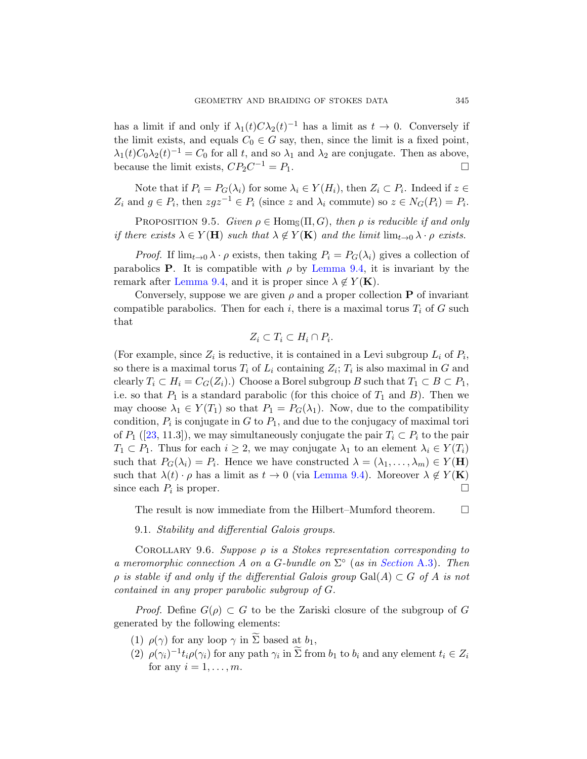has a limit if and only if  $\lambda_1(t) C \lambda_2(t)^{-1}$  has a limit as  $t \to 0$ . Conversely if the limit exists, and equals  $C_0 \in G$  say, then, since the limit is a fixed point,  $\lambda_1(t)C_0\lambda_2(t)^{-1} = C_0$  for all t, and so  $\lambda_1$  and  $\lambda_2$  are conjugate. Then as above, because the limit exists,  $CP_2C^{-1} = P_1$ .

Note that if  $P_i = P_G(\lambda_i)$  for some  $\lambda_i \in Y(H_i)$ , then  $Z_i \subset P_i$ . Indeed if  $z \in$  $Z_i$  $Z_i$  and  $g \in P_i$ , then  $zgz^{-1} \in P_i$  (since z and  $\lambda_i$  commute) so  $z \in N_G(P_i) = P_i$ .

PROPOSITION 9.5. Given  $\rho \in \text{Hom}_{\mathbb{S}}(\Pi, G)$ , then  $\rho$  is reducible if and only if there exists  $\lambda \in Y(\mathbf{H})$  such that  $\lambda \notin Y(\mathbf{K})$  and the limit  $\lim_{t\to 0} \lambda \cdot \rho$  exists.

*Proof.* If  $\lim_{t\to 0} \lambda \cdot \rho$  exists, then taking  $P_i = P_G(\lambda_i)$  gives a collection of parabolics **P**. It is compatible with  $\rho$  by Lemma 9.4, it is invariant by the remark after Lemma 9.4, and it is proper since  $\lambda \notin Y(\mathbf{K})$ .

Conversely, suppose we are given  $\rho$  and a proper collection **P** of invariant compatible parabolics. Then for each i, there is a maximal torus  $T_i$  of G such that

$$
Z_i \subset T_i \subset H_i \cap P_i.
$$

(For example, since  $Z_i$  is reductive, it is contained in a Levi subgroup  $L_i$  of  $P_i$ , so there is a maximal torus  $T_i$  of  $L_i$  containing  $Z_i$ ;  $T_i$  is also maximal in G and clearly  $T_i \subset H_i = C_G(Z_i)$ .) Choose a Borel subgroup B such that  $T_1 \subset B \subset P_1$ , i.e.so that  $P_1$  is a s[tandard par](#page-43-0)abolic (for this choice of  $T_1$  and  $B$ ). Then we may choose  $\lambda_1 \in Y(T_1)$  so that  $P_1 = P_G(\lambda_1)$ . Now, due to the compatibility condition,  $P_i$  is conjugate in  $G$  to  $P_1$ , and due to the conjugacy of maximal tori of  $P_1$  ([23, 11.3]), we may simultaneously conjugate the pair  $T_i \subset P_i$  to the pair  $T_1 \subset P_1$ . Thus for each  $i \geq 2$ , we may conjugate  $\lambda_1$  to an element  $\lambda_i \in Y(T_i)$ such that  $P_G(\lambda_i) = P_i$ . Hence we have constructed  $\lambda = (\lambda_1, \dots, \lambda_m) \in Y(\mathbf{H})$ such that  $\lambda(t) \cdot \rho$  has a limit as  $t \to 0$  (via Lemma 9.4). Moreover  $\lambda \notin Y(\mathbf{K})$ since each  $P_i$  is proper.

The result is now immediate from the Hilbert–Mumford theorem.  $\Box$ 

9.1. Stability and differential Galois groups.

COROLLARY 9.6. Suppose  $\rho$  is a Stokes representation corresponding to a meromorphic connection A on a G-bundle on  $\Sigma^{\circ}$  (as in Section A.3). Then  $\rho$  is stable if and only if the differential Galois group Gal(A)  $\subset G$  of A is not contained in any proper parabolic subgroup of G.

*Proof.* Define  $G(\rho) \subset G$  to be the Zariski closure of the subgroup of G generated by the following elements:

- (1)  $\rho(\gamma)$  for any loop  $\gamma$  in  $\Sigma$  based at  $b_1$ ,
- (2)  $\rho(\gamma_i)^{-1} t_i \rho(\gamma_i)$  for any path  $\gamma_i$  in  $\widetilde{\Sigma}$  from  $b_1$  to  $b_i$  and any element  $t_i \in Z_i$ for any  $i = 1, \ldots, m$ .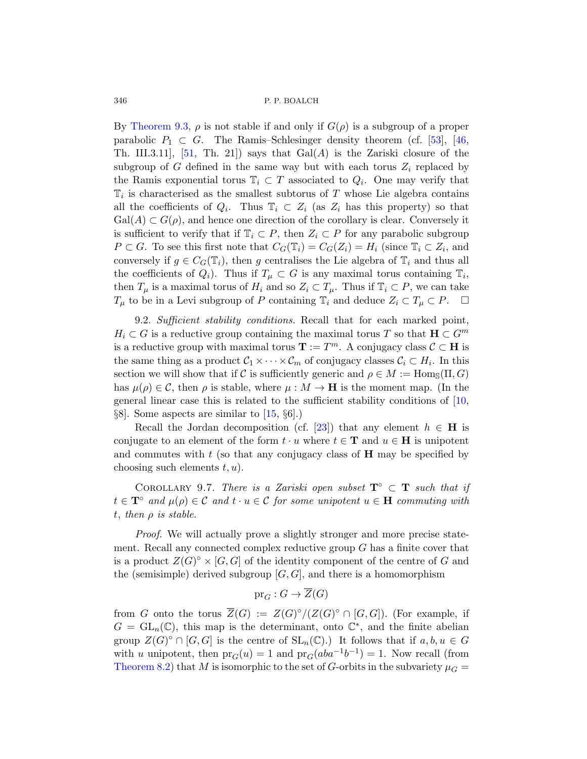By Theorem 9.3,  $\rho$  is not stable if and only if  $G(\rho)$  is a subgroup of a proper parabolic  $P_1 \subset G$ . The Ramis–Schlesinger density theorem (cf. [53], [46, Th. III.3.11, [51, Th. 21]) says that  $Gal(A)$  is the Zariski closure of the subgroup of G defined in the same way but with each torus  $Z_i$  replaced by the Ramis exponential torus  $\mathbb{T}_i \subset T$  associated to  $Q_i$ . One may verify that  $\mathbb{T}_i$  is characterised as the smallest subtorus of T whose Lie algebra contains all the coefficients of  $Q_i$ . Thus  $\mathbb{T}_i \subset Z_i$  (as  $Z_i$  has this property) so that  $Gal(A) \subset G(\rho)$ , and hence one direction of the corollary is clear. Conversely it is sufficient to verify that if  $\mathbb{T}_i \subset P$ , then  $Z_i \subset P$  for any parabolic subgroup  $P \subset G$ . To see this first note that  $C_G(\mathbb{T}_i) = C_G(Z_i) = H_i$  (since  $\mathbb{T}_i \subset Z_i$ , and conversely if  $g \in C_G(\mathbb{T}_i)$ , then g centralises the Lie algebra of  $\mathbb{T}_i$  and thus all the coefficients of  $Q_i$ ). Thus if  $T_\mu \subset G$  is any maximal torus containing  $\mathbb{T}_i$ , then  $T_{\mu}$  is a maximal torus of  $H_i$  and so  $Z_i \subset T_{\mu}$ . Thus if  $\mathbb{T}_i \subset P$ , we can take  $T_{\mu}$  to be in a Levi subgroup of P containing  $\mathbb{T}_i$  and deduce  $Z_i \subset T_{\mu} \subset P$ .  $\Box$ 

9.2. Sufficient stability conditions. Recall th[at f](#page-59-3)or each marked point,  $H_i \subset G$  is [a r](#page-60-2)eductive group containing the maximal torus T so that  $\mathbf{H} \subset G^m$ is a reductive group [with](#page-60-8) maximal torus  $\mathbf{T} := T^m$ . A conjugacy class  $\mathcal{C} \subset \mathbf{H}$  is the same thing as a product  $C_1 \times \cdots \times C_m$  of conjugacy classes  $C_i \subset H_i$ . In this section we will show that if C is sufficiently generic and  $\rho \in M := \text{Hom}_{\mathcal{S}}(\Pi, G)$ has  $\mu(\rho) \in \mathcal{C}$ , then  $\rho$  is stable, where  $\mu : M \to \mathbf{H}$  is the moment map. (In the general linear case this is related to the sufficient stability conditions of [10,  $\S8$ . Some aspects are similar to [15,  $\S6$ ].)

<span id="page-45-0"></span>Recall the Jordan decomposition (cf. [23]) that any element  $h \in H$  is conjugate to an element of the form  $t \cdot u$  where  $t \in \mathbf{T}$  and  $u \in \mathbf{H}$  is unipotent and commutes with  $t$  (so that any conjugacy class of  $H$  may be specified by choosing such elements  $t, u$ ).

COROLLARY 9.7. There is a Zariski open subset  $\mathbf{T}^\circ \subset \mathbf{T}$  such that if  $t \in \mathbf{T}^{\circ}$  and  $\mu(\rho) \in \mathcal{C}$  and  $t \cdot u \in \mathcal{C}$  for some unipotent  $u \in \mathbf{H}$  commuting with t, then  $\rho$  is stable.

Proof. We will actually prove a slightly stronger and more precise statement. Recall any connected complex reductive group G has a finite cover that is a product  $Z(G)^{\circ} \times [G, G]$  of the identity component of the centre of G and the (semisimple) derived subgroup  $[G, G]$ , and there is a homomorphism

 $pr_G: G \to \overline{Z}(G)$ 

from G onto the torus  $\overline{Z}(G) := Z(G)^{\circ}/(Z(G)^{\circ} \cap [G,G])$ . (For example, if  $G = GL_n(\mathbb{C})$ , this map is the determinant, onto  $\mathbb{C}^*$ , and the finite abelian group  $Z(G)^\circ \cap [G, G]$  is the centre of  $SL_n(\mathbb{C})$ .) It follows that if  $a, b, u \in G$ with u unipotent, then  $pr_G(u) = 1$  and  $pr_G(aba^{-1}b^{-1}) = 1$ . Now recall (from Theorem 8.2) that M is isomorphic to the set of G-orbits in the subvariety  $\mu_G =$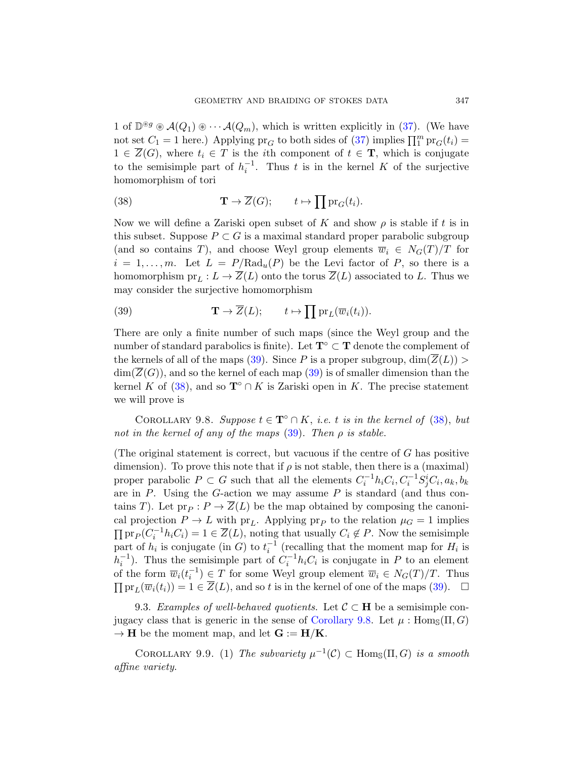<span id="page-46-2"></span>1 of  $\mathbb{D}^{\circledast g} \otimes \mathcal{A}(Q_1) \otimes \cdots \mathcal{A}(Q_m)$ , which is written explicitly in (37). (We have not set  $C_1 = 1$  here.) Applying  $pr_G$  to both sides of (37) implies  $\prod_1^m pr_G(t_i) =$  $1 \in \overline{Z}(G)$ , where  $t_i \in T$  is the *i*th component of  $t \in \mathbf{T}$ , which is conjugate to the semisimple part of  $h_i^{-1}$ . Thus t is in the kernel K of the surjective homomorphism of tori

(38) 
$$
\mathbf{T} \to \overline{Z}(G); \qquad t \mapsto \prod \mathrm{pr}_G(t_i).
$$

<span id="page-46-1"></span>Now we will define a Zariski open subset of K and show  $\rho$  is stable if t is in this subset. Suppose  $P \subset G$  is a maximal standard proper parabolic subgroup (and so contains T), and choose Weyl group elements  $\overline{w}_i \in N_G(T)/T$  for  $i = 1, \ldots, m$ . Let  $L = P/Rad_u(P)$  be the Levi factor of P, so there is a homo[mor](#page-46-1)phism  $pr_L : L \to \overline{Z}(L)$  onto the torus  $\overline{Z}(L)$  associated to L. Thus we may consider the s[urje](#page-46-1)ctive homomorphism

(39) 
$$
\mathbf{T} \to \overline{Z}(L); \qquad t \mapsto \prod \mathrm{pr}_L(\overline{w}_i(t_i)).
$$

<span id="page-46-3"></span>There are only a finite number of such maps [\(sin](#page-46-2)ce the Weyl group and the number of sta[ndar](#page-46-1)d parabolics is finite). Let  $\mathbf{T} \circ \mathbf{T}$  denote the complement of the kernels of all of the maps (39). Since P is a proper subgroup,  $\dim(\overline{Z}(L))$  $\dim(\overline{Z}(G))$ , and so the kernel of each map (39) is of smaller dimension than the kernel K of (38), and so  $\mathbf{T}^{\circ} \cap K$  is Zariski open in K. The precise statement we will prove is

COROLLARY 9.8. Suppose  $t \in \mathbf{T}^{\circ} \cap K$ , i.e. t is in the kernel of (38), but not in the kernel of any of the maps  $(39)$ . Then  $\rho$  is stable.

(The original statement is correct, but vacuous if the centre of G has positive dimension). To prove this note that if  $\rho$  is not stable, then there is a (maximal) proper parabolic  $P \subset G$  such that all the elements  $C_i^{-1} h_i C_i$ ,  $C_i^{-1} S_j^i C_i$ ,  $a_k$ ,  $b_k$ are in  $P$ . Using the  $G$ -action we may assume  $P$  is standard (and thus contains T). Let  $pr_P : P \to \overline{Z}(L)$  be the map obt[aine](#page-46-1)d by composing the canonical projection  $P \to L$  with pr<sub>L</sub>. Applying pr<sub>P</sub> to the relation  $\mu_G = 1$  implies  $\prod \text{pr}_P(C_i^{-1}h_iC_i) = 1 \in \overline{Z}(L)$ , noting that usually  $C_i \notin P$ . Now the semisimple part of  $h_i$  is conjugate (in G) to  $t_i^{-1}$  (recalling that the moment map for  $H_i$  is  $h_i^{-1}$ ). Thus the semisimple part of  $C_i^{-1}h_iC_i$  is conjugate in P to an element of the form  $\overline{w}_i(t_i^{-1}) \in T$  for some Weyl group element  $\overline{w}_i \in N_G(T)/T$ . Thus  $\prod \mathrm{pr}_L(\overline{w}_i(t_i)) = 1 \in \overline{Z}(L)$ , and so t is in the kernel of one of the maps (39).  $\Box$ 

<span id="page-46-0"></span>9.3. Examples of well-behaved quotients. Let  $\mathcal{C} \subset \mathbf{H}$  be a semisimple conjugacy class that is generic in the sense of Corollary 9.8. Let  $\mu$ : Hom<sub>S</sub>( $\Pi$ ,  $G$ )  $\rightarrow$  **H** be the moment map, and let  $G := H/K$ .

COROLLARY 9.9. (1) The subvariety  $\mu^{-1}(\mathcal{C}) \subset \text{Hom}_{\mathbb{S}}(\Pi, G)$  is a smooth affine variety.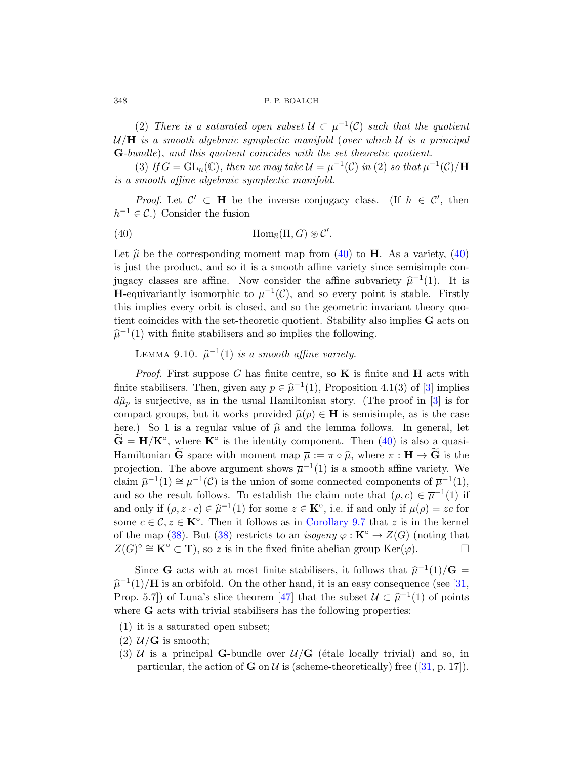<span id="page-47-0"></span>(2) There is a saturated open subset  $\mathcal{U} \subset \mu^{-1}(\mathcal{C})$  such that the quotient  $U/H$  is a smooth algebraic symplectic manifold (over which  $U$  is a principal G-bundle), and this quotient coincides with the set theoretic quotient.

(3) If  $G = GL_n(\mathbb{C})$  $G = GL_n(\mathbb{C})$  $G = GL_n(\mathbb{C})$ , t[hen](#page-47-0) we may take  $\mathcal{U} = \mu^{-1}(\mathcal{C})$  in (2) so that  $\mu^{-1}(\mathcal{C})/\mathbf{H}$ is a smooth affine algebraic symplectic manifold.

*Proof.* Let  $\mathcal{C}' \subset \mathbf{H}$  be the inverse conjugacy class. (If  $h \in \mathcal{C}'$ , then  $h^{-1} \in \mathcal{C}$ .) Consider the fusion

(40) 
$$
\text{Hom}_{\mathbb{S}}(\Pi, G) \otimes \mathcal{C}'.
$$

Let  $\hat{\mu}$  be the corresponding moment map from (40) to **H**. As a variety, (40) is just the product, and so it is a smooth affine variety since semisimple conjugacy classes are affine. Now consider the affine subvariety  $\hat{\mu}^{-1}(1)$ . It is **H**-equivariantly isomorphic to  $\mu^{-1}(\mathcal{C})$ , and so every point is stable. Firstly this implies every orbit is closed, and so the [g](#page-59-2)eometric invariant theory quotient coincides with the set-theoretic quotient. [St](#page-59-2)ability also implies G acts on  $\hat{\mu}^{-1}(1)$  with finite stabilisers and so implies the following.

LEMMA 9.10.  $\hat{\mu}^{-1}(1)$  is a smo[oth](#page-47-0) affine variety.

*Proof.* First suppose G has finite centre, so  $\bf{K}$  is finite and  $\bf{H}$  acts with finite stabilisers. Then, given any  $p \in \hat{\mu}^{-1}(1)$ , Proposition 4.1(3) of [3] implies  $d\hat{\mu}_p$  is surjective, as in the usual Hamiltonian story. (The proof in [3] is for compact groups, but it works provided  $\hat{\mu}(p) \in H$  is semisimple, as is the case here.) So 1 is a regular value of  $\hat{\mu}$  and the lemma follows. In general, let  $\widetilde{\mathbf{G}} = \mathbf{H}/\mathbf{K}^{\circ}$ , where  $\mathbf{K}^{\circ}$  [is the id](#page-45-0)entity component. Then (40) is also a quasi-[Ha](#page-46-2)miltonian **G** space with moment map  $\overline{\mu} := \pi \circ \widehat{\mu}$ , where  $\pi : \mathbf{H} \to \mathbf{G}$  is the projection. The above argument shows  $\overline{\mu}^{-1}(1)$  is a smooth affine variety. We claim  $\hat{\mu}^{-1}(1) \cong \mu^{-1}(\mathcal{C})$  is the union of some connected components of  $\overline{\mu}^{-1}(1)$ , and so the result follows. To establish the claim [note](#page-61-6) that  $(\rho, c) \in \overline{\mu}^{-1}(1)$  if and only if  $(\rho, z \cdot c) \in \hat{\mu}^{-1}(1)$  for some  $z \in \mathbf{K}^{\circ}$ , i.e. if and only if  $\mu(\rho) = zc$  for some  $c \in \mathcal{C}, z \in \mathbf{K}^{\circ}$ . Then it follows as in Corollary 9.7 that z is in the kernel of the map (38). But (38) restricts to an *isogeny*  $\varphi : \mathbf{K}^{\circ} \to \overline{Z}(G)$  (noting that  $Z(G)^\circ \cong \mathbf{K}^\circ \subset \mathbf{T}$ , so z is in the fixed finite abelian group  $\text{Ker}(\varphi)$ .

Since **G** acts with at most finite stabilisers, it follows that  $\hat{\mu}^{-1}(1)/\mathbf{G} =$  $\hat{\mu}^{-1}(1)/\mathbf{H}$  is an orbifold. On the other hand, [it](#page-61-6) is an easy consequence (see [31, Prop. 5.7]) of Luna's slice theorem [47] that the subset  $\mathcal{U} \subset \hat{\mu}^{-1}(1)$  of points where **G** acts with trivial stabilisers has the following properties:

- (1) it is a saturated open subset;
- (2)  $\mathcal{U}/\mathbf{G}$  is smooth;
- (3) U is a principal G-bundle over  $U/G$  (étale locally trivial) and so, in particular, the action of **G** on  $\mathcal{U}$  is (scheme-theoretically) free ([31, p. 17]).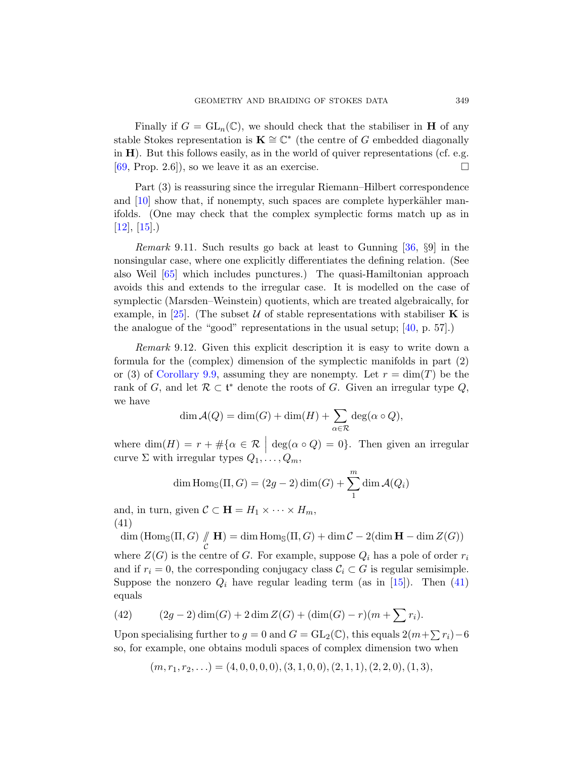Finally if  $G = GL_n(\mathbb{C})$ , we should check that the stabiliser in **H** of any stable Stokes representation is  $\mathbf{K} \cong \mathbb{C}^*$  (the centre of G embedded diagonally in  $H$ ). But this follows easily, as in the world of quiver representations (cf. e.g.  $[69, Prop. 2.6]$ , so we leave it as an exe[rcise](#page-61-7).

Part (3) is reassuring since the irregular Riemann–Hilbert correspondence and  $[10]$  show that, if nonempty, such spaces are complete hyperkähler manifolds. (One may check that the complex symplectic forms match up as in  $[12]$ ,  $[15]$ .)

*Remark* 9.11. Such results go bac[k at](#page-61-8) least to Gunning  $[36, 89]$  in the nonsingular case, where one explicitly differentiates the defining relation. (See also Weil [65] which includes punctures.) The quasi-Hamiltonian approach avoids this and extends to the irregular case. It is modelled on the case of symplectic (Marsden–Weinstein) quotients, which are treated algebraically, for example, in [25]. (The subset U of stable representations with stabiliser K is the analogue of the "good" representations in the usual setup; [40, p. 57].)

Remark 9.12. Given this explicit description it is easy to write down a formula for the (complex) dimension of the symplectic manifolds in part (2) or (3) of Corollary 9.9, assuming they are nonempty. Let  $r = \dim(T)$  be the rank of G, and let  $\mathcal{R} \subset \mathfrak{t}^*$  denote the roots of G. Given an irregular type Q, we have

$$
\dim \mathcal{A}(Q) = \dim(G) + \dim(H) + \sum_{\alpha \in \mathcal{R}} \deg(\alpha \circ Q),
$$

<span id="page-48-0"></span>where  $\dim(H) = r + \#\{\alpha \in \mathcal{R} \mid \deg(\alpha \circ Q) = 0\}.$  Then given an irregular curve  $\Sigma$  with irregular types  $Q_1, \ldots, Q_m$ ,

$$
\dim \operatorname{Hom}_{\mathbb{S}}(\Pi, G) = (2g - 2)\dim(G) + \sum_{1}^{m} \dim \mathcal{A}(Q_i)
$$

and, in turn, given  $C \subset \mathbf{H} = H_1 \times \cdots \times H_m$ , (41)

dim (Hom<sub>S</sub> $(\Pi, G)$  //  $\mathcal{C}_{0}^{0}$  $H$ ) = dim Hom<sub>S</sub>( $\Pi$ ,  $G$ ) + dim  $C$  – 2(dim  $H$  – dim  $Z(G)$ )

where  $Z(G)$  is the centre of G. For example, suppose  $Q_i$  has a pole of order  $r_i$ and if  $r_i = 0$ , the corresponding conjugacy class  $C_i \subset G$  is regular semisimple. Suppose the nonzero  $Q_i$  have regular leading term (as in [15]). Then (41) equals

(42) 
$$
(2g-2)\dim(G) + 2\dim Z(G) + (\dim(G) - r)(m + \sum r_i).
$$

Upon specialising further to  $g = 0$  and  $G = GL_2(\mathbb{C})$ , this equals  $2(m + \sum r_i) - 6$ so, for example, one obtains moduli spaces of complex dimension two when

$$
(m, r_1, r_2, \ldots) = (4, 0, 0, 0, 0), (3, 1, 0, 0), (2, 1, 1), (2, 2, 0), (1, 3),
$$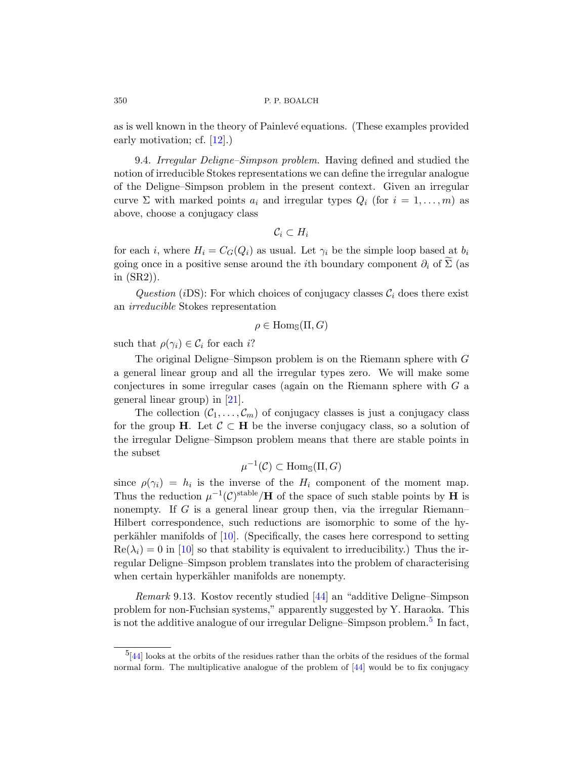as is well known in the theory of Painlevé equations. (These examples provided early motivation; cf. [12].)

9.4. Irregular Deligne–Simpson problem. Having defined and studied the notion of irreducible Stokes representations we can define the irregular analogue of the Deligne–Simpson problem in the present context. Given an irregular curve  $\Sigma$  with marked points  $a_i$  and irregular types  $Q_i$  (for  $i = 1, \ldots, m$ ) as above, choose a conjugacy class

$$
\mathcal{C}_i \subset H_i
$$

for each i, where  $H_i = C_G(Q_i)$  as usual. Let  $\gamma_i$  be the simple loop based at  $b_i$ going once in a positive sense around the *i*th boundary component  $\partial_i$  of  $\Sigma$  (as in (SR2)).

Question (iDS): For which choices of conjugacy classes  $\mathcal{C}_i$  does there exist an [ir](#page-60-4)reducible Stokes representation

$$
\rho \in \text{Hom}_{\mathbb{S}}(\Pi, G)
$$

such that  $\rho(\gamma_i) \in \mathcal{C}_i$  for each i?

The original Deligne–Simpson problem is on the Riemann sphere with G a general linear group and all the irregular types zero. We will make some conjectures in some irregular cases (again on the Riemann sphere with G a general linear group) in [21].

The collection  $(\mathcal{C}_1, \ldots, \mathcal{C}_m)$  of conjugacy classes is just a conjugacy class for the group H. Let  $\mathcal{C} \subset H$  be the inverse conjugacy class, so a solution of the irregular Deligne–Simpson problem means that there are stable points in [the](#page-59-3) subset

$$
\mu^{-1}(\mathcal{C}) \subset \text{Hom}_{\mathbb{S}}(\Pi, G)
$$

since  $\rho(\gamma_i) = h_i$  is the inverse of the  $H_i$  component of the moment map. Thus the reduction  $\mu^{-1}(\mathcal{C})^{\text{stable}}/H$  of the space of such stable points by H is nonempty. If G is [a ge](#page-62-10)neral linear group then, via the irregular Riemann– Hilbert correspondence, such reductions are isomorphic to some of the hyperkähler manifolds of  $[10]$ . (Specifically, the [ca](#page-49-0)ses here correspond to setting  $\text{Re}(\lambda_i) = 0$  in [10] so that stability is equivalent to irreducibility.) Thus the irregular Deligne–Simpson problem translates into the problem of characterising when certain hyperkähler m[anif](#page-62-10)olds are nonempty.

<span id="page-49-0"></span>Remark 9.13. Kostov recently studied [44] an "additive Deligne–Simpson problem for non-Fuchsian systems," apparently suggested by Y. Haraoka. This is not the additive analogue of our irregular Deligne–Simpson problem.<sup>5</sup> In fact,

 $^{5}[44]$  looks at the orbits of the residues rather than the orbits of the residues of the formal normal form. The multiplicative analogue of the problem of [44] would be to fix conjugacy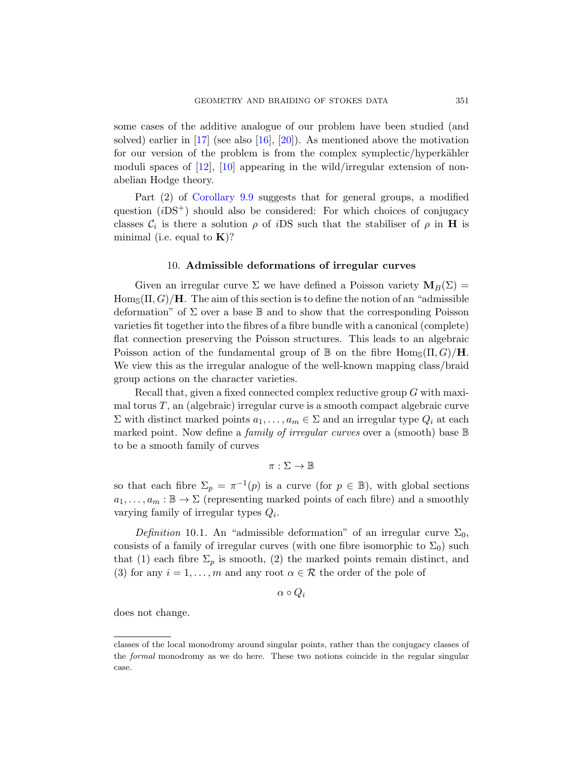some cases of the additive analogue of our problem have been studied (and solved) earlier in [17] (see also [16], [20]). As mentioned above the motivation for our version of the problem is from the complex symplectic/hyperkähler moduli spaces of  $[12]$ ,  $[10]$  appearing in the wild/irregular extension of nonabelian Hodge theory.

<span id="page-50-0"></span>Part (2) of Corollary 9.9 suggests that for general groups, a modified question  $(iDS^{+})$  should also be considered: For which choices of conjugacy classes  $\mathcal{C}_i$  is there a solution  $\rho$  of *i*DS such that the stabiliser of  $\rho$  in **H** is minimal (i.e. equal to  $\mathbf{K}$ )?

#### 10. Admissible deformations of irregular curves

Given an irregular curve  $\Sigma$  we have defined a Poisson variety  $\mathbf{M}_B(\Sigma) =$  $\text{Hom}_{\mathcal{S}}(\Pi, G)/\mathbf{H}$ . The aim of this section is to define the notion of an "admissible" deformation" of  $\Sigma$  over a base  $\mathbb B$  and to show that the corresponding Poisson varieties fit together into the fibres of a fibre bundle with a canonical (complete) flat connection preserving the Poisson structures. This leads to an algebraic Poisson action of the fundamental group of  $\mathbb B$  on the fibre  $\text{Hom}_{\mathbb S}(\Pi, G)/\mathbf H$ . We view this as the irregular analogue of the well-known mapping class/braid group actions on the character varieties.

Recall that, given a fixed connected complex reductive group G with maximal torus  $T$ , an (algebraic) irregular curve is a smooth compact algebraic curve  $\Sigma$  with distinct marked points  $a_1, \ldots, a_m \in \Sigma$  and an irregular type  $Q_i$  at each marked point. Now define a *family of irregular curves* over a (smooth) base  $\mathbb B$ to be a smooth family of curves

 $\pi : \Sigma \to \mathbb{B}$ 

so that each fibre  $\Sigma_p = \pi^{-1}(p)$  is a curve (for  $p \in \mathbb{B}$ ), with global sections  $a_1, \ldots, a_m : \mathbb{B} \to \Sigma$  (representing marked points of each fibre) and a smoothly varying family of irregular types  $Q_i$ .

Definition 10.1. An "admissible deformation" of an irregular curve  $\Sigma_0$ , consists of a family of irregular curves (with one fibre isomorphic to  $\Sigma_0$ ) such that (1) each fibre  $\Sigma_p$  is smooth, (2) the marked points remain distinct, and (3) for any  $i = 1, \ldots, m$  and any root  $\alpha \in \mathcal{R}$  the order of the pole of

 $\alpha \circ Q_i$ 

does not change.

classes of the local monodromy around singular points, rather than the conjugacy classes of the *formal* monodromy as we do here. These two notions coincide in the regular singular case.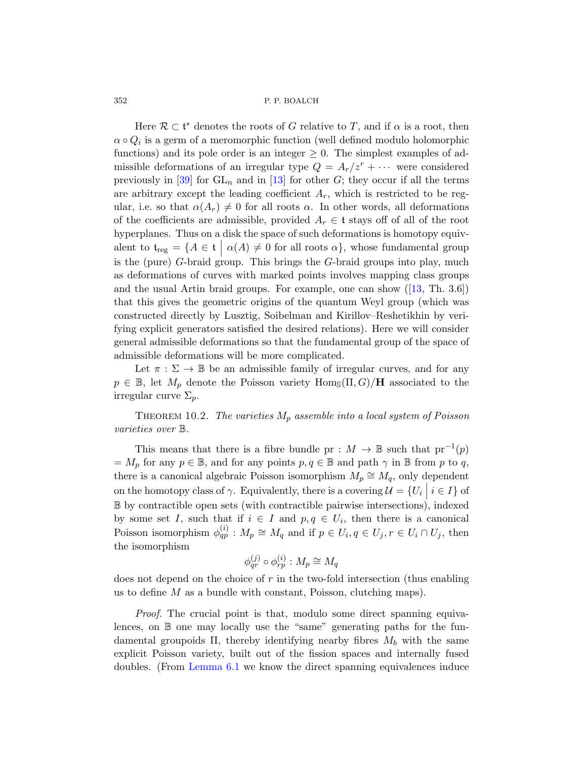Here  $\mathcal{R} \subset \mathfrak{t}^*$  denotes the roots of G relative to T, and if  $\alpha$  is a root, then  $\alpha \circ Q_i$  is a germ of a meromorphic function (well defined modulo holomorphic functions) and its pole order is an integer  $\geq 0$ . The simplest examples of admissible deformations of an irregular type  $Q = A_r/z^r + \cdots$  were considered previously in [39] for  $GL_n$  and in [13] for other G; they occur if all the terms are arbitrary except the leading coefficient  $A_r$ , which is restricted to be reg-ular, i[.](#page-59-7)e. so that  $\alpha(A_r) \neq 0$  for all roots  $\alpha$ . In other words, all deformations of the coefficients are admissible, provided  $A_r \in \mathfrak{t}$  stays off of all of the root hyperplanes. Thus on a disk the space of such deformations is homotopy equivalent to  $\mathfrak{t}_{\text{reg}} = \{A \in \mathfrak{t} \mid \alpha(A) \neq 0 \text{ for all roots } \alpha\}$ , whose fundamental group is the (pure) G-braid group. This brings the G-braid groups into play, much as deformations of curves with marked points involves mapping class groups and the usual Artin braid groups. For example, one can show  $([13, Th. 3.6])$ that this gives the geometric origins of the quantum Weyl group (which was constructed directly by Lusztig, Soibelman and Kirillov–Reshetikhin by verifying explicit generators satisfied the desired relations). Here we will consider general admissible deformations so that the fundamental group of the space of admissible deformations will be more complicated.

<span id="page-51-0"></span>Let  $\pi : \Sigma \to \mathbb{B}$  be an admissible family of irregular curves, and for any  $p \in \mathbb{B}$ , let  $M_p$  denote the Poisson variety  $\text{Hom}_{\mathbb{S}}(\Pi, G)/\textbf{H}$  associated to the irregular curve  $\Sigma_p$ .

THEOREM 10.2. The varieties  $M_p$  assemble into a local system of Poisson varieties over B.

This means that there is a fibre bundle pr :  $M \to \mathbb{B}$  such that  $pr^{-1}(p)$  $=M_p$  for any  $p \in \mathbb{B}$ , and for any points  $p, q \in \mathbb{B}$  and path  $\gamma$  in  $\mathbb{B}$  from p to q, there is a canonical algebraic Poisson isomorphism  $M_p \cong M_q$ , only dependent on the homotopy class of  $\gamma$ . Equivalently, there is a covering  $\mathcal{U} = \{U_i \mid i \in I\}$  of B by contractible open sets (with contractible pairwise intersections), indexed by some set I, such that if  $i \in I$  and  $p, q \in U_i$ , then there is a canonical Poisson isomorphism  $\phi_{qp}^{(i)} : M_p \cong M_q$  and if  $p \in U_i, q \in U_j, r \in U_i \cap U_j$ , then the isomorphism

$$
\phi_{qr}^{(j)} \circ \phi_{rp}^{(i)} : M_p \cong M_q
$$

[does](#page-26-0) not depend on the choice of  $r$  in the two-fold intersection (thus enabling us to define M as a bundle with constant, Poisson, clutching maps).

Proof. The crucial point is that, modulo some direct spanning equivalences, on  $\mathbb B$  one may locally use the "same" generating paths for the fundamental groupoids  $\Pi$ , thereby identifying nearby fibres  $M_b$  with the same explicit Poisson variety, built out of the fission spaces and internally fused doubles. (From Lemma 6.1 we know the direct spanning equivalences induce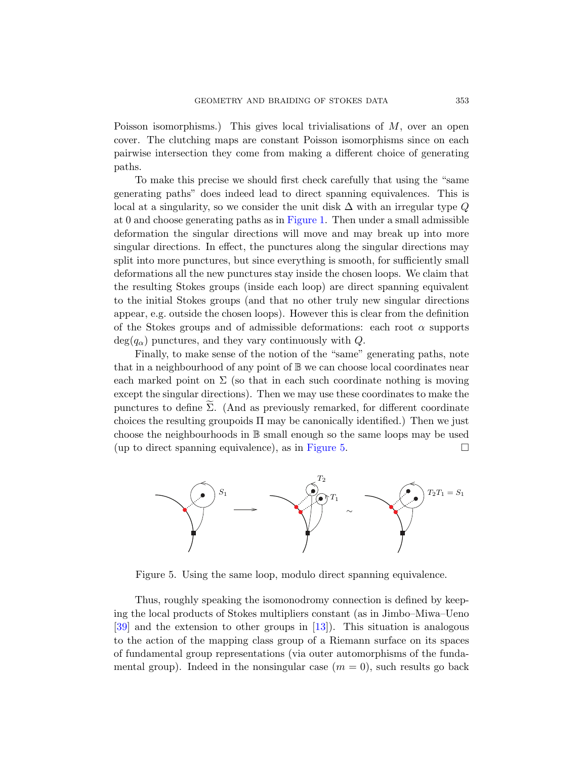Poisson isomorphisms.) This gives local trivialisations of  $M$ , over an open cover. The cl[utching m](#page-17-0)aps are constant Poisson isomorphisms since on each pairwise intersection they come from making a different choice of generating paths.

To make this precise we should first check carefully that using the "same generating paths" does indeed lead to direct spanning equivalences. This is local at a singularity, so we consider the unit disk  $\Delta$  with an irregular type Q at 0 and choose generating paths as in Figure 1. Then under a small admissible deformation the singular directions will move and may break up into more singular directions. In effect, the punctures along the singular directions may split into more punctures, but since everything is smooth, for sufficiently small deformations all the new punctures stay inside the chosen loops. We claim that the resulting Stokes groups (inside each loop) are direct spanning equivalent to the initial Stokes groups (and that no other truly new singular directions appear, e.g. outside the chosen loops). However this is clear from the definition of the Stokes groups and of admissible deformations: each root  $\alpha$  supports  $deg(q_{\alpha})$  punctures, and they vary continuously with Q.

Finally, to make sense of the notion of the "same" generating paths, note that in a neighbou[rhood of a](#page-52-0)ny point of  $\mathbb B$  we can choose local coordinates near each marked point on  $\Sigma$  (so that in each such coordinate nothing is moving except the singular directions). Then we may use these coordinates to make the punctures to define  $\Sigma$ . (And as previously remarked, for different coordinate choices the resulting groupoids  $\Pi$  may be canonically identified.) Then we just choose the neighbourhoods in B small enough so the same loops may be used (up to direct spanning equivalence), as in Figure 5.

<span id="page-52-0"></span>

Figure 5. Using the same loop, modulo direct spanning equivalence.

Thus, roughly speaking the isomonodromy connection is defined by keeping the local products of Stokes multipliers constant (as in Jimbo–Miwa–Ueno [39] and the extension to other groups in [13]). This situation is analogous to the action of the mapping class group of a Riemann surface on its spaces of fundamental group representations (via outer automorphisms of the fundamental group). Indeed in the nonsingular case  $(m = 0)$ , such results go back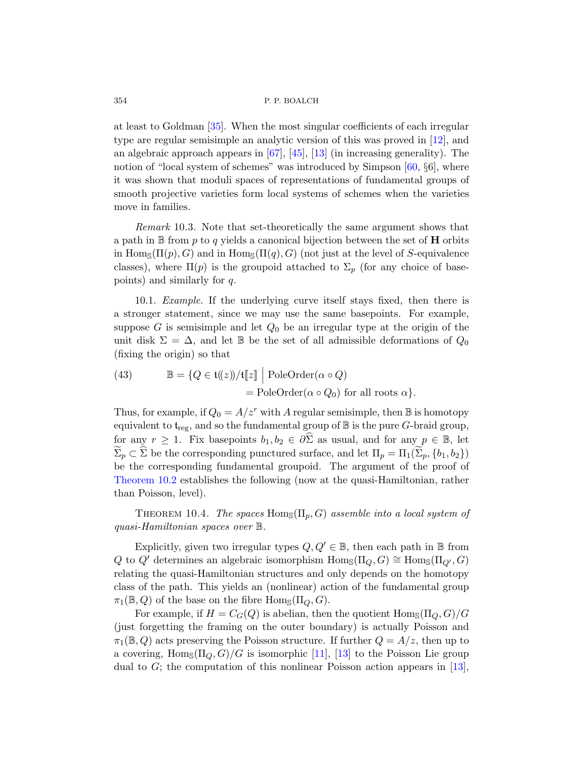at least to Goldman [35]. When the most singular coefficients of each irregular type are regular semisimple an analytic version of this was proved in [12], and an algebraic approach appears in [67], [45], [13] (in increasing generality). The notion of "local system of schemes" was introduced by Simpson [60, §6], where it was shown that moduli spaces of representations of fundamental groups of smooth projective varieties form local systems of schemes when the varieties move in families.

<span id="page-53-0"></span>Remark 10.3. Note that set-theoretically the same argument shows that a path in  $\mathbb B$  from p to q yields a canonical bijection between the set of **H** orbits in Hom<sub>S</sub>( $\Pi(p), G$ ) and in Hom<sub>S</sub>( $\Pi(q), G$ ) (not just at the level of S-equivalence classes), where  $\Pi(p)$  is the groupoid attached to  $\Sigma_p$  (for any choice of basepoints) and similarly for q.

<span id="page-53-2"></span>10.1. Example. If the underlying curve itself stays fixed, then there is a stronger statement, since we may use the same basepoints. For example, suppose G is semisimple and let  $Q_0$  be an irregular type at the origin of the unit disk  $\Sigma = \Delta$ , and let B be the set of all admissible deformations of  $Q_0$ (fixing the origin) so that

(43) 
$$
\mathbb{B} = \{Q \in \mathfrak{t}(\!(z)\!)/\mathfrak{t}[\![z]\!]\mid \text{PoleOrder}(\alpha \circ Q)
$$

$$
= \text{PoleOrder}(\alpha \circ Q_0) \text{ for all roots } \alpha\}.
$$

<span id="page-53-1"></span>Thus, for example, if  $Q_0 = A/z^r$  with A regular semisimple, then B is homotopy equivalent to  $t_{reg}$ , and so the fundamental group of  $\mathbb B$  is the pure G-braid group, for any  $r \geq 1$ . Fix basepoints  $b_1, b_2 \in \partial \widehat{\Sigma}$  as usual, and for any  $p \in \mathbb{B}$ , let  $\Sigma_p \subset \Sigma$  be the corresponding punctured surface, and let  $\Pi_p = \Pi_1(\Sigma_p, \{b_1, b_2\})$ be the corresponding fundamental groupoid. The argument of the proof of Theorem 10.2 establishes the following (now at the quasi-Hamiltonian, rather than Poisson, level).

THEOREM 10.4. The spaces  $\text{Hom}_{\mathbb{S}}(\Pi_p, G)$  assemble into a local system of quasi-Hamiltonian spaces over B.

Explicitly, given two irregular types  $Q, Q' \in \mathbb{B}$ , then each path in B from Q to Q' determines an algebraic isomorphism  $\text{Hom}_{\mathcal{S}}(\Pi_Q, G) \cong \text{Hom}_{\mathcal{S}}(\Pi_{Q'}, G)$ relating the quasi-H[ami](#page-59-6)lt[onia](#page-59-7)n structures and only depends on the homotopy class of the path. This yields an (nonlinear) actio[n of](#page-59-7) the fundamental group  $\pi_1(\mathbb{B}, Q)$  of the base on the fibre  $\text{Hom}_{\mathbb{S}}(\Pi_Q, G)$ .

For example, if  $H = C_G(Q)$  is abelian, then the quotient  $\text{Hom}_{\mathbb{S}}(\Pi_Q, G)/G$ (just forgetting the framing on the outer boundary) is actually Poisson and  $\pi_1(\mathbb{B}, Q)$  acts preserving the Poisson structure. If further  $Q = A/z$ , then up to a covering,  $\text{Hom}_{\mathcal{S}}(\Pi_O, G)/G$  is isomorphic [11], [13] to the Poisson Lie group dual to  $G$ ; the computation of this nonlinear Poisson action appears in [13],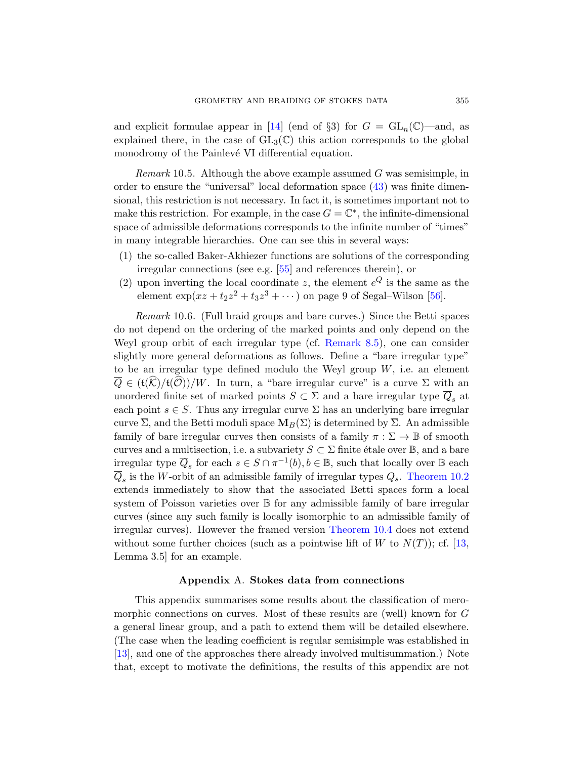and explicit formulae appear in [14] (end of §3) for  $G = GL_n(\mathbb{C})$ —and, as explained there, in the case of  $GL_3(\mathbb{C})$  this action corresponds to the global monodromy of the Painlevé VI differential equation.

*Remark* 10.5. Although the above example assumed  $G$  was semisimple, in order to ens[ure](#page-63-9) the "universal" local deformation space (43) was finite dimensional, this restriction is not necessary. In fact it, is sometimes important not to make this restriction. For example, in the case  $G = \mathbb{C}^*$  $G = \mathbb{C}^*$ , the infinite-dimensional space of admissible deformations corresponds to the infinite number of "times" in many integrable hierarchies. One can see this in several ways:

- (1) the so-called Bak[er-Akhiezer fu](#page-42-1)nctions are solutions of the corresponding irregular connections (see e.g. [55] and references therein), or
- (2) upon inverting the local coordinate z, the element  $e^Q$  is the same as the element  $\exp(xz + t_2z^2 + t_3z^3 + \cdots)$  on page 9 of Segal–Wilson [56].

Remark 10.6. (Full braid groups and bare curves.) Since the Betti spaces do not depend on the ordering of the marked points and only depend on the Weyl group orbit of each irregular type (cf. Remark 8.5), one can consider slightly more general deformations as follows. Define a "bare irregular type" to be an irregular type defined modulo the Weyl group  $W$ , i.e. an element  $\overline{Q} \in (\mathfrak{t}(\mathcal{K})/\mathfrak{t}(\mathcal{O}))/W$ . In turn, a "bare irregular curve" is a curve  $\Sigma$  with an unordered finite set of marked points  $S \subset \Sigma$  and a bare irregular type  $\overline{Q}_s$  at each point  $s \in S$ . Thus any irregular curve  $\Sigma$  has an underlying bare irregular curve  $\overline{\Sigma}$ , and the Betti moduli space  $\mathbf{M}_B(\Sigma)$  is determined by  $\overline{\Sigma}$ . An admissible family of bare irregular curves then consists of a family  $\pi : \Sigma \to \mathbb{B}$  of smooth curves and a multisectio[n, i.e. a subvari](#page-53-1)ety  $S \subset \Sigma$  finite étale over  $\mathbb{B}$ , and a bare irregular type  $\overline{Q}_s$  for each  $s \in S \cap \pi^{-1}(b)$ ,  $b \in \mathbb{B}$ , su[ch t](#page-59-7)hat locally over  $\mathbb B$  each  $\overline{Q}_s$  is the W-orbit of an admissible family of irregular types  $Q_s$ . Theorem 10.2 extends immediately to show that the associated Betti spaces form a local system of Poisson varieties over B for any admissible family of bare irregular curves (since any such family is locally isomorphic to an admissible family of irregular curves). However the framed version Theorem 10.4 does not extend without some further choices (such as a pointwise lift of W to  $N(T)$ ); cf. [13, Lemma 3.5] for an example.

## Appendix A. Stokes data from connections

<span id="page-54-0"></span>This appendix summarises some results about the classification of meromorphic connections on curves. Most of these results are (well) known for G a general linear group, and a path to extend them will be detailed elsewhere. (The case when the leading coefficient is regular semisimple was established in [13], and one of the approaches there already involved multisummation.) Note that, except to motivate the definitions, the results of this appendix are not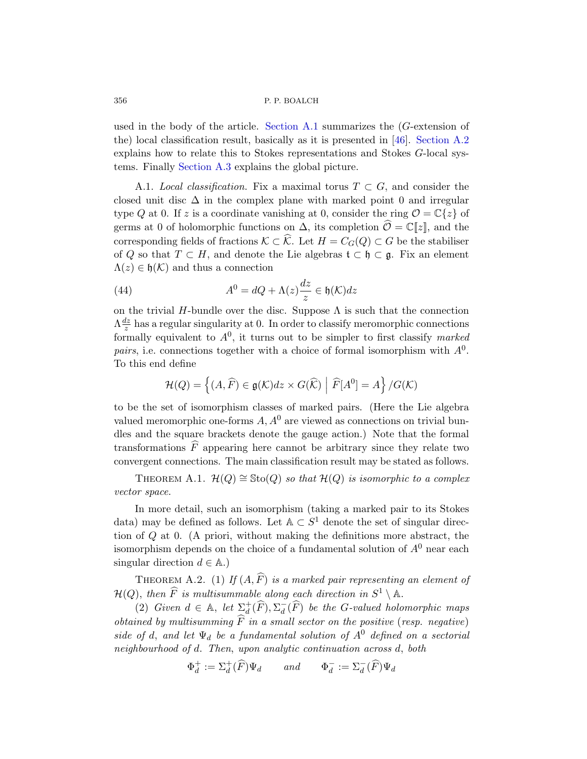<span id="page-55-0"></span>used in the body of the article. Section A.1 summarizes the  $(G$ -extension of the) local classification result, basically as it is presented in [46]. Section A.2 explains how to relate this to Stokes representations and Stokes G-local systems. Finally Section A.3 explains the global picture.

A.1. Local classification. Fix a maximal torus  $T \subset G$ , and consider the closed unit disc  $\Delta$  in the complex plane with marked point 0 and irregular type Q at 0. If z is a coordinate vanishing at 0, consider the ring  $\mathcal{O} = \mathbb{C}\{z\}$  of germs at 0 of holomorphic functions on  $\Delta$ , its completion  $\widehat{\mathcal{O}} = \mathbb{C}[\![z]\!]$ , and the corresponding fields of fractions  $\mathcal{K} \subset \widehat{\mathcal{K}}$ . Let  $H = C_G(Q) \subset G$  be the stabiliser of Q so that  $T \subset H$ , and denote the Lie algebras  $\mathfrak{t} \subset \mathfrak{h} \subset \mathfrak{g}$ . Fix an element  $\Lambda(z) \in \mathfrak{h}(\mathcal{K})$  and thus a connection

(44) 
$$
A^{0} = dQ + \Lambda(z) \frac{dz}{z} \in \mathfrak{h}(\mathcal{K}) dz
$$

on the trivial H-bundle over the disc. Suppose  $\Lambda$  is such that the connection  $\Lambda \frac{dz}{z}$  $\frac{dz}{z}$  has a regular singularity at 0. In order to classify meromorphic connections formally equivalent to  $A^0$ , it turns out to be simpler to first classify marked pairs, i.e. connections together with a choice of formal isomorphism with  $A^0$ . To this end define

$$
\mathcal{H}(Q) = \left\{ (A, \widehat{F}) \in \mathfrak{g}(\mathcal{K}) dz \times G(\widehat{\mathcal{K}}) \middle| \widehat{F}[A^0] = A \right\} / G(\mathcal{K})
$$

to be the set of isomorphism classes of marked pairs. (Here the Lie algebra valued meromorphic one-forms  $A, A<sup>0</sup>$  are viewed as connections on trivial bundles and the square brackets denote the gauge action.) Note that the formal transformations  $\widehat{F}$  appearing here cannot be arbitrary since they relate two convergent connections. The main classification result may be stated as follows.

THEOREM A.1.  $\mathcal{H}(Q) \cong \text{Sto}(Q)$  so that  $\mathcal{H}(Q)$  is isomorphic to a complex vector space.

In more detail, such an isomorphism (taking a marked pair to its Stokes data) may be defined as follows. Let  $A \subset S^1$  denote the set of singular direction of Q at 0. (A priori, without making the definitions more abstract, the isomorphism depends on the choice of a fundamental solution of  $A<sup>0</sup>$  near each singular direction  $d \in \mathbb{A}$ .)

THEOREM A.2. (1) If  $(A, \widehat{F})$  is a marked pair representing an element of  $\mathcal{H}(Q)$ , then  $\widehat{F}$  is multisummable along each direction in  $S^1\setminus \mathbb{A}$ .

(2) Given  $d \in \mathbb{A}$ , let  $\sum_{d}^{+}(\widehat{F}), \sum_{d}^{-}$  $_d^-(F)$  be the G-valued holomorphic maps obtained by multisumming  $\widehat{F}$  in a small sector on the positive (resp. negative) side of d, and let  $\Psi_d$  be a fundamental solution of  $A^0$  defined on a sectorial neighbourhood of d. Then, upon analytic continuation across d, both

$$
\Phi_d^+ := \Sigma_d^+(\widehat{F})\Psi_d \qquad and \qquad \Phi_d^- := \Sigma_d^-(\widehat{F})\Psi_d
$$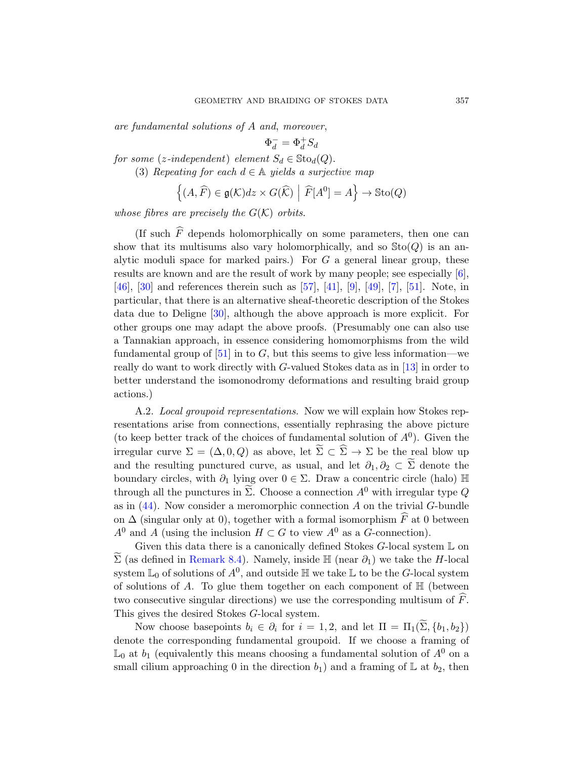are fundamental solutions of A and, moreover,

$$
\Phi_d^- = \Phi_d^+ S_d
$$

for some (z-independent) element  $S_d \in \text{Sto}_d(Q)$ .

(3) Repeating for each  $d \in A$  yields a surjective map

$$
\left\{ (A, \widehat{F}) \in \mathfrak{g}(\mathcal{K}) dz \times G(\widehat{\mathcal{K}}) \middle| \widehat{F}[A^0] = A \right\} \to \text{Sto}(Q)
$$

whose fibres are precisely the  $G(\mathcal{K})$  orbits.

(If such  $\widehat{F}$  depends holomorphically on some parameters, then one can show that its multisums also vary holomorphically, and so  $\text{Sto}(Q)$  is an analytic moduli space for marked pairs.) For  $G$  a general linear group, these [res](#page-62-2)ults are known and are the result of work by many people; see especially [6], [46], [30] and references therein such as [\[57](#page-59-7)], [41], [9], [49], [7], [51]. Note, in particular, that there is an alternative sheaf-theoretic description of the Stokes data due to Deligne [30], although the above approach is more explicit. For other groups one may adapt the above proofs. (Presumably one can also use a Tannakian approach, in essence considering homomorphisms from the wild fundamental group of  $[51]$  in to G, but this seems to give less information—we really do want to work directly with G-valued Stokes data as in [13] in order to better understand the isomonodromy deformations and resulting braid group actions.)

A.2. Local groupoid representations. Now we will explain how Stokes representations arise from connections, essentially rephrasing the above picture (to keep better track of the choices of fundamental solution of  $A^0$ ). Given the irregular curve  $\Sigma = (\Delta, 0, Q)$  as above, let  $\Sigma \subset \overline{\Sigma} \to \Sigma$  be the real blow up and the resulting punctured curve, as usual, and let  $\partial_1, \partial_2 \subset \Sigma$  denote the [bound](#page-41-0)ary circles, with  $\partial_1$  lying over  $0 \in \Sigma$ . Draw a concentric circle (halo) H through all the punctures in  $\widetilde{\Sigma}$ . Choose a connection  $A^0$  with irregular type Q as in  $(44)$ . Now consider a meromorphic connection A on the trivial G-bundle on  $\Delta$  (singular only at 0), together with a formal isomorphism  $\widehat{F}$  at 0 between  $A^0$  and A (using the inclusion  $H \subset G$  to view  $A^0$  as a G-connection).

Given this data there is a canonically defined Stokes G-local system L on  $\widetilde{\Sigma}$  (as defined in Remark 8.4). Namely, inside  $\mathbb{H}$  (near  $\partial_1$ ) we take the H-local system  $\mathbb{L}_0$  of solutions of  $A^0$ , and outside  $\mathbb H$  we take  $\mathbb L$  to be the G-local system of solutions of A. To glue them together on each component of  $\mathbb H$  (between two consecutive singular directions) we use the corresponding multisum of  $F$ . This gives the desired Stokes G-local system.

Now choose basepoints  $b_i \in \partial_i$  for  $i = 1, 2$ , and let  $\Pi = \Pi_1(\Sigma, \{b_1, b_2\})$ denote the corresponding fundamental groupoid. If we choose a framing of  $\mathbb{L}_0$  at  $b_1$  (equivalently this means choosing a fundamental solution of  $A^0$  on a small cilium approaching 0 in the direction  $b_1$ ) and a framing of L at  $b_2$ , then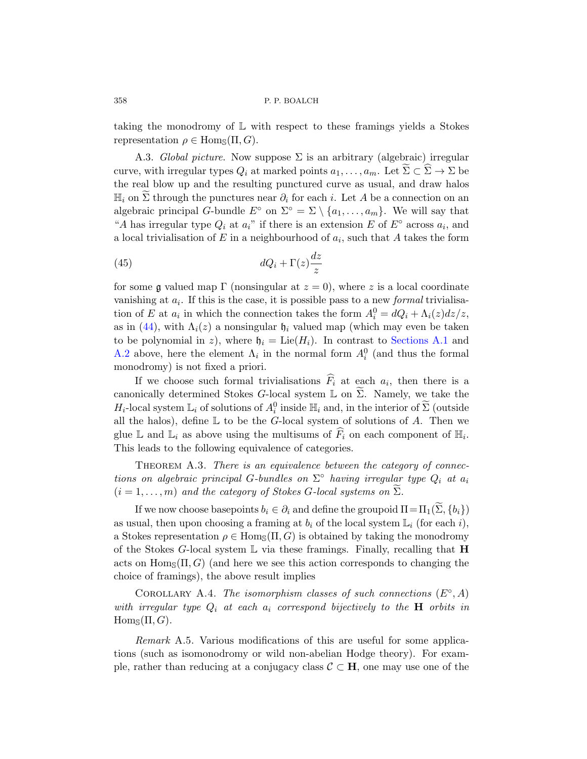<span id="page-57-0"></span>taking the monodromy of L with respect to these framings yields a Stokes representation  $\rho \in \text{Hom}_{\mathcal{S}}(\Pi, G)$ .

A.3. Global picture. Now suppose  $\Sigma$  is an arbitrary (algebraic) irregular curve, with irregular types  $Q_i$  at marked points  $a_1, \ldots, a_m$ . Let  $\Sigma \subset \overline{\Sigma} \to \Sigma$  be the real blow up and the resulting punctured curve as usual, and draw halos  $\mathbb{H}_i$  on  $\widetilde{\Sigma}$  through the punctures near  $\partial_i$  for each i. Let A be a connection on an algebraic principal G-bundle  $E^{\circ}$  on  $\Sigma^{\circ} = \Sigma \setminus \{a_1, \ldots, a_m\}$ . We will say that "A has irregular type  $Q_i$  at  $a_i$ " if there is an extension E of  $E^{\circ}$  across  $a_i$ , and a local trivialisation of  $E$  in a neighbourhood of  $a_i$ , such that  $A$  takes the form

(45) 
$$
dQ_i + \Gamma(z)\frac{dz}{z}
$$

for some g valued map Γ (nonsingular at  $z = 0$ ), where z is a local coordinate vanishing at  $a_i$ . If this is the case, it is possible pass to a new *formal* trivialisation of E at  $a_i$  in which the connection takes the form  $A_i^0 = dQ_i + \Lambda_i(z)dz/z$ , as in (44), with  $\Lambda_i(z)$  a nonsingular  $\mathfrak{h}_i$  valued map (which may even be taken to be polynomial in z), where  $\mathfrak{h}_i = \text{Lie}(H_i)$ . In contrast to Sections A.1 and A.2 above, here the element  $\Lambda_i$  in the normal form  $A_i^0$  (and thus the formal monodromy) is not fixed a priori.

If we choose such formal trivialisations  $F_i$  at each  $a_i$ , then there is a canonically determined Stokes G-local system  $\mathbb L$  on  $\widetilde{\Sigma}$ . Namely, we take the  $H_i$ -local system  $\mathbb{L}_i$  of solutions of  $A_i^0$  inside  $\mathbb{H}_i$  and, in the interior of  $\widetilde{\Sigma}$  (outside all the halos), define  $\mathbb L$  to be the G-local system of solutions of A. Then we glue L and  $\mathbb{L}_i$  as above using the multisums of  $\widehat{F}_i$  on each component of  $\mathbb{H}_i$ . This leads to the following equivalence of categories.

THEOREM A.3. There is an equivalence between the category of connections on algebraic principal G-bundles on  $\Sigma^{\circ}$  having irregular type  $Q_i$  at  $a_i$  $(i = 1, \ldots, m)$  and the category of Stokes G-local systems on  $\Sigma$ .

If we now choose basepoints  $b_i \in \partial_i$  and define the groupoid  $\Pi = \Pi_1(\Sigma, \{b_i\})$ as usual, then upon choosing a framing at  $b_i$  of the local system  $\mathbb{L}_i$  (for each i), a Stokes representation  $\rho \in \text{Hom}_{\mathcal{S}}(\Pi, G)$  is obtained by taking the monodromy of the Stokes G-local system  $\mathbb L$  via these framings. Finally, recalling that **H** acts on  $\text{Hom}_{\mathcal{S}}(\Pi, G)$  (and here we see this action corresponds to changing the choice of framings), the above result implies

COROLLARY A.4. The isomorphism classes of such connections  $(E^{\circ}, A)$ with irregular type  $Q_i$  at each  $a_i$  correspond bijectively to the **H** orbits in  $\text{Hom}_{\mathbb{S}}(\Pi, G).$ 

Remark A.5. Various modifications of this are useful for some applications (such as isomonodromy or wild non-abelian Hodge theory). For example, rather than reducing at a conjugacy class  $\mathcal{C} \subset \mathbf{H}$ , one may use one of the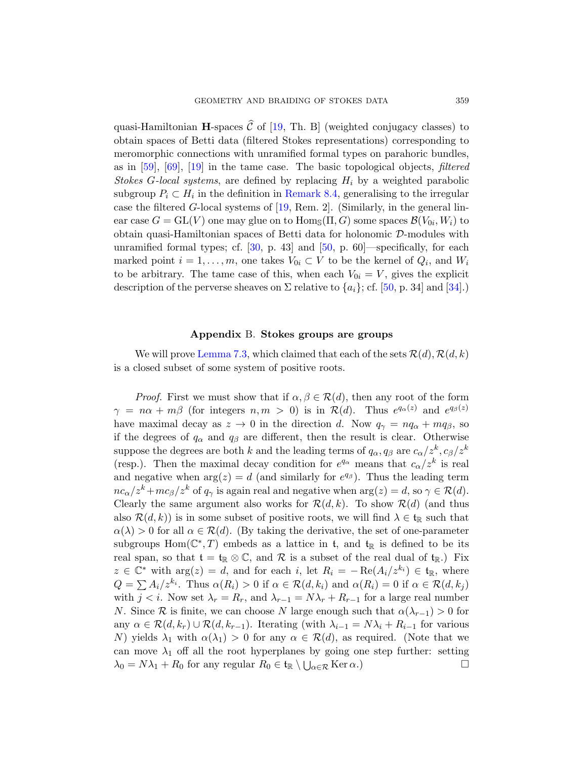quasi-Hamil[toni](#page-60-5)an **H**-spaces  $\hat{C}$  of [19, Th. B] (weighted conjugacy classes) to obtain spaces of Betti data (filtered Stokes representations) corresponding to meromorphic connections with unramified formal types on parahoric bundles, asin  $[59]$  $[59]$ ,  $[69]$ ,  $[19]$  i[n th](#page-62-1)e tame case. The basic topological objects, *filtered* Stokes G-local systems, are defined by replacing  $H_i$  by a weighted parabolic subgroup  $P_i \subset H_i$  in the definition in Remark 8.4, generalising to the irregular casethe filtered  $G$ -local systems of  $[19, Rem. 2]$ . ([Sim](#page-61-10)ilarly, in the general linear case  $G = \mathrm{GL}(V)$  one may glue on to  $\mathrm{Hom}_{\mathbb{S}}(\Pi, G)$  some spaces  $\mathcal{B}(V_{0i}, W_i)$  to obtain quasi-Hamiltonian spaces of Betti data for holonomic D-modules with unramified formal types; cf.  $[30, p. 43]$  and  $[50, p. 60]$ —specifically, for each marked point  $i = 1, ..., m$ , one takes  $V_{0i} \subset V$  to be the kernel of  $Q_i$ , and  $W_i$ [to be a](#page-31-1)rbitrary. The tame case of this, when each  $V_{0i} = V$ , gives the explicit description of the perverse sheaves on  $\Sigma$  relative to  $\{a_i\}$ ; cf. [50, p. 34] and [34].)

## Appendix B. Stokes groups are groups

<span id="page-58-0"></span>We will prove Lemma 7.3, which claimed that each of the sets  $\mathcal{R}(d), \mathcal{R}(d, k)$ is a closed subset of some system of positive roots.

*Proof.* First we must show that if  $\alpha, \beta \in \mathcal{R}(d)$ , then any root of the form  $\gamma = n\alpha + m\beta$  (for integers  $n, m > 0$ ) is in  $\mathcal{R}(d)$ . Thus  $e^{q_{\alpha}(z)}$  and  $e^{q_{\beta}(z)}$ have maximal decay as  $z \to 0$  in the direction d. Now  $q_{\gamma} = n q_{\alpha} + m q_{\beta}$ , so if the degrees of  $q_{\alpha}$  and  $q_{\beta}$  are different, then the result is clear. Otherwise suppose the degrees are both k and the leading terms of  $q_{\alpha}, q_{\beta}$  are  $c_{\alpha}/z^{k}, c_{\beta}/z^{k}$ (resp.). Then the maximal decay condition for  $e^{q_{\alpha}}$  means that  $c_{\alpha}/z^{k}$  is real and negative when  $arg(z) = d$  (and similarly for  $e^{q\beta}$ ). Thus the leading term  $nc_{\alpha}/z^{k}+mc_{\beta}/z^{k}$  of  $q_{\gamma}$  is again real and negative when  $arg(z) = d$ , so  $\gamma \in \mathcal{R}(d)$ . Clearly the same argument also works for  $\mathcal{R}(d, k)$ . To show  $\mathcal{R}(d)$  (and thus also  $\mathcal{R}(d, k)$  is in some subset of positive roots, we will find  $\lambda \in \mathfrak{t}_{\mathbb{R}}$  such that  $\alpha(\lambda) > 0$  for all  $\alpha \in \mathcal{R}(d)$ . (By taking the derivative, the set of one-parameter subgroups  $Hom(\mathbb{C}^*,T)$  embeds as a lattice in t, and  $t_{\mathbb{R}}$  is defined to be its real span, so that  $t = t_{\mathbb{R}} \otimes \mathbb{C}$ , and  $\mathcal R$  is a subset of the real dual of  $t_{\mathbb{R}}$ .) Fix  $z \in \mathbb{C}^*$  with  $\arg(z) = d$ , and for each i, let  $R_i = -\operatorname{Re}(A_i/z^{k_i}) \in \mathfrak{t}_{\mathbb{R}}$ , where  $Q = \sum A_i/z^{k_i}$ . Thus  $\alpha(R_i) > 0$  if  $\alpha \in \mathcal{R}(d, k_i)$  and  $\alpha(R_i) = 0$  if  $\alpha \in \mathcal{R}(d, k_j)$ with  $j < i$ . Now set  $\lambda_r = R_r$ , and  $\lambda_{r-1} = N\lambda_r + R_{r-1}$  for a large real number N. Since R is finite, we can choose N large enough such that  $\alpha(\lambda_{r-1}) > 0$  for any  $\alpha \in \mathcal{R}(d, k_r) \cup \mathcal{R}(d, k_{r-1})$ . Iterating (with  $\lambda_{i-1} = N\lambda_i + R_{i-1}$  for various N) yields  $\lambda_1$  with  $\alpha(\lambda_1) > 0$  for any  $\alpha \in \mathcal{R}(d)$ , as required. (Note that we can move  $\lambda_1$  off all the root hyperplanes by going one step further: setting  $\lambda_0 = N\lambda_1 + R_0$  for any regular  $R_0 \in \mathfrak{t}_{\mathbb{R}} \setminus \bigcup_{\alpha \in \mathcal{R}} \text{Ker }\alpha$ .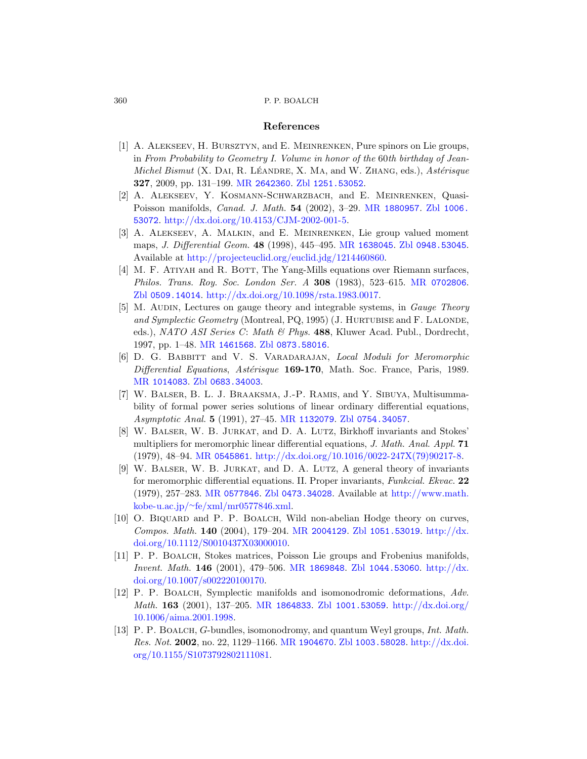#### [References](http://www.ams.org/mathscinet-getitem?mr=1880957)

- <span id="page-59-9"></span><span id="page-59-8"></span><span id="page-59-2"></span>[1] [A. Alekseev](http://dx.doi.org/10.4153/CJM-2002-001-5), H. Bursztyn, and E. Meinrenken, Pure spinors on Lie groups, in From Probability to [Geometry I](http://www.ams.org/mathscinet-getitem?mr=1638045). Vo[lume in honor of](http://www.zentralblatt-math.org/zmath/en/search/?q=an:0948.53045) the 60th birthday of Jean-[Michel Bismut](http://projecteuclid.org/euclid.jdg/1214460860) (X. DAI, R. LÉANDRE, X. MA, and W. ZHANG, eds.),  $Astérisque$ 327, 2009, pp. 131–199. MR 2642360. Zbl 1251.53052.
- <span id="page-59-0"></span>[2] A. Alekseev, Y. Kosmann-Schwarzbach[, and](http://www.ams.org/mathscinet-getitem?mr=0702806) E. Meinrenken, Quasi-[Poisson manifolds,](http://dx.doi.org/10.1098/rsta.1983.0017) Canad. J. Math. 54 (2002), 3–29. MR 1880957. Zbl 1006. 53072. http://dx.doi.org/10.4153/CJM-2002-001-5.
- <span id="page-59-1"></span>[3] A. Alekseev, A. Malkin, and E. Meinrenken, Lie group valued moment maps, J. Differential Geom. 48 (1998), 445–495. MR 1638045. Zbl 0948.53045. [Ava](http://www.ams.org/mathscinet-getitem?mr=1461568)ilable at [http://pr](http://www.zentralblatt-math.org/zmath/en/search/?q=an:0873.58016)ojecteuclid.org/euclid.jdg/1214460860.
- <span id="page-59-4"></span>[4] M. F. ATIYAH and R. BOTT, The Yang-Mills equations over Riemann surfaces, Philos. Trans. Roy. Soc. London Ser. A 308 (1983), 523–615. MR 0702806. [Zbl](http://www.zentralblatt-math.org/zmath/en/search/?q=an:0683.34003) 0509.14014. http://dx.doi.org/10.1098/rsta.1983.0017.
- <span id="page-59-11"></span>[5] M. AUDIN, Lectures on gauge theory and integrable systems, in *Gauge Theory* and Symplectic Geometry (Montreal, PQ, 1995) (J. HURTUBISE and F. LALONDE, eds.), NA[TO ASI Serie](http://www.ams.org/mathscinet-getitem?mr=1132079)s C: [Math & Phy](http://www.zentralblatt-math.org/zmath/en/search/?q=an:0754.34057)s. 488, Kluwer Acad. Publ., Dordrecht, 1997, pp. 1–48. MR 1461568. Zbl 0873.58016.
- <span id="page-59-10"></span>[6] D. G. BABBITT and V. S. VARADARAJAN, Local Moduli for Meromorphic [Diff](http://www.ams.org/mathscinet-getitem?mr=0545861)[erential Equations](http://dx.doi.org/10.1016/0022-247X(79)90217-8), Astérisque 169-170, Math. Soc. France, Paris, 1989. MR 1014083. Zbl 0683.34003.
- [7] W. Balser, B. L. J. Braaksma, J.-P. Ramis, and Y. Sibuya, Multisumma[bility](http://www.ams.org/mathscinet-getitem?mr=0577846) [of formal power](http://www.zentralblatt-math.org/zmath/en/search/?q=an:0473.34028) series soluti[ons of linear ordina](http://www.math.kobe-u.ac.jp/~fe/xml/mr0577846.xml)ry differential equations, [Asymptotic A](http://www.math.kobe-u.ac.jp/~fe/xml/mr0577846.xml)nal. 5 (1991), 27–45. MR 1132079. Zbl 0754.34057.
- <span id="page-59-3"></span>[8] W. Balser, W. B. Jurkat, and D. A. Lutz, Birkhoff invariants and Stokes' multipliersf[or meromorphi](http://www.ams.org/mathscinet-getitem?mr=2004129)[c linear differentia](http://www.zentralblatt-math.org/zmath/en/search/?q=an:1051.53019)[l equations,](http://dx.doi.org/10.1112/S0010437X03000010) J. Math. Anal. Appl. 71 [\(1979\), 48–9](http://dx.doi.org/10.1112/S0010437X03000010)4. MR 0545861. http://dx.doi.org/10.1016/0022-247X(79)90217-8.
- <span id="page-59-6"></span>[9] W. BALSER, W. B. JURKAT, and D. A. LUTZ, A general theory of invariants for meromo[rphic differenti](http://www.ams.org/mathscinet-getitem?mr=1869848)[al equations. II. P](http://www.zentralblatt-math.org/zmath/en/search/?q=an:1044.53060)r[oper invaria](http://dx.doi.org/10.1007/s002220100170)nts, Funkcial. Ekvac. 22 [\(1979\),](http://dx.doi.org/10.1007/s002220100170) 257–283. MR 0577846. Zbl 0473.34028. Available at http://www.math. kobe-u.ac.jp/∼fe/xml/mr0577846.xml.
- <span id="page-59-5"></span>[10] O. BIQUARD and P. P. BOALCH, [Wild non-abelian H](http://dx.doi.org/10.1006/aima.2001.1998)odge theory on curves, Compos. Math. 140 (2004), 179–204. MR 2004129. Zbl 1051.53019. http://dx. doi.org/10.1112/S0010437X03000010.
- <span id="page-59-7"></span>[11] P. P. Boalch[, Stokes](http://www.ams.org/mathscinet-getitem?mr=1904670) [matrices, Poisso](http://www.zentralblatt-math.org/zmath/en/search/?q=an:1003.58028)[n Lie groups a](http://dx.doi.org/10.1155/S1073792802111081)nd Frobenius manifolds, [Invent](http://dx.doi.org/10.1155/S1073792802111081). Math. 146 (2001), 479–506. MR 1869848. Zbl 1044.53060. http://dx. doi.org/10.1007/s002220100170.
- [12] P. P. BOALCH, Symplectic manifolds and isomonodromic deformations, Adv. Math. 163 (2001), 137–205. MR 1864833. Zbl 1001.53059. http://dx.doi.org/ 10.1006/aima.2001.1998.
- [13] P. P. Boalch, G-bundles, isomonodromy, and quantum Weyl groups, Int. Math. Res. Not. 2002, no. 22, 1129–1166. MR 1904670. Zbl 1003.58028. http://dx.doi. org/10.1155/S1073792802111081.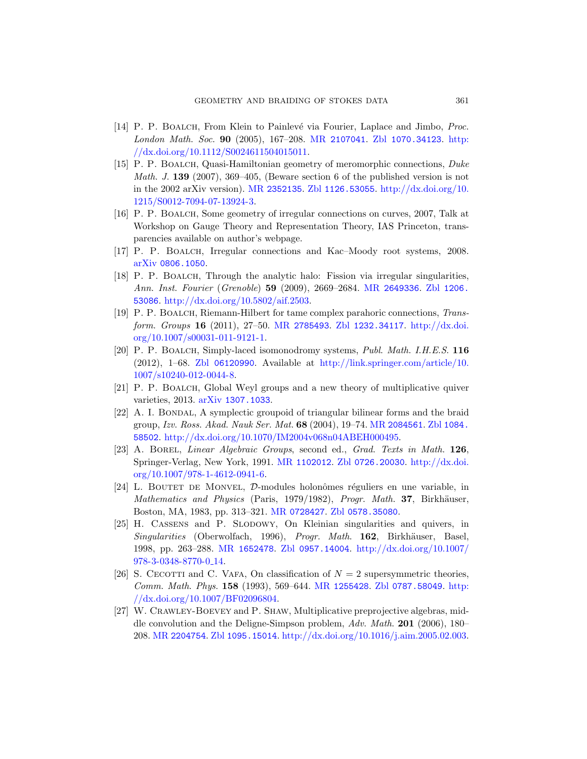- <span id="page-60-2"></span>[14] [P. P](http://dx.doi.org/10.1215/S0012-7094-07-13924-3). BOALCH, From Klein to Painlevé via Fourier, Laplace and Jimbo, Proc. London Math. Soc. 90 (2005), 167–208. MR 2107041. Zbl 1070.34123. http: //dx.doi.org/10.1112/S0024611504015011.
- <span id="page-60-6"></span>[15] P. P. Boalch, Quasi-Hamiltonian geometry of meromorphic connections, Duke Math. J. 139 (2007), 369–405, (Beware section 6 of the published version is not in the 2002 arXiv version). MR 2352135. Zbl 1126.53055. http://dx.doi.org/10. 1215/S0012-7094-07-13924-3.
- <span id="page-60-5"></span>[16] [P. P. Boalch](http://dx.doi.org/10.5802/aif.2503), Some geomet[ry of irregular](http://www.ams.org/mathscinet-getitem?mr=2649336) [connections](http://www.zentralblatt-math.org/zmath/en/search/?q=an:1206.53086) on curves, 2007, Talk at Workshop on Gauge Theory and Representation Theory, IAS Princeton, transparenci[es available on](http://www.ams.org/mathscinet-getitem?mr=2785493) [author's webpage](http://www.zentralblatt-math.org/zmath/en/search/?q=an:1232.34117).
- [17] [P. P.](http://dx.doi.org/10.1007/s00031-011-9121-1) Boalch, Irregular connections [and Kac–Moo](http://dx.doi.org/10.1007/s00031-011-9121-1)dy root systems, 2008. arXiv 0806.1050.
- [\[18\]](http://www.zentralblatt-math.org/zmath/en/search/?q=an:06120990) P. P. Boalch, T[hrough the analytic halo: Fission v](http://link.springer.com/article/10.1007/s10240-012-0044-8)ia irregular singularities, Ann. Inst. Fourier (Grenoble) 59 (2009), 2669–2684. MR 2649336. Zbl 1206. 53086. http://dx.doi.org/10.5802/aif.2503.
- <span id="page-60-4"></span><span id="page-60-1"></span>[19] [P. P. B](http://www.arxiv.org/abs/1307.1033)oalch, Riemann-Hilbert for tame complex parahoric connections, Transform. Groups 16 (2011), 27–50. MR 2785493. Zbl 1232.34117. http://dx.doi. org/10.1007/s00031-011-9121-1.
- <span id="page-60-8"></span>[20] P. P. BOALCH[, Simply-laced isomono](http://dx.doi.org/10.1070/IM2004v068n04ABEH000495)[dromy](http://www.ams.org/mathscinet-getitem?mr=2084561) [systems,](http://www.zentralblatt-math.org/zmath/en/search/?q=an:1084.58502) Publ. Math. I.H.E.S. 116 (2012), 1–68. Zbl 06120990. Available at http://link.springer.com/article/10. 1007/s1[0240-012-0044-](http://www.ams.org/mathscinet-getitem?mr=1102012)8.
- [21] [P. P.](http://dx.doi.org/10.1007/978-1-4612-0941-6) BOALCH, Globa[l Weyl groups an](http://www.zentralblatt-math.org/zmath/en/search/?q=an:0726.20030)[d a new theory](http://dx.doi.org/10.1007/978-1-4612-0941-6) of multiplicative quiver varieties, 2013. arXiv 1307.1033.
- <span id="page-60-3"></span>[22] A. I. BONDAL, A symplectic groupoid of triangular bilinear forms and the braid group, Izv. [Ross](http://www.ams.org/mathscinet-getitem?mr=0728427). Akad. [Nauk Ser](http://www.zentralblatt-math.org/zmath/en/search/?q=an:0578.35080). Mat. 68 (2004), 19–74. MR 2084561. Zbl 1084. 58502. http://dx.doi.org/10.1070/IM2004v068n04ABEH000495.
- [23] A. Borel, Linear Algebraic Groups, second ed., Grad. Texts in Math. 126, [Springer-](http://www.ams.org/mathscinet-getitem?mr=1652478)[Verlag, New York](http://www.zentralblatt-math.org/zmath/en/search/?q=an:0957.14004), 1991. MR [1102012](http://dx.doi.org/10.1007/978-3-0348-8770-0_14). Zbl 0726.20030. http://dx.doi. org/10.1007/978-1-4612-0941-6.
- <span id="page-60-0"></span>[\[2](http://dx.doi.org/10.1007/978-3-0348-8770-0_14)4] L. BOUTET DE MONVEL,  $\mathcal{D}\text{-modules}$  holonômes réguliers en une variable, in Mathematics and [Physics](http://www.ams.org/mathscinet-getitem?mr=1255428) (Pa[ris, 1979/1982\),](http://www.zentralblatt-math.org/zmath/en/search/?q=an:0787.58049) [Progr](http://dx.doi.org/10.1007/BF02096804). Math. 37, Birkhäuser, [Boston, M](http://dx.doi.org/10.1007/BF02096804)A, 1983, pp. 313–321. MR 0728427. Zbl 0578.35080.
- <span id="page-60-7"></span>[25] H. Cassens and P. Slodowy, On Kleinian singularities and quivers, in Singularities (Oberwolfach, 1996), Progr. Math. 162, Birkhäuser, Basel, [1998, pp.](http://www.zentralblatt-math.org/zmath/en/search/?q=an:1095.15014) 263–288. MR 1652478. Zbl [0957.14004](http://dx.doi.org/10.1016/j.aim.2005.02.003). http://dx.doi.org/10.1007/ 978-3-0348-8770-0 14.
- [26] S. CECOTTI and C. VAFA, On classification of  $N = 2$  supersymmetric theories, Comm. Math. Phys. 158 (1993), 569–644. MR 1255428. Zbl 0787.58049. http: //dx.doi.org/10.1007/BF02096804.
- [27] W. Crawley-Boevey and P. Shaw, Multiplicative preprojective algebras, middle convolution and the Deligne-Simpson problem, Adv. Math. 201 (2006), 180– 208. MR 2204754. Zbl 1095.15014. http://dx.doi.org/10.1016/j.aim.2005.02.003.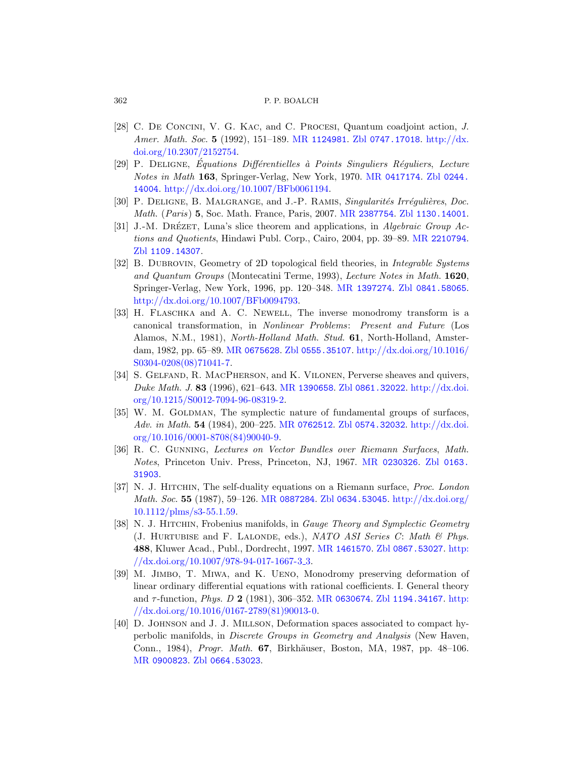- <span id="page-61-9"></span><span id="page-61-6"></span><span id="page-61-5"></span>[28] C. De Concini, V. G. Kac[, and](http://www.ams.org/mathscinet-getitem?mr=2387754) C[. Procesi](http://www.zentralblatt-math.org/zmath/en/search/?q=an:1130.14001), Quantum coadjoint action, J. Amer. Math. Soc. 5 (1992), 151–189. MR 1124981. Zbl 0747.17018. http://dx. doi.org/10.2307/2152754.
- <span id="page-61-2"></span>[29] P. DELIGNE, Equations Différentielles à Points Singuliers Réguliers, Lecture Notes in Math 163, Springer-Verlag, New York, 1970. MR 0417174. Zbl 0244. 14004. http://dx.doi.org/10.1007/BFb0061194.
- [30] P. DELIGNE, B. MALGRANGE[, and](http://www.ams.org/mathscinet-getitem?mr=1397274) J.-P. RAMIS, Singularités Irrégulières, Doc. Math. (Paris) 5, Soc. Math. France, Paris, 2007. MR 2387754. Zbl 1130.14001.
- <span id="page-61-4"></span>[31] J.-M. DRÉZET, Luna's slice theorem and applications, in Algebraic Group Actions and Quotients, Hindawi Publ. Corp., Cairo, 2004, pp. 39–89. MR 2210794. Zbl 1109.14307.
- [32] B. DUBROVIN[, Geometry o](http://www.zentralblatt-math.org/zmath/en/search/?q=an:0555.35107)[f 2D topological field theori](http://dx.doi.org/10.1016/S0304-0208(08)71041-7)es, in *Integrable Systems* and Quantum Groups (Montecatini Terme, 1993), Lecture Notes in Math. 1620, Springer-Verlag, New York, 1996, pp. 120–348. MR 1397274. Zbl 0841.58065. http://d[x.doi.org/10.10](http://www.ams.org/mathscinet-getitem?mr=1390658)[07/BFb0094793.](http://www.zentralblatt-math.org/zmath/en/search/?q=an:0861.32022)
- <span id="page-61-10"></span>[33] [H. Flasch](http://dx.doi.org/10.1215/S0012-7094-96-08319-2)ka and A. C. Newell, T[he inverse mo](http://dx.doi.org/10.1215/S0012-7094-96-08319-2)nodromy transform is a canonical transformation, in Nonlinear Problems: Present and Future (Los Alamos, [N.M., 1981\),](http://www.ams.org/mathscinet-getitem?mr=0762512) [North-Holland M](http://www.zentralblatt-math.org/zmath/en/search/?q=an:0574.32032)ath. [Stud](http://dx.doi.org/10.1016/0001-8708(84)90040-9). 61, North-Holland, Amster[dam, 1982](http://dx.doi.org/10.1016/0001-8708(84)90040-9), pp. 65–89. MR 0675628. Zbl 0555.35107. http://dx.doi.org/10.1016/ S0304-0208(08)71041-7.
- <span id="page-61-7"></span>[34] S. Gelfand, R. MacPherson[, and](http://www.ams.org/mathscinet-getitem?mr=0230326) K. Vilonen[, Perv](http://www.zentralblatt-math.org/zmath/en/search/?q=an:0163.31903)erse sheaves and quivers, Duke Math. J. 83 (1996), 621–643. MR 1390658. Zbl 0861.32022. http://dx.doi. org/10.1215/S0012-7094-96-08319-2.
- <span id="page-61-0"></span>[35] W. M. GOLDMAN[, The symplectic](http://www.zentralblatt-math.org/zmath/en/search/?q=an:0634.53045) [nature of fundam](http://dx.doi.org/10.1112/plms/s3-55.1.59)ental groups of surfaces, Adv. in Math. 54 (1984), 200–225. MR 0762512. Zbl 0574.32032. http://dx.doi. org/10.1016/0001-8708(84)90040-9.
- <span id="page-61-3"></span>[36] R. C. Gunning, Lectures on Vector Bundles over Riemann Surfaces, Math. Notes, Princeton [Univ. Press,](http://www.ams.org/mathscinet-getitem?mr=1461570) [Princeton, NJ, 1](http://www.zentralblatt-math.org/zmath/en/search/?q=an:0867.53027)[967.](http://dx.doi.org/10.1007/978-94-017-1667-3_3) MR 0230326. Zbl 0163. 31903.
- <span id="page-61-1"></span>[37] [N. J. Hitchin](http://dx.doi.org/10.1007/978-94-017-1667-3_3), The self-duality equations on a Riemann surface, Proc. London Math. Soc. 55 (1987), 59–126. MR 0887284. Zbl 0634.53045. http://dx.doi.org/ 10.1112/plms/s3-[55.1.59.](http://www.ams.org/mathscinet-getitem?mr=0630674)
- <span id="page-61-8"></span>[38] N. J. HITCHIN, Frobenius manifolds, in *[Gauge T](http://www.zentralblatt-math.org/zmath/en/search/?q=an:1194.34167)[heory a](http://dx.doi.org/10.1016/0167-2789(81)90013-0)nd Symplectic Geometry* (J. HURTUBISE and F. LALONDE, eds.), NATO ASI Series C: Math  $\mathcal B$  Phys. 488, Kluwer Acad., Publ., Dordrecht, 1997. MR 1461570. Zbl 0867.53027. http:  $\frac{\sqrt{dx} \cdot \text{doi.org}}{10.1007}$  / 978-94-017-1667-3.3.
- [\[39\]](http://www.zentralblatt-math.org/zmath/en/search/?q=an:0664.53023) M. Jimbo, T. Miwa, and K. Ueno, Monodromy preserving deformation of linear ordinary differential equations with rational coefficients. I. General theory and  $\tau$ -function, *Phys. D* 2 (1981), 306–352. MR 0630674. Zbl 1194.34167. http: //dx.doi.org/10.1016/0167-2789(81)90013-0.
- [40] D. Johnson and J. J. Millson, Deformation spaces associated to compact hyperbolic manifolds, in Discrete Groups in Geometry and Analysis (New Haven, Conn., 1984), *Progr. Math.* 67, Birkhäuser, Boston, MA, 1987, pp. 48–106. MR 0900823. Zbl 0664.53023.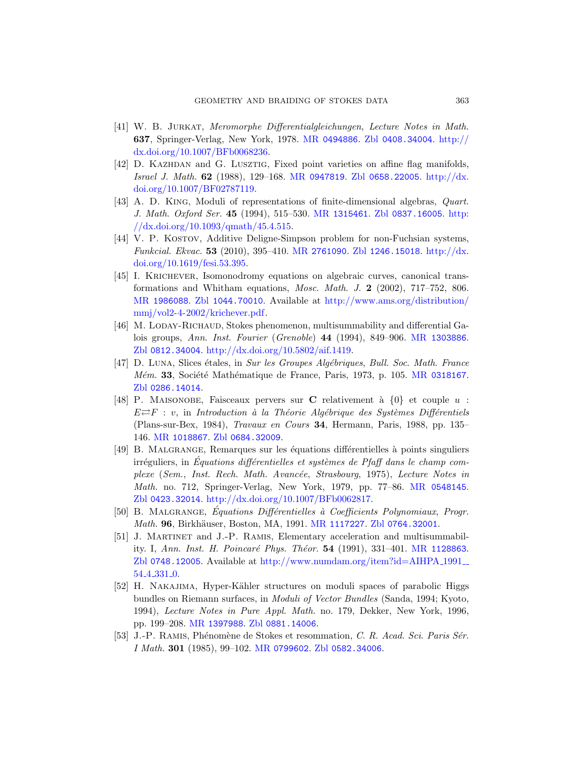- <span id="page-62-8"></span><span id="page-62-7"></span>[41] W. B. Jurkat, [Meromorphe](http://www.ams.org/mathscinet-getitem?mr=1315461) [Differentialgleichu](http://www.zentralblatt-math.org/zmath/en/search/?q=an:0837.16005)[ngen](http://dx.doi.org/10.1093/qmath/45.4.515), Lecture Notes in Math. 637[, Springe](http://dx.doi.org/10.1093/qmath/45.4.515)r-Verlag, New York, 1978. MR 0494886. Zbl 0408.34004. http:// dx.doi.org/10.1007/BFb0068236.
- <span id="page-62-10"></span>[42] D. Kazhdan and [G. Lu](http://www.ams.org/mathscinet-getitem?mr=2761090)sztig[, Fixed poin](http://www.zentralblatt-math.org/zmath/en/search/?q=an:1246.15018)[t varieties](http://dx.doi.org/10.1619/fesi.53.395) on affine flag manifolds, [Is](http://dx.doi.org/10.1619/fesi.53.395)rael J. Math. 62 (1988), 129–168. MR 0947819. Zbl 0658.22005. http://dx. doi.org/10.1007/BF02787119.
- <span id="page-62-4"></span>[43] A. D. King, Moduli of representations of finite-dimensional algebras, Quart. J. [Ma](http://www.zentralblatt-math.org/zmath/en/search/?q=an:1044.70010)th. Oxford Ser. 45 [\(1994\), 515–530.](http://www.ams.org/distribution/mmj/vol2-4-2002/krichever.pdf) MR 1315461. Zbl 0837.16005. http: [//dx.d](http://www.ams.org/distribution/mmj/vol2-4-2002/krichever.pdf)oi.org/10.1093/qmath/45.4.515.
- <span id="page-62-6"></span>[44] V. P. KOSTOV, Additive Deligne-Simpson problem for non-Fuchsian systems, Funkcial. Ekvac. 53 (2010), 395–410. MR [2761090](http://www.ams.org/mathscinet-getitem?mr=1303886). Zbl 1246.15018. http://dx. [doi.org/10.1619/fesi.53.395.](http://dx.doi.org/10.5802/aif.1419)
- <span id="page-62-9"></span>[45] I. Krichever, Isomonodromy equations on algebraic curves, canonical transformations and Whitham equations, *Mosc. [Math](http://www.ams.org/mathscinet-getitem?mr=0318167). J.* 2 (2002),  $717-752$ , 806. MR 1986088. Zbl 1044.70010. Available at http://www.ams.org/distribution/ mmj/vol2-4-2002/krichever.pdf.
- <span id="page-62-5"></span>[46] M. LODAY-RICHAUD, Stokes phenomenon, multisummability and differential Galois groups, Ann. Inst. Fourier (Grenoble) 44 (1994), 849–906. MR 1303886. Zbl [0812.3](http://www.zentralblatt-math.org/zmath/en/search/?q=an:0684.32009)4004. http://dx.doi.org/10.5802/aif.1419.
- [47] D. Luna, Slices étales, in Sur les Groupes Algébriques, Bull. Soc. Math. France  $M\acute{e}m$ . 33, Société Mathématique de France, Paris, 1973, p. 105. MR 0318167. Zbl 0286.14014.
- [48] P. MAISONOBE, Faisceaux pervers sur C [relativeme](http://www.ams.org/mathscinet-getitem?mr=0548145)nt à  $\{0\}$  et couple u :  $E \rightleftharpoons F : v$ , in Introduction à la Théorie Algébrique des Systèmes Différentiels (Plans-sur-Bex, 1984), Travaux en Cours 34, Hermann, Paris, 1988, pp. 135– 146. MR 1018867. Zbl [0684.3](http://www.ams.org/mathscinet-getitem?mr=1117227)[2009](http://www.zentralblatt-math.org/zmath/en/search/?q=an:0764.32001).
- <span id="page-62-2"></span><span id="page-62-1"></span>[49] B. MALGRANGE, Remarques sur les équations différentielles à points singuliers  $irréguliers, in Equations differentielles et systèmes de Pfaff dans le champ com$ plexe (Sem., Inst. Rech. Math. Avancée, Strasbourg, 1975), Lecture Notes in Math[. no. 712, Springer-Verlag, New York, 1979, p](http://www.numdam.org/item?id=AIHPA_1991__54_4_331_0)p. 77–86. MR 0548145. Zbl 0423.32014. http://dx.doi.org/10.1007/BFb0062817.
- <span id="page-62-0"></span>[50] B. MALGRANGE, Équations Différentielles à Coefficients Polynomiaux, Progr. Math. 96, Birkhäuser, Boston, MA, 1991. MR 1117227. Zbl 0764.32001.
- <span id="page-62-3"></span>[\[51\]](http://www.ams.org/mathscinet-getitem?mr=1397988) J. [Martinet](http://www.zentralblatt-math.org/zmath/en/search/?q=an:0881.14006) and J.-P. Ramis, Elementary acceleration and multisummability. I, Ann. Inst. H. Poincaré Phys. Théor. 54 (1991), 331–401. MR 1128863. Zbl [0748.12005](http://www.ams.org/mathscinet-getitem?mr=0799602). [Available at](http://www.zentralblatt-math.org/zmath/en/search/?q=an:0582.34006)  $\frac{http://www.numdam.org/item?id=AHIPA_1991...}{}$ 54 4 331 0.
- [52] H. NAKAJIMA, Hyper-Kähler structures on moduli spaces of parabolic Higgs bundles on Riemann surfaces, in Moduli of Vector Bundles (Sanda, 1994; Kyoto, 1994), Lecture Notes in Pure Appl. Math. no. 179, Dekker, New York, 1996, pp. 199–208. MR 1397988. Zbl 0881.14006.
- [53] J.-P. RAMIS, Phénomène de Stokes et resommation, C. R. Acad. Sci. Paris Sér. I Math. 301 (1985), 99–102. MR 0799602. Zbl 0582.34006.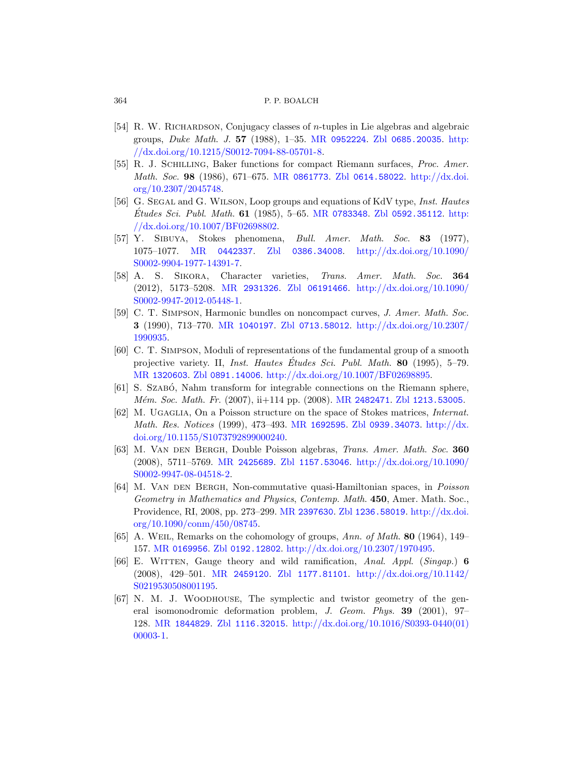- <span id="page-63-10"></span><span id="page-63-9"></span><span id="page-63-8"></span>[54] R. W. RICHARDSON[, Conjugac](http://www.ams.org/mathscinet-getitem?mr=0783348)[y classes of](http://www.zentralblatt-math.org/zmath/en/search/?q=an:0592.35112) *n*-tupl[es in L](http://dx.doi.org/10.1007/BF02698802)ie algebras and algebraic [groups,](http://dx.doi.org/10.1007/BF02698802) Duke Math. J. 57 (1988), 1–35. MR 0952224. Zbl 0685.20035. http: //dx.doi.org/10.1215/S0012-7094-88-05701-8.
- <span id="page-63-11"></span>[\[55\]](http://www.ams.org/mathscinet-getitem?mr=0442337) R. J. Schilling[, Baker](http://www.zentralblatt-math.org/zmath/en/search/?q=an:0386.34008) fu[nctions for compact Rieman](http://dx.doi.org/10.1090/S0002-9904-1977-14391-7)n surfaces, Proc. Amer. [M](http://dx.doi.org/10.1090/S0002-9904-1977-14391-7)ath. Soc. 98 (1986), 671–675. MR 0861773. Zbl 0614.58022. http://dx.doi. org/10.2307/2045748.
- <span id="page-63-7"></span>[56] G. SEGAL and G. WILSON, [Loop groups and equations o](http://dx.doi.org/10.1090/S0002-9947-2012-05448-1)f KdV type, *Inst. Hautes* [E](http://dx.doi.org/10.1090/S0002-9947-2012-05448-1)tudes Sci. Publ. Math. 61 (1985), 5–65. MR 0783348. Zbl 0592.35112. http: //dx.doi.org/10.1007/BF02698802.
- <span id="page-63-0"></span>[57] [Y. Sibu](http://www.ams.org/mathscinet-getitem?mr=1040197)ya[, Stokes ph](http://www.zentralblatt-math.org/zmath/en/search/?q=an:0713.58012)e[nomena,](http://dx.doi.org/10.2307/1990935) Bull. Amer. Math. Soc. 83 (1977), 1075–1077. MR 0442337. Zbl 0386.34008. http://dx.doi.org/10.1090/ S0002-9904-1977-14391-7.
- <span id="page-63-6"></span>[58] A. S. Sikora, Character varieties, Trans. Amer. Math. Soc. 364 [\(2012](http://www.zentralblatt-math.org/zmath/en/search/?q=an:0891.14006))[, 5173–5208.](http://dx.doi.org/10.1007/BF02698895) MR 2931326. Zbl 06191466. http://dx.doi.org/10.1090/ S0002-9947-2012-05448-1.
- <span id="page-63-4"></span>[59] C. T. Simpson, Harm[onic bundles o](http://www.ams.org/mathscinet-getitem?mr=2482471)[n noncompact cu](http://www.zentralblatt-math.org/zmath/en/search/?q=an:1213.53005)rves, J. Amer. Math. Soc. 3 (1990), 713–770. MR 1040197. Zbl 0713.58012. http://dx.doi.org/10.2307/ 1990935.
- <span id="page-63-1"></span>[60] [C. T. Simp](http://dx.doi.org/10.1155/S1073792899000240)son[, Moduli of](http://www.ams.org/mathscinet-getitem?mr=1692595) [representations o](http://www.zentralblatt-math.org/zmath/en/search/?q=an:0939.34073)[f the fundam](http://dx.doi.org/10.1155/S1073792899000240)ental group of a smooth projective variety. II, *Inst. Hautes Études Sci. Publ. Math.* 80 (1995), 5–79. MR 1320603. Zbl [0891.14](http://www.zentralblatt-math.org/zmath/en/search/?q=an:1157.53046)006. [http://dx.doi.org/10.10](http://dx.doi.org/10.1090/S0002-9947-08-04518-2)07/BF02698895.
- <span id="page-63-2"></span>[\[61](http://dx.doi.org/10.1090/S0002-9947-08-04518-2)] [S. Szab](http://www.ams.org/mathscinet-getitem?mr=2425689)ó, Nahm transform for integrable connections on the Riemann sphere, Mém. Soc. Math. Fr. (2007), ii+114 pp. (2008). MR 2482471. Zbl 1213.53005.
- [62] M. Ugaglia, On a Poisson structure on the space of Stokes matrices, Internat. Math. Res. [Notices](http://www.ams.org/mathscinet-getitem?mr=2397630) (19[99\), 473–493.](http://www.zentralblatt-math.org/zmath/en/search/?q=an:1236.58019) MR [1692595](http://dx.doi.org/10.1090/conm/450/08745). Zbl 0939.34073. http://dx. [doi.o](http://dx.doi.org/10.1090/conm/450/08745)rg/10.1155/S1073792899000240.
- [63] M. Van den Bergh, Double Poisson algebras, Trans. Amer. Math. Soc. 360 [\(2008\), 57](http://www.zentralblatt-math.org/zmath/en/search/?q=an:0192.12802)11–5769. MR [2425689](http://dx.doi.org/10.2307/1970495). Zbl 1157.53046. http://dx.doi.org/10.1090/ S0002-9947-08-04518-2.
- <span id="page-63-5"></span><span id="page-63-3"></span>[64] [M. Van](http://www.ams.org/mathscinet-getitem?mr=2459120) [den Bergh](http://www.zentralblatt-math.org/zmath/en/search/?q=an:1177.81101), Non[-commutative quasi-Hamilt](http://dx.doi.org/10.1142/S0219530508001195)onian spaces, in Poisson Geometry in Mathematics and Physics, Contemp. Math. 450, Amer. Math. Soc., Providence, RI, 2008, pp. 273–299. MR 2397630. Zbl 1236.58019. http://dx.doi. org/10.1090/conm/450/08745.
- [65] [A. Weil](http://www.zentralblatt-math.org/zmath/en/search/?q=an:1116.32015), R[emarks on the cohomology of groups,](http://dx.doi.org/10.1016/S0393-0440(01)00003-1) Ann. of Math. 80 (1964), 149– 157. MR 0169956. Zbl 0192.12802. http://dx.doi.org/10.2307/1970495.
- [66] E. Witten, Gauge theory and wild ramification, Anal. Appl. (Singap.) 6 (2008), 429–501. MR 2459120. Zbl 1177.81101. http://dx.doi.org/10.1142/ S0219530508001195.
- [67] N. M. J. Woodhouse, The symplectic and twistor geometry of the general isomonodromic deformation problem, J. Geom. Phys. 39 (2001), 97– 128. MR 1844829. Zbl 1116.32015. http://dx.doi.org/10.1016/S0393-0440(01) 00003-1.